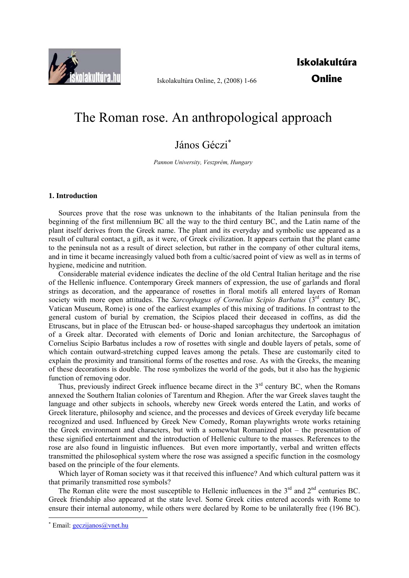

Iskolakultúra Online, 2, (2008) 1-66

**Iskolakultúra Online** 

# The Roman rose. An anthropological approach

## János Géczi<sup>∗</sup>

*Pannon University, Veszprém, Hungary* 

## **1. Introduction**

Sources prove that the rose was unknown to the inhabitants of the Italian peninsula from the beginning of the first millennium BC all the way to the third century BC, and the Latin name of the plant itself derives from the Greek name. The plant and its everyday and symbolic use appeared as a result of cultural contact, a gift, as it were, of Greek civilization. It appears certain that the plant came to the peninsula not as a result of direct selection, but rather in the company of other cultural items, and in time it became increasingly valued both from a cultic/sacred point of view as well as in terms of hygiene, medicine and nutrition.

Considerable material evidence indicates the decline of the old Central Italian heritage and the rise of the Hellenic influence. Contemporary Greek manners of expression, the use of garlands and floral strings as decoration, and the appearance of rosettes in floral motifs all entered layers of Roman society with more open attitudes. The *Sarcophagus of Cornelius Scipio Barbatus* (3rd century BC, Vatican Museum, Rome) is one of the earliest examples of this mixing of traditions. In contrast to the general custom of burial by cremation, the Scipios placed their deceased in coffins, as did the Etruscans, but in place of the Etruscan bed- or house-shaped sarcophagus they undertook an imitation of a Greek altar. Decorated with elements of Doric and Ionian architecture, the Sarcophagus of Cornelius Scipio Barbatus includes a row of rosettes with single and double layers of petals, some of which contain outward-stretching cupped leaves among the petals. These are customarily cited to explain the proximity and transitional forms of the rosettes and rose. As with the Greeks, the meaning of these decorations is double. The rose symbolizes the world of the gods, but it also has the hygienic function of removing odor.

Thus, previously indirect Greek influence became direct in the  $3<sup>rd</sup>$  century BC, when the Romans annexed the Southern Italian colonies of Tarentum and Rhegion. After the war Greek slaves taught the language and other subjects in schools, whereby new Greek words entered the Latin, and works of Greek literature, philosophy and science, and the processes and devices of Greek everyday life became recognized and used. Influenced by Greek New Comedy, Roman playwrights wrote works retaining the Greek environment and characters, but with a somewhat Romanized plot – the presentation of these signified entertainment and the introduction of Hellenic culture to the masses. References to the rose are also found in linguistic influences. But even more importantly, verbal and written effects transmitted the philosophical system where the rose was assigned a specific function in the cosmology based on the principle of the four elements.

Which layer of Roman society was it that received this influence? And which cultural pattern was it that primarily transmitted rose symbols?

The Roman elite were the most susceptible to Hellenic influences in the  $3<sup>rd</sup>$  and  $2<sup>nd</sup>$  centuries BC. Greek friendship also appeared at the state level. Some Greek cities entered accords with Rome to ensure their internal autonomy, while others were declared by Rome to be unilaterally free (196 BC).

<sup>\*</sup> Email: **geczijanos@vnet.hu**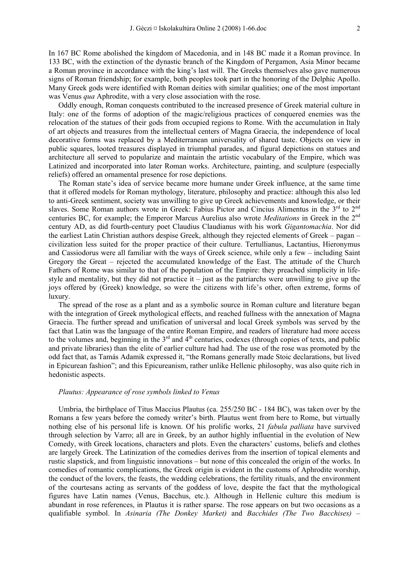In 167 BC Rome abolished the kingdom of Macedonia, and in 148 BC made it a Roman province. In 133 BC, with the extinction of the dynastic branch of the Kingdom of Pergamon, Asia Minor became a Roman province in accordance with the king's last will. The Greeks themselves also gave numerous signs of Roman friendship; for example, both peoples took part in the honoring of the Delphic Apollo. Many Greek gods were identified with Roman deities with similar qualities; one of the most important was Venus *qua* Aphrodite, with a very close association with the rose.

Oddly enough, Roman conquests contributed to the increased presence of Greek material culture in Italy: one of the forms of adoption of the magic/religious practices of conquered enemies was the relocation of the statues of their gods from occupied regions to Rome. With the accumulation in Italy of art objects and treasures from the intellectual centers of Magna Graecia, the independence of local decorative forms was replaced by a Mediterranean universality of shared taste. Objects on view in public squares, looted treasures displayed in triumphal parades, and figural depictions on statues and architecture all served to popularize and maintain the artistic vocabulary of the Empire, which was Latinized and incorporated into later Roman works. Architecture, painting, and sculpture (especially reliefs) offered an ornamental presence for rose depictions.

The Roman state's idea of service became more humane under Greek influence, at the same time that it offered models for Roman mythology, literature, philosophy and practice: although this also led to anti-Greek sentiment, society was unwilling to give up Greek achievements and knowledge, or their slaves. Some Roman authors wrote in Greek: Fabius Pictor and Cincius Alimentus in the 3<sup>rd</sup> to 2<sup>nd</sup> centuries BC, for example; the Emperor Marcus Aurelius also wrote *Meditations* in Greek in the 2nd century AD, as did fourth-century poet Claudius Claudianus with his work *Gigantomachia*. Nor did the earliest Latin Christian authors despise Greek, although they rejected elements of Greek – pagan – civilization less suited for the proper practice of their culture. Tertullianus, Lactantius, Hieronymus and Cassiodorus were all familiar with the ways of Greek science, while only a few – including Saint Gregory the Great – rejected the accumulated knowledge of the East. The attitude of the Church Fathers of Rome was similar to that of the population of the Empire: they preached simplicity in lifestyle and mentality, but they did not practice it – just as the patriarchs were unwilling to give up the joys offered by (Greek) knowledge, so were the citizens with life's other, often extreme, forms of luxury.

The spread of the rose as a plant and as a symbolic source in Roman culture and literature began with the integration of Greek mythological effects, and reached fullness with the annexation of Magna Graecia. The further spread and unification of universal and local Greek symbols was served by the fact that Latin was the language of the entire Roman Empire, and readers of literature had more access to the volumes and, beginning in the  $3<sup>rd</sup>$  and  $4<sup>th</sup>$  centuries, codexes (through copies of texts, and public and private libraries) than the elite of earlier culture had had. The use of the rose was promoted by the odd fact that, as Tamás Adamik expressed it, "the Romans generally made Stoic declarations, but lived in Epicurean fashion"; and this Epicureanism, rather unlike Hellenic philosophy, was also quite rich in hedonistic aspects.

#### *Plautus: Appearance of rose symbols linked to Venus*

Umbria, the birthplace of Titus Maccius Plautus (ca. 255/250 BC - 184 BC), was taken over by the Romans a few years before the comedy writer's birth. Plautus went from here to Rome, but virtually nothing else of his personal life is known. Of his prolific works, 21 *fabula palliata* have survived through selection by Varro; all are in Greek, by an author highly influential in the evolution of New Comedy, with Greek locations, characters and plots. Even the characters' customs, beliefs and clothes are largely Greek. The Latinization of the comedies derives from the insertion of topical elements and rustic slapstick, and from linguistic innovations – but none of this concealed the origin of the works. In comedies of romantic complications, the Greek origin is evident in the customs of Aphrodite worship, the conduct of the lovers, the feasts, the wedding celebrations, the fertility rituals, and the environment of the courtesans acting as servants of the goddess of love, despite the fact that the mythological figures have Latin names (Venus, Bacchus, etc.). Although in Hellenic culture this medium is abundant in rose references, in Plautus it is rather sparse. The rose appears on but two occasions as a qualifiable symbol. In *Asinaria (The Donkey Market)* and *Bacchides (The Two Bacchises)* –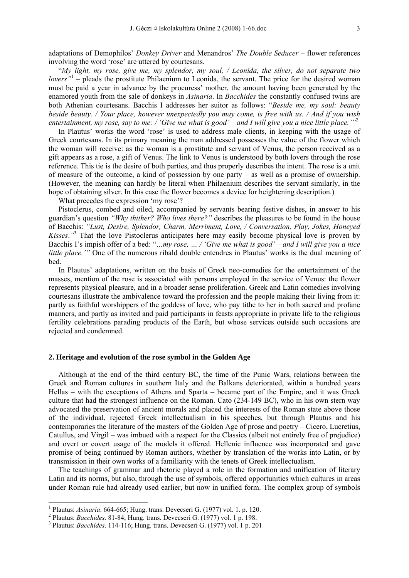adaptations of Demophilos' *Donkey Driver* and Menandros' *The Double Seducer* – flower references involving the word 'rose' are uttered by courtesans.

"*My light, my rose, give me, my splendor, my soul, / Leonida, the silver, do not separate two lovers*<sup>"1</sup> – pleads the prostitute Philaenium to Leonida, the servant. The price for the desired woman must be paid a year in advance by the procuress' mother, the amount having been generated by the enamored youth from the sale of donkeys in *Asinaria*. In *Bacchides* the constantly confused twins are both Athenian courtesans. Bacchis I addresses her suitor as follows: "*Beside me, my soul: beauty beside beauty. / Your place, however unexpectedly you may come, is free with us. / And if you wish entertainment, my rose, say to me: / 'Give me what is good' – and I will give you a nice little place.'"*<sup>2</sup>

In Plautus' works the word 'rose' is used to address male clients, in keeping with the usage of Greek courtesans. In its primary meaning the man addressed possesses the value of the flower which the woman will receive: as the woman is a prostitute and servant of Venus, the person received as a gift appears as a rose, a gift of Venus. The link to Venus is understood by both lovers through the rose reference. This tie is the desire of both parties, and thus properly describes the intent. The rose is a unit of measure of the outcome, a kind of possession by one party – as well as a promise of ownership. (However, the meaning can hardly be literal when Philaenium describes the servant similarly, in the hope of obtaining silver. In this case the flower becomes a device for heightening description.)

What precedes the expression 'my rose'?

Pistoclerus, combed and oiled, accompanied by servants bearing festive dishes, in answer to his guardian's question *"Why thither? Who lives there?"* describes the pleasures to be found in the house of Bacchis: *"Lust, Desire, Splendor, Charm, Merriment, Love, / Conversation, Play, Jokes, Honeyed Kisses.*<sup>3</sup> That the love Pistoclerus anticipates here may easily become physical love is proven by Bacchis I's impish offer of a bed: "*…my rose, … / 'Give me what is good' – and I will give you a nice little place.'"* One of the numerous ribald double entendres in Plautus' works is the dual meaning of bed.

In Plautus' adaptations, written on the basis of Greek neo-comedies for the entertainment of the masses, mention of the rose is associated with persons employed in the service of Venus: the flower represents physical pleasure, and in a broader sense proliferation. Greek and Latin comedies involving courtesans illustrate the ambivalence toward the profession and the people making their living from it: partly as faithful worshippers of the goddess of love, who pay tithe to her in both sacred and profane manners, and partly as invited and paid participants in feasts appropriate in private life to the religious fertility celebrations parading products of the Earth, but whose services outside such occasions are rejected and condemned.

## **2. Heritage and evolution of the rose symbol in the Golden Age**

Although at the end of the third century BC, the time of the Punic Wars, relations between the Greek and Roman cultures in southern Italy and the Balkans deteriorated, within a hundred years Hellas – with the exceptions of Athens and Sparta – became part of the Empire, and it was Greek culture that had the strongest influence on the Roman. Cato (234-149 BC), who in his own stern way advocated the preservation of ancient morals and placed the interests of the Roman state above those of the individual, rejected Greek intellectualism in his speeches, but through Plautus and his contemporaries the literature of the masters of the Golden Age of prose and poetry – Cicero, Lucretius, Catullus, and Virgil – was imbued with a respect for the Classics (albeit not entirely free of prejudice) and overt or covert usage of the models it offered. Hellenic influence was incorporated and gave promise of being continued by Roman authors, whether by translation of the works into Latin, or by transmission in their own works of a familiarity with the tenets of Greek intellectualism.

The teachings of grammar and rhetoric played a role in the formation and unification of literary Latin and its norms, but also, through the use of symbols, offered opportunities which cultures in areas under Roman rule had already used earlier, but now in unified form. The complex group of symbols

<sup>&</sup>lt;sup>1</sup> Plautus: *Asinaria*. 664-665; Hung. trans. Devecseri G. (1977) vol. 1. p. 120.<br><sup>2</sup> Plautus: *Pagehidas*, 81, 84; Hung. trans. Devecesi G. (1977) vol. 1. p. 198

<sup>&</sup>lt;sup>2</sup> Plautus: *Bacchides*. 81-84; Hung. trans. Devecseri G. (1977) vol. 1 p. 198.

Plautus: *Bacchides*. 114-116; Hung. trans. Devecseri G. (1977) vol. 1 p. 201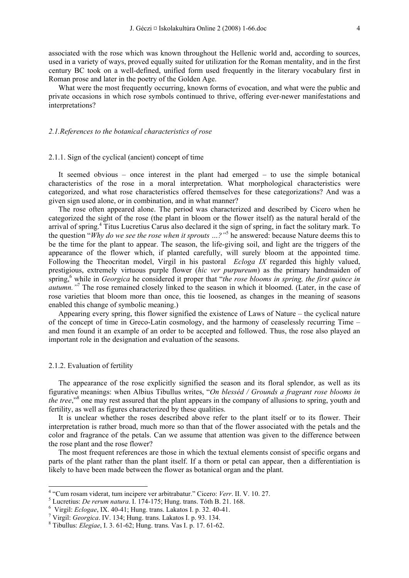associated with the rose which was known throughout the Hellenic world and, according to sources, used in a variety of ways, proved equally suited for utilization for the Roman mentality, and in the first century BC took on a well-defined, unified form used frequently in the literary vocabulary first in Roman prose and later in the poetry of the Golden Age.

What were the most frequently occurring, known forms of evocation, and what were the public and private occasions in which rose symbols continued to thrive, offering ever-newer manifestations and interpretations?

## *2.1.References to the botanical characteristics of rose*

## 2.1.1. Sign of the cyclical (ancient) concept of time

It seemed obvious – once interest in the plant had emerged – to use the simple botanical characteristics of the rose in a moral interpretation. What morphological characteristics were categorized, and what rose characteristics offered themselves for these categorizations? And was a given sign used alone, or in combination, and in what manner?

The rose often appeared alone. The period was characterized and described by Cicero when he categorized the sight of the rose (the plant in bloom or the flower itself) as the natural herald of the arrival of spring.<sup>4</sup> Titus Lucretius Carus also declared it the sign of spring, in fact the solitary mark. To the question "*Why do we see the rose when it sprouts …?"*<sup>5</sup> he answered: because Nature deems this to be the time for the plant to appear. The season, the life-giving soil, and light are the triggers of the appearance of the flower which, if planted carefully, will surely bloom at the appointed time. Following the Theocritan model, Virgil in his pastoral *Ecloga IX* regarded this highly valued, prestigious, extremely virtuous purple flower (*hic ver purpureum*) as the primary handmaiden of spring,<sup>6</sup> while in *Georgica* he considered it proper that "*the rose blooms in spring, the first quince in* autumn."<sup>7</sup> The rose remained closely linked to the season in which it bloomed. (Later, in the case of rose varieties that bloom more than once, this tie loosened, as changes in the meaning of seasons enabled this change of symbolic meaning.)

Appearing every spring, this flower signified the existence of Laws of Nature – the cyclical nature of the concept of time in Greco-Latin cosmology, and the harmony of ceaselessly recurring Time – and men found it an example of an order to be accepted and followed. Thus, the rose also played an important role in the designation and evaluation of the seasons.

#### 2.1.2. Evaluation of fertility

-

The appearance of the rose explicitly signified the season and its floral splendor, as well as its figurative meanings: when Albius Tibullus writes, "*On blesséd / Grounds a fragrant rose blooms in*  the tree,<sup>38</sup> one may rest assured that the plant appears in the company of allusions to spring, youth and fertility, as well as figures characterized by these qualities.

It is unclear whether the roses described above refer to the plant itself or to its flower. Their interpretation is rather broad, much more so than that of the flower associated with the petals and the color and fragrance of the petals. Can we assume that attention was given to the difference between the rose plant and the rose flower?

The most frequent references are those in which the textual elements consist of specific organs and parts of the plant rather than the plant itself. If a thorn or petal can appear, then a differentiation is likely to have been made between the flower as botanical organ and the plant.

<sup>&</sup>lt;sup>4</sup> "Cum rosam viderat, tum incipere ver arbitrabatur." Cicero: *Verr*. II. V. 10. 27.

Lucretius: *De rerum natura*. I. 174-175; Hung. trans. Tóth B. 21. 168. 6

Virgil: *Eclogae*, IX. 40-41; Hung. trans. Lakatos I. p. 32. 40-41. 7

Virgil: *Georgica*. IV. 134; Hung. trans. Lakatos I. p. 93. 134. 8

Tibullus: *Elegiae*, I. 3. 61-62; Hung. trans. Vas I. p. 17. 61-62.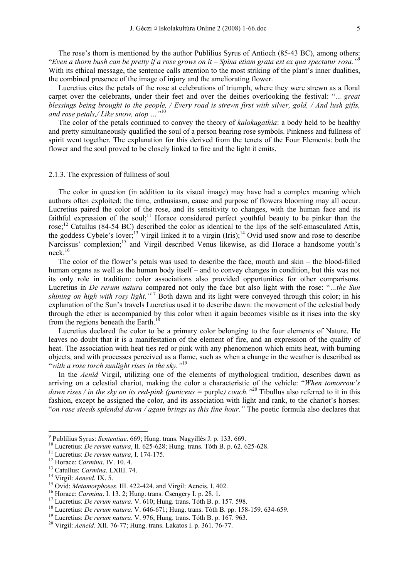The rose's thorn is mentioned by the author Publilius Syrus of Antioch (85-43 BC), among others: "*Even a thorn bush can be pretty if a rose grows on it – Spina etiam grata est ex qua spectatur rosa."*<sup>9</sup> With its ethical message, the sentence calls attention to the most striking of the plant's inner dualities, the combined presence of the image of injury and the ameliorating flower.

Lucretius cites the petals of the rose at celebrations of triumph, where they were strewn as a floral carpet over the celebrants, under their feet and over the deities overlooking the festival: "... *great blessings being brought to the people, / Every road is strewn first with silver, gold, / And lush gifts, and rose petals,/ Like snow, atop …"*<sup>10</sup>

The color of the petals continued to convey the theory of *kalokagathia*: a body held to be healthy and pretty simultaneously qualified the soul of a person bearing rose symbols. Pinkness and fullness of spirit went together. The explanation for this derived from the tenets of the Four Elements: both the flower and the soul proved to be closely linked to fire and the light it emits.

#### 2.1.3. The expression of fullness of soul

The color in question (in addition to its visual image) may have had a complex meaning which authors often exploited: the time, enthusiasm, cause and purpose of flowers blooming may all occur. Lucretius paired the color of the rose, and its sensitivity to changes, with the human face and its faithful expression of the soul;<sup>11</sup> Horace considered perfect youthful beauty to be pinker than the rose;<sup>12</sup> Catullus (84-54 BC) described the color as identical to the lips of the self-emasculated Attis, the goddess Cybele's lover;<sup>13</sup> Virgil linked it to a virgin (Iris);<sup>14</sup> Ovid used snow and rose to describe Narcissus' complexion;<sup>15</sup> and Virgil described Venus likewise, as did Horace a handsome youth's neck.<sup>16</sup>

The color of the flower's petals was used to describe the face, mouth and skin – the blood-filled human organs as well as the human body itself – and to convey changes in condition, but this was not its only role in tradition: color associations also provided opportunities for other comparisons. Lucretius in *De rerum natura* compared not only the face but also light with the rose: "*…the Sun shining on high with rosy light.*"<sup>17</sup> Both dawn and its light were conveyed through this color; in his explanation of the Sun's travels Lucretius used it to describe dawn: the movement of the celestial body through the ether is accompanied by this color when it again becomes visible as it rises into the sky from the regions beneath the Earth.<sup>18</sup>

Lucretius declared the color to be a primary color belonging to the four elements of Nature. He leaves no doubt that it is a manifestation of the element of fire, and an expression of the quality of heat. The association with heat ties red or pink with any phenomenon which emits heat, with burning objects, and with processes perceived as a flame, such as when a change in the weather is described as "*with a rose torch sunlight rises in the sky."*19

In the *Aenid* Virgil, utilizing one of the elements of mythological tradition, describes dawn as arriving on a celestial chariot, making the color a characteristic of the vehicle: "*When tomorrow's dawn rises / in the sky on its red-pink (puniceus = purple) coach."<sup>20</sup> Tibullus also referred to it in this* fashion, except he assigned the color, and its association with light and rank, to the chariot's horses: "*on rose steeds splendid dawn / again brings us this fine hour."* The poetic formula also declares that

<sup>&</sup>lt;sup>9</sup> Publilius Syrus: Sententiae. 669; Hung. trans. Nagyillés J. p. 133. 669.

<sup>&</sup>lt;sup>10</sup> Lucretius: *De rerum natura*, II. 625-628; Hung. trans. Tóth B. p. 62. 625-628.<br><sup>11</sup> Lucretius: *De rerum natura*, I. 174-175.<br><sup>12</sup> Horace: *Carmina*. IV. 10. 4.<br><sup>13</sup> Catullus: *Carmina*. LXIII. 74.<br><sup>14</sup> Virgil: *Aen*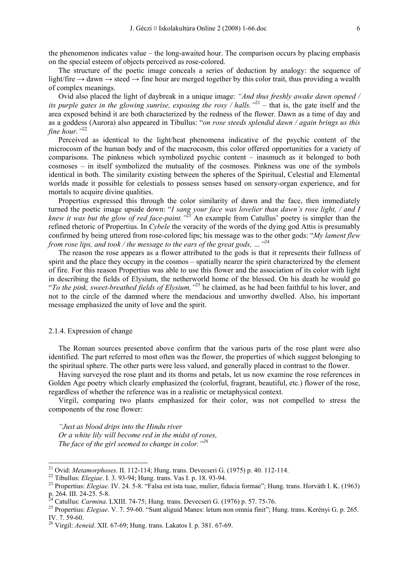the phenomenon indicates value – the long-awaited hour. The comparison occurs by placing emphasis on the special esteem of objects perceived as rose-colored.

The structure of the poetic image conceals a series of deduction by analogy: the sequence of light/fire  $\rightarrow$  dawn  $\rightarrow$  steed  $\rightarrow$  fine hour are merged together by this color trait, thus providing a wealth of complex meanings.

Ovid also placed the light of daybreak in a unique image: *"And thus freshly awake dawn opened / its purple gates in the glowing sunrise, exposing the rosy / halls."*21 – that is, the gate itself and the area exposed behind it are both characterized by the redness of the flower. Dawn as a time of day and as a goddess (Aurora) also appeared in Tibullus: "*on rose steeds splendid dawn / again brings us this fine hour."*<sup>22</sup>

Perceived as identical to the light/heat phenomena indicative of the psychic content of the microcosm of the human body and of the macrocosm, this color offered opportunities for a variety of comparisons. The pinkness which symbolized psychic content – inasmuch as it belonged to both cosmoses – in itself symbolized the mutuality of the cosmoses. Pinkness was one of the symbols identical in both. The similarity existing between the spheres of the Spiritual, Celestial and Elemental worlds made it possible for celestials to possess senses based on sensory-organ experience, and for mortals to acquire divine qualities.

Propertius expressed this through the color similarity of dawn and the face, then immediately turned the poetic image upside down: "*I sang your face was lovelier than dawn's rose light, / and I knew it was but the glow of red face-paint."*23 An example from Catullus' poetry is simpler than the refined rhetoric of Propertius. In *Cybele* the veracity of the words of the dying god Attis is presumably confirmed by being uttered from rose-colored lips; his message was to the other gods: "*My lament flew from rose lips, and took / the message to the ears of the great gods, …"*<sup>24</sup>

The reason the rose appears as a flower attributed to the gods is that it represents their fullness of spirit and the place they occupy in the cosmos – spatially nearer the spirit characterized by the element of fire. For this reason Propertius was able to use this flower and the association of its color with light in describing the fields of Elysium, the netherworld home of the blessed. On his death he would go "*To the pink, sweet-breathed fields of Elysium,"*25 he claimed, as he had been faithful to his lover, and not to the circle of the damned where the mendacious and unworthy dwelled. Also, his important message emphasized the unity of love and the spirit.

#### 2.1.4. Expression of change

The Roman sources presented above confirm that the various parts of the rose plant were also identified. The part referred to most often was the flower, the properties of which suggest belonging to the spiritual sphere. The other parts were less valued, and generally placed in contrast to the flower.

Having surveyed the rose plant and its thorns and petals, let us now examine the rose references in Golden Age poetry which clearly emphasized the (colorful, fragrant, beautiful, etc.) flower of the rose, regardless of whether the reference was in a realistic or metaphysical context.

Virgil, comparing two plants emphasized for their color, was not compelled to stress the components of the rose flower:

*"Just as blood drips into the Hindu river Or a white lily will become red in the midst of roses, The face of the girl seemed to change in color."<sup>26</sup>*

<sup>&</sup>lt;sup>21</sup> Ovid: *Metamorphoses*. II. 112-114; Hung. trans. Devecseri G. (1975) p. 40. 112-114.

<sup>22</sup> Tibullus: *Elegiae*. I. 3. 93-94; Hung. trans. Vas I. p. 18. 93-94.<br>
<sup>23</sup> Propertius: *Elegiae*. IV. 24. 5-8. "Falsa est ista tuae, mulier, fiducia formae"; Hung. trans. Horváth I. K. (1963) p. 264. III. 24-25. 5-8.<br><sup>24</sup> Catullus: *Carmina*. LXIII. 74-75: Hung. trans. Devecseri G. (1976) p. 57. 75-76.

<sup>&</sup>lt;sup>25</sup> Propertius: *Elegiae*. V. 7. 59-60. "Sunt aliguid Manes: letum non omnia finit"; Hung. trans. Kerényi G. p. 265. IV. 7. 59-60.

<sup>26</sup> Virgil: *Aeneid*. XII. 67-69; Hung. trans. Lakatos I. p. 381. 67-69.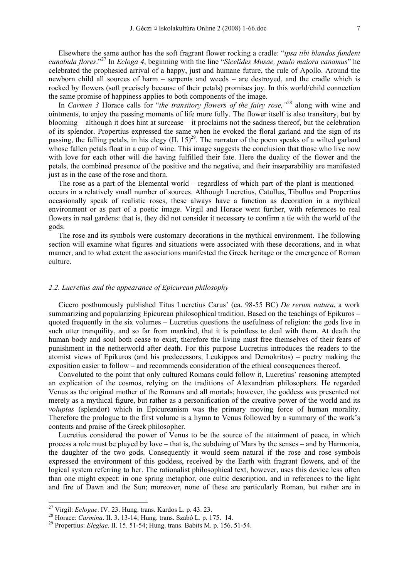Elsewhere the same author has the soft fragrant flower rocking a cradle: "*ipsa tibi blandos fundent cunabula flores*."27 In *Ecloga 4*, beginning with the line "*Sicelides Musae, paulo maiora canamus*" he celebrated the prophesied arrival of a happy, just and humane future, the rule of Apollo. Around the newborn child all sources of harm – serpents and weeds – are destroyed, and the cradle which is rocked by flowers (soft precisely because of their petals) promises joy. In this world/child connection the same promise of happiness applies to both components of the image.

In *Carmen 3* Horace calls for "*the transitory flowers of the fairy rose,"*28 along with wine and ointments, to enjoy the passing moments of life more fully. The flower itself is also transitory, but by blooming – although it does hint at surcease – it proclaims not the sadness thereof, but the celebration of its splendor. Propertius expressed the same when he evoked the floral garland and the sign of its passing, the falling petals, in his elegy  $(II, 15)^{29}$ . The narrator of the poem speaks of a wilted garland whose fallen petals float in a cup of wine. This image suggests the conclusion that those who live now with love for each other will die having fulfilled their fate. Here the duality of the flower and the petals, the combined presence of the positive and the negative, and their inseparability are manifested just as in the case of the rose and thorn.

The rose as a part of the Elemental world – regardless of which part of the plant is mentioned – occurs in a relatively small number of sources. Although Lucretius, Catullus, Tibullus and Propertius occasionally speak of realistic roses, these always have a function as decoration in a mythical environment or as part of a poetic image. Virgil and Horace went further, with references to real flowers in real gardens: that is, they did not consider it necessary to confirm a tie with the world of the gods.

The rose and its symbols were customary decorations in the mythical environment. The following section will examine what figures and situations were associated with these decorations, and in what manner, and to what extent the associations manifested the Greek heritage or the emergence of Roman culture.

## *2.2. Lucretius and the appearance of Epicurean philosophy*

Cicero posthumously published Titus Lucretius Carus' (ca. 98-55 BC) *De rerum natura*, a work summarizing and popularizing Epicurean philosophical tradition. Based on the teachings of Epikuros – quoted frequently in the six volumes – Lucretius questions the usefulness of religion: the gods live in such utter tranquility, and so far from mankind, that it is pointless to deal with them. At death the human body and soul both cease to exist, therefore the living must free themselves of their fears of punishment in the netherworld after death. For this purpose Lucretius introduces the readers to the atomist views of Epikuros (and his predecessors, Leukippos and Demokritos) – poetry making the exposition easier to follow – and recommends consideration of the ethical consequences thereof.

Convoluted to the point that only cultured Romans could follow it, Lucretius' reasoning attempted an explication of the cosmos, relying on the traditions of Alexandrian philosophers. He regarded Venus as the original mother of the Romans and all mortals; however, the goddess was presented not merely as a mythical figure, but rather as a personification of the creative power of the world and its *voluptas* (splendor) which in Epicureanism was the primary moving force of human morality. Therefore the prologue to the first volume is a hymn to Venus followed by a summary of the work's contents and praise of the Greek philosopher.

Lucretius considered the power of Venus to be the source of the attainment of peace, in which process a role must be played by love – that is, the subduing of Mars by the senses – and by Harmonia, the daughter of the two gods. Consequently it would seem natural if the rose and rose symbols expressed the environment of this goddess, received by the Earth with fragrant flowers, and of the logical system referring to her. The rationalist philosophical text, however, uses this device less often than one might expect: in one spring metaphor, one cultic description, and in references to the light and fire of Dawn and the Sun; moreover, none of these are particularly Roman, but rather are in

<sup>&</sup>lt;sup>27</sup> Virgil: *Eclogae*. IV. 23. Hung. trans. Kardos L. p. 43. 23.<br><sup>28</sup> Horace: *Carmina*. II. 3. 13-14; Hung. trans. Szabó L. p. 175. 14.<br><sup>29</sup> Propertius: *Elegiae*. II. 15. 51-54; Hung. trans. Babits M. p. 156. 51-54.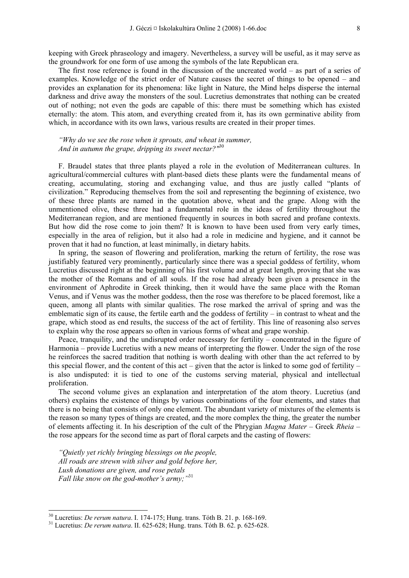The first rose reference is found in the discussion of the uncreated world – as part of a series of examples. Knowledge of the strict order of Nature causes the secret of things to be opened – and provides an explanation for its phenomena: like light in Nature, the Mind helps disperse the internal darkness and drive away the monsters of the soul. Lucretius demonstrates that nothing can be created out of nothing; not even the gods are capable of this: there must be something which has existed eternally: the atom. This atom, and everything created from it, has its own germinative ability from which, in accordance with its own laws, various results are created in their proper times.

*"Why do we see the rose when it sprouts, and wheat in summer, And in autumn the grape, dripping its sweet nectar?"*<sup>30</sup>

F. Braudel states that three plants played a role in the evolution of Mediterranean cultures. In agricultural/commercial cultures with plant-based diets these plants were the fundamental means of creating, accumulating, storing and exchanging value, and thus are justly called "plants of civilization." Reproducing themselves from the soil and representing the beginning of existence, two of these three plants are named in the quotation above, wheat and the grape. Along with the unmentioned olive, these three had a fundamental role in the ideas of fertility throughout the Mediterranean region, and are mentioned frequently in sources in both sacred and profane contexts. But how did the rose come to join them? It is known to have been used from very early times, especially in the area of religion, but it also had a role in medicine and hygiene, and it cannot be proven that it had no function, at least minimally, in dietary habits.

In spring, the season of flowering and proliferation, marking the return of fertility, the rose was justifiably featured very prominently, particularly since there was a special goddess of fertility, whom Lucretius discussed right at the beginning of his first volume and at great length, proving that she was the mother of the Romans and of all souls. If the rose had already been given a presence in the environment of Aphrodite in Greek thinking, then it would have the same place with the Roman Venus, and if Venus was the mother goddess, then the rose was therefore to be placed foremost, like a queen, among all plants with similar qualities. The rose marked the arrival of spring and was the emblematic sign of its cause, the fertile earth and the goddess of fertility – in contrast to wheat and the grape, which stood as end results, the success of the act of fertility. This line of reasoning also serves to explain why the rose appears so often in various forms of wheat and grape worship.

Peace, tranquility, and the undisrupted order necessary for fertility – concentrated in the figure of Harmonia – provide Lucretius with a new means of interpreting the flower. Under the sign of the rose he reinforces the sacred tradition that nothing is worth dealing with other than the act referred to by this special flower, and the content of this act – given that the actor is linked to some god of fertility – is also undisputed: it is tied to one of the customs serving material, physical and intellectual proliferation.

The second volume gives an explanation and interpretation of the atom theory. Lucretius (and others) explains the existence of things by various combinations of the four elements, and states that there is no being that consists of only one element. The abundant variety of mixtures of the elements is the reason so many types of things are created, and the more complex the thing, the greater the number of elements affecting it. In his description of the cult of the Phrygian *Magna Mater* – Greek *Rheia* – the rose appears for the second time as part of floral carpets and the casting of flowers:

*"Quietly yet richly bringing blessings on the people, All roads are strewn with silver and gold before her, Lush donations are given, and rose petals Fall like snow on the god-mother's army;"*<sup>31</sup>

<sup>30</sup> Lucretius: *De rerum natura*. I. 174-175; Hung. trans. Tóth B. 21. p. 168-169. 31 Lucretius: *De rerum natura*. II. 625-628; Hung. trans. Tóth B. 62. p. 625-628.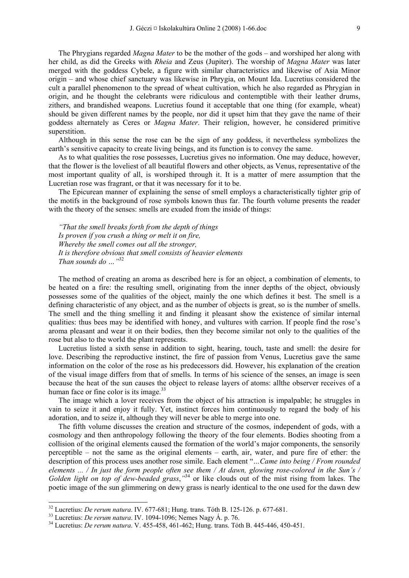The Phrygians regarded *Magna Mater* to be the mother of the gods – and worshiped her along with her child, as did the Greeks with *Rheia* and Zeus (Jupiter). The worship of *Magna Mater* was later merged with the goddess Cybele, a figure with similar characteristics and likewise of Asia Minor origin – and whose chief sanctuary was likewise in Phrygia, on Mount Ida. Lucretius considered the cult a parallel phenomenon to the spread of wheat cultivation, which he also regarded as Phrygian in origin, and he thought the celebrants were ridiculous and contemptible with their leather drums, zithers, and brandished weapons. Lucretius found it acceptable that one thing (for example, wheat) should be given different names by the people, nor did it upset him that they gave the name of their goddess alternately as Ceres or *Magna Mater*. Their religion, however, he considered primitive superstition.

Although in this sense the rose can be the sign of any goddess, it nevertheless symbolizes the earth's sensitive capacity to create living beings, and its function is to convey the same.

As to what qualities the rose possesses, Lucretius gives no information. One may deduce, however, that the flower is the loveliest of all beautiful flowers and other objects, as Venus, representative of the most important quality of all, is worshiped through it. It is a matter of mere assumption that the Lucretian rose was fragrant, or that it was necessary for it to be.

The Epicurean manner of explaining the sense of smell employs a characteristically tighter grip of the motifs in the background of rose symbols known thus far. The fourth volume presents the reader with the theory of the senses: smells are exuded from the inside of things:

*"That the smell breaks forth from the depth of things Is proven if you crush a thing or melt it on fire, Whereby the smell comes out all the stronger, It is therefore obvious that smell consists of heavier elements Than sounds do …"*<sup>32</sup>

The method of creating an aroma as described here is for an object, a combination of elements, to be heated on a fire: the resulting smell, originating from the inner depths of the object, obviously possesses some of the qualities of the object, mainly the one which defines it best. The smell is a defining characteristic of any object, and as the number of objects is great, so is the number of smells. The smell and the thing smelling it and finding it pleasant show the existence of similar internal qualities: thus bees may be identified with honey, and vultures with carrion. If people find the rose's aroma pleasant and wear it on their bodies, then they become similar not only to the qualities of the rose but also to the world the plant represents.

Lucretius listed a sixth sense in addition to sight, hearing, touch, taste and smell: the desire for love. Describing the reproductive instinct, the fire of passion from Venus, Lucretius gave the same information on the color of the rose as his predecessors did. However, his explanation of the creation of the visual image differs from that of smells. In terms of his science of the senses, an image is seen because the heat of the sun causes the object to release layers of atoms: allthe observer receives of a human face or fine color is its image. $33$ 

The image which a lover receives from the object of his attraction is impalpable; he struggles in vain to seize it and enjoy it fully. Yet, instinct forces him continuously to regard the body of his adoration, and to seize it, although they will never be able to merge into one.

The fifth volume discusses the creation and structure of the cosmos, independent of gods, with a cosmology and then anthropology following the theory of the four elements. Bodies shooting from a collision of the original elements caused the formation of the world's major components, the sensorily perceptible – not the same as the original elements – earth, air, water, and pure fire of ether: the description of this process uses another rose simile. Each element "*…Came into being / From rounded elements ... / In just the form people often see them / At dawn, glowing rose-colored in the Sun's /*  Golden light on top of dew-beaded grass,<sup>334</sup> or like clouds out of the mist rising from lakes. The poetic image of the sun glimmering on dewy grass is nearly identical to the one used for the dawn dew

<sup>&</sup>lt;sup>32</sup> Lucretius: *De rerum natura*. IV. 677-681; Hung. trans. Tóth B. 125-126. p. 677-681.<br><sup>33</sup> Lucretius: *De rerum natura*. IV. 1094-1096; Nemes Nagy Á. p. 76.<br><sup>34</sup> Lucretius: *De rerum natura*. V. 455-458, 461-462; Hung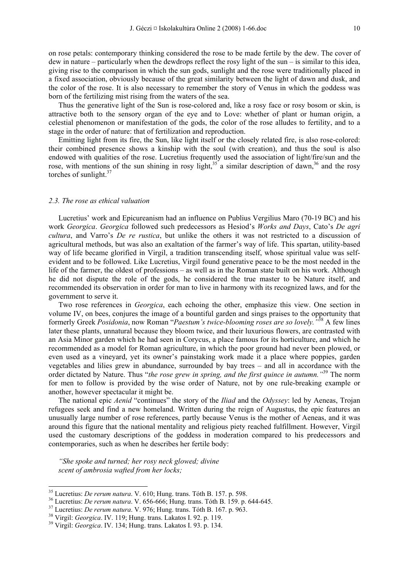on rose petals: contemporary thinking considered the rose to be made fertile by the dew. The cover of dew in nature – particularly when the dewdrops reflect the rosy light of the sun – is similar to this idea, giving rise to the comparison in which the sun gods, sunlight and the rose were traditionally placed in a fixed association, obviously because of the great similarity between the light of dawn and dusk, and the color of the rose. It is also necessary to remember the story of Venus in which the goddess was born of the fertilizing mist rising from the waters of the sea.

Thus the generative light of the Sun is rose-colored and, like a rosy face or rosy bosom or skin, is attractive both to the sensory organ of the eye and to Love: whether of plant or human origin, a celestial phenomenon or manifestation of the gods, the color of the rose alludes to fertility, and to a stage in the order of nature: that of fertilization and reproduction.

Emitting light from its fire, the Sun, like light itself or the closely related fire, is also rose-colored: their combined presence shows a kinship with the soul (with creation), and thus the soul is also endowed with qualities of the rose. Lucretius frequently used the association of light/fire/sun and the rose, with mentions of the sun shining in rosy light,<sup>35</sup> a similar description of dawn,<sup>36</sup> and the rosy torches of sunlight.<sup>37</sup>

#### *2.3. The rose as ethical valuation*

Lucretius' work and Epicureanism had an influence on Publius Vergilius Maro (70-19 BC) and his work *Georgica*. *Georgica* followed such predecessors as Hesiod's *Works and Days*, Cato's *De agri cultura*, and Varro's *De re rustica*, but unlike the others it was not restricted to a discussion of agricultural methods, but was also an exaltation of the farmer's way of life. This spartan, utility-based way of life became glorified in Virgil, a tradition transcending itself, whose spiritual value was selfevident and to be followed. Like Lucretius, Virgil found generative peace to be the most needed in the life of the farmer, the oldest of professions – as well as in the Roman state built on his work. Although he did not dispute the role of the gods, he considered the true master to be Nature itself, and recommended its observation in order for man to live in harmony with its recognized laws, and for the government to serve it.

Two rose references in *Georgica*, each echoing the other, emphasize this view. One section in volume IV, on bees, conjures the image of a bountiful garden and sings praises to the opportunity that formerly Greek *Posidonia*, now Roman "*Paestum's twice-blooming roses are so lovely."*38 A few lines later these plants, unnatural because they bloom twice, and their luxurious flowers, are contrasted with an Asia Minor garden which he had seen in Corycus, a place famous for its horticulture, and which he recommended as a model for Roman agriculture, in which the poor ground had never been plowed, or even used as a vineyard, yet its owner's painstaking work made it a place where poppies, garden vegetables and lilies grew in abundance, surrounded by bay trees – and all in accordance with the order dictated by Nature. Thus "*the rose grew in spring, and the first quince in autumn."*39 The norm for men to follow is provided by the wise order of Nature, not by one rule-breaking example or another, however spectacular it might be.

The national epic *Aenid* "continues" the story of the *Iliad* and the *Odyssey*: led by Aeneas, Trojan refugees seek and find a new homeland. Written during the reign of Augustus, the epic features an unusually large number of rose references, partly because Venus is the mother of Aeneas, and it was around this figure that the national mentality and religious piety reached fulfillment. However, Virgil used the customary descriptions of the goddess in moderation compared to his predecessors and contemporaries, such as when he describes her fertile body:

*"She spoke and turned; her rosy neck glowed; divine scent of ambrosia wafted from her locks;* 

<sup>&</sup>lt;sup>35</sup> Lucretius: *De rerum natura*. V. 610; Hung. trans. Tóth B. 157. p. 598.<br><sup>36</sup> Lucretius: *De rerum natura*. V. 656-666; Hung. trans. Tóth B. 159. p. 644-645.<br><sup>37</sup> Lucretius: *De rerum natura*. V. 976; Hung. trans. Tót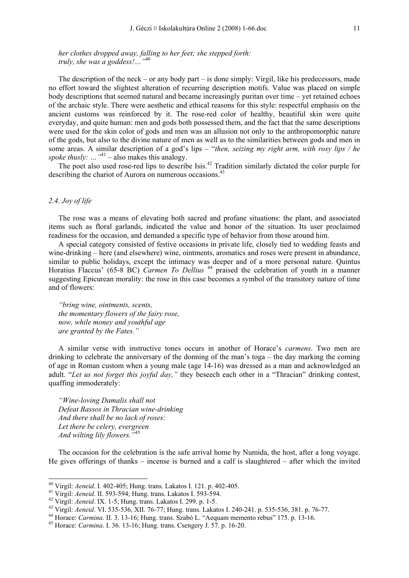*her clothes dropped away, falling to her feet; she stepped forth: truly, she was a goddess!…"*<sup>40</sup>

The description of the neck – or any body part – is done simply: Virgil, like his predecessors, made no effort toward the slightest alteration of recurring description motifs. Value was placed on simple body descriptions that seemed natural and became increasingly puritan over time – yet retained echoes of the archaic style. There were aesthetic and ethical reasons for this style: respectful emphasis on the ancient customs was reinforced by it. The rose-red color of healthy, beautiful skin were quite everyday, and quite human: men and gods both possessed them, and the fact that the same descriptions were used for the skin color of gods and men was an allusion not only to the anthropomorphic nature of the gods, but also to the divine nature of men as well as to the similarities between gods and men in some areas. A similar description of a god's lips – "*then, seizing my right arm, with rosy lips / he spoke thusly:* ... "<sup>41</sup> – also makes this analogy.

The poet also used rose-red lips to describe Isis.<sup>42</sup> Tradition similarly dictated the color purple for describing the chariot of Aurora on numerous occasions.<sup>43</sup>

## *2.4. Joy of life*

-

The rose was a means of elevating both sacred and profane situations: the plant, and associated items such as floral garlands, indicated the value and honor of the situation. Its user proclaimed readiness for the occasion, and demanded a specific type of behavior from those around him.

A special category consisted of festive occasions in private life, closely tied to wedding feasts and wine-drinking – here (and elsewhere) wine, ointments, aromatics and roses were present in abundance, similar to public holidays, except the intimacy was deeper and of a more personal nature. Quintus Horatius Flaccus' (65-8 BC) *Carmen To Dellius*<sup>44</sup> praised the celebration of youth in a manner suggesting Epicurean morality: the rose in this case becomes a symbol of the transitory nature of time and of flowers:

*"bring wine, ointments, scents, the momentary flowers of the fairy rose, now, while money and youthful age are granted by the Fates."* 

A similar verse with instructive tones occurs in another of Horace's *carmens*. Two men are drinking to celebrate the anniversary of the donning of the man's toga – the day marking the coming of age in Roman custom when a young male (age 14-16) was dressed as a man and acknowledged an adult. "*Let us not forget this joyful day,"* they beseech each other in a "Thracian" drinking contest, quaffing immoderately:

*"Wine-loving Damalis shall not Defeat Bassos in Thracian wine-drinking And there shall be no lack of roses: Let there be celery, evergreen And wilting lily flowers."*<sup>45</sup>

The occasion for the celebration is the safe arrival home by Numida, the host, after a long voyage. He gives offerings of thanks – incense is burned and a calf is slaughtered – after which the invited

<sup>&</sup>lt;sup>40</sup> Virgil: *Aeneid.* I. 402-405; Hung. trans. Lakatos I. 121. p. 402-405.<br>
<sup>41</sup> Virgil: *Aeneid.* II. 593-594; Hung. trans. Lakatos I. 593-594.<br>
<sup>42</sup> Virgil: *Aeneid.* IX. 1-5; Hung. trans. Lakatos I. 299. p. 1-5.<br>
<sup>43</sup>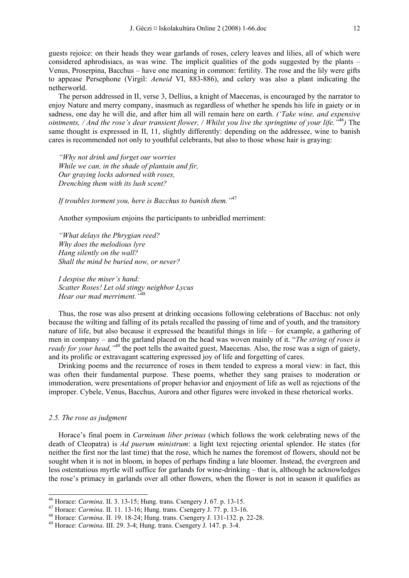guests rejoice: on their heads they wear garlands of roses, celery leaves and lilies, all of which were considered aphrodisiacs, as was wine. The implicit qualities of the gods suggested by the plants – Venus, Proserpina, Bacchus – have one meaning in common: fertility. The rose and the lily were gifts to appease Persephone (Virgil: *Aeneid* VI, 883-886), and celery was also a plant indicating the netherworld.

The person addressed in II, verse 3, Dellius, a knight of Maecenas, is encouraged by the narrator to enjoy Nature and merry company, inasmuch as regardless of whether he spends his life in gaiety or in sadness, one day he will die, and after him all will remain here on earth. *('Take wine, and expensive ointments, / And the rose's dear transient flower, / Whilst you live the springtime of your life."*<sup>46</sup>*)* The same thought is expressed in II, 11, slightly differently: depending on the addressee, wine to banish cares is recommended not only to youthful celebrants, but also to those whose hair is graying:

*"Why not drink and forget our worries While we can, in the shade of plantain and fir, Our graying locks adorned with roses, Drenching them with its lush scent?* 

*If troubles torment you, here is Bacchus to banish them."*<sup>47</sup>

Another symposium enjoins the participants to unbridled merriment:

*"What delays the Phrygian reed? Why does the melodious lyre Hang silently on the wall? Shall the mind be buried now, or never?* 

*I despise the miser's hand: Scatter Roses! Let old stingy neighbor Lycus Hear our mad merriment."*<sup>48</sup>

Thus, the rose was also present at drinking occasions following celebrations of Bacchus: not only because the wilting and falling of its petals recalled the passing of time and of youth, and the transitory nature of life, but also because it expressed the beautiful things in life – for example, a gathering of men in company – and the garland placed on the head was woven mainly of it. "*The string of roses is ready for your head,* <sup>49</sup> the poet tells the awaited guest, Maecenas. Also, the rose was a sign of gaiety, and its prolific or extravagant scattering expressed joy of life and forgetting of cares.

Drinking poems and the recurrence of roses in them tended to express a moral view: in fact, this was often their fundamental purpose. These poems, whether they sang praises to moderation or immoderation, were presentations of proper behavior and enjoyment of life as well as rejections of the improper. Cybele, Venus, Bacchus, Aurora and other figures were invoked in these rhetorical works.

#### *2.5. The rose as judgment*

Horace's final poem in *Carminum liber primus* (which follows the work celebrating news of the death of Cleopatra) is *Ad puerum ministrum*: a light text rejecting oriental splendor. He states (for neither the first nor the last time) that the rose, which he names the foremost of flowers, should not be sought when it is not in bloom, in hopes of perhaps finding a late bloomer. Instead, the evergreen and less ostentatious myrtle will suffice for garlands for wine-drinking – that is, although he acknowledges the rose's primacy in garlands over all other flowers, when the flower is not in season it qualifies as

<sup>&</sup>lt;sup>46</sup> Horace: *Carmina*. II. 3. 13-15; Hung. trans. Csengery J. 67. p. 13-15.

<sup>&</sup>lt;sup>47</sup> Horace: *Carmina*. II. 11. 13-16; Hung. trans. Csengery J. 77. p. 13-16.<br><sup>48</sup> Horace: *Carmina*. II. 19. 18-24; Hung. trans. Csengery J. 131-132. p. 22-28.<br><sup>49</sup> Horace: *Carmina*. III. 29. 3-4; Hung. trans. Csengery J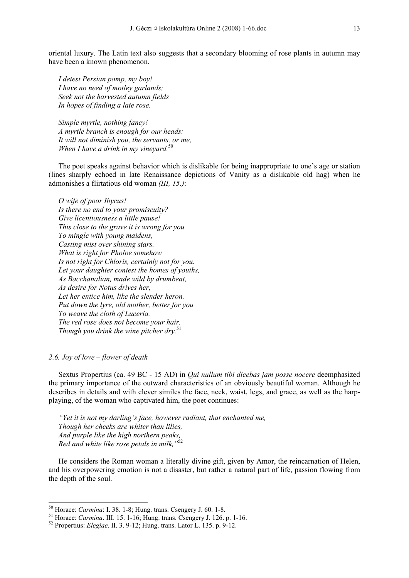oriental luxury. The Latin text also suggests that a secondary blooming of rose plants in autumn may have been a known phenomenon.

*I detest Persian pomp, my boy! I have no need of motley garlands; Seek not the harvested autumn fields In hopes of finding a late rose.* 

*Simple myrtle, nothing fancy! A myrtle branch is enough for our heads: It will not diminish you, the servants, or me, When I have a drink in my vineyard.*<sup>50</sup>

The poet speaks against behavior which is dislikable for being inappropriate to one's age or station (lines sharply echoed in late Renaissance depictions of Vanity as a dislikable old hag) when he admonishes a flirtatious old woman *(III, 15.)*:

*O wife of poor Ibycus! Is there no end to your promiscuity? Give licentiousness a little pause! This close to the grave it is wrong for you To mingle with young maidens, Casting mist over shining stars. What is right for Pholoe somehow Is not right for Chloris, certainly not for you. Let your daughter contest the homes of youths, As Bacchanalian, made wild by drumbeat, As desire for Notus drives her, Let her entice him, like the slender heron. Put down the lyre, old mother, better for you To weave the cloth of Luceria. The red rose does not become your hair, Though you drink the wine pitcher dry.*<sup>51</sup>

## *2.6. Joy of love – flower of death*

-

Sextus Propertius (ca. 49 BC - 15 AD) in *Qui nullum tibi dicebas jam posse nocere* deemphasized the primary importance of the outward characteristics of an obviously beautiful woman. Although he describes in details and with clever similes the face, neck, waist, legs, and grace, as well as the harpplaying, of the woman who captivated him, the poet continues:

*"Yet it is not my darling's face, however radiant, that enchanted me, Though her cheeks are whiter than lilies, And purple like the high northern peaks, Red and white like rose petals in milk,"*<sup>52</sup>

He considers the Roman woman a literally divine gift, given by Amor, the reincarnation of Helen, and his overpowering emotion is not a disaster, but rather a natural part of life, passion flowing from the depth of the soul.

<sup>&</sup>lt;sup>50</sup> Horace: *Carmina*: I. 38. 1-8; Hung. trans. Csengery J. 60. 1-8.<br><sup>51</sup> Horace: *Carmina*. III. 15. 1-16; Hung. trans. Csengery J. 126. p. 1-16.<br><sup>52</sup> Propertius: *Elegiae*. II. 3. 9-12: Hung. trans. Lator L. 135. p. 9-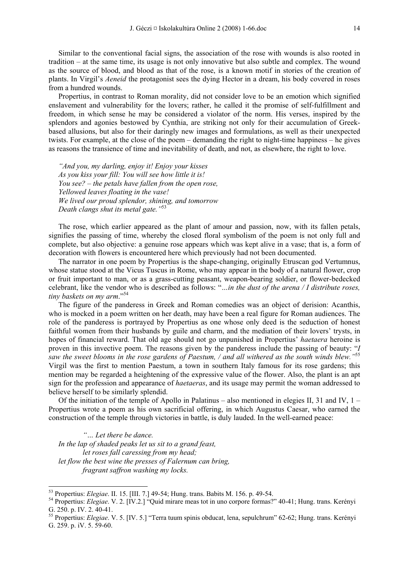Similar to the conventional facial signs, the association of the rose with wounds is also rooted in tradition – at the same time, its usage is not only innovative but also subtle and complex. The wound as the source of blood, and blood as that of the rose, is a known motif in stories of the creation of plants. In Virgil's *Aeneid* the protagonist sees the dying Hector in a dream, his body covered in roses from a hundred wounds.

Propertius, in contrast to Roman morality, did not consider love to be an emotion which signified enslavement and vulnerability for the lovers; rather, he called it the promise of self-fulfillment and freedom, in which sense he may be considered a violator of the norm. His verses, inspired by the splendors and agonies bestowed by Cynthia, are striking not only for their accumulation of Greekbased allusions, but also for their daringly new images and formulations, as well as their unexpected twists. For example, at the close of the poem – demanding the right to night-time happiness – he gives as reasons the transience of time and inevitability of death, and not, as elsewhere, the right to love.

*"And you, my darling, enjoy it! Enjoy your kisses As you kiss your fill: You will see how little it is! You see? – the petals have fallen from the open rose, Yellowed leaves floating in the vase! We lived our proud splendor, shining, and tomorrow Death clangs shut its metal gate."*<sup>53</sup>

The rose, which earlier appeared as the plant of amour and passion, now, with its fallen petals, signifies the passing of time, whereby the closed floral symbolism of the poem is not only full and complete, but also objective: a genuine rose appears which was kept alive in a vase; that is, a form of decoration with flowers is encountered here which previously had not been documented.

The narrator in one poem by Propertius is the shape-changing, originally Etruscan god Vertumnus, whose statue stood at the Vicus Tuscus in Rome, who may appear in the body of a natural flower, crop or fruit important to man, or as a grass-cutting peasant, weapon-bearing soldier, or flower-bedecked celebrant, like the vendor who is described as follows: "*…in the dust of the arena / I distribute roses, tiny baskets on my arm*."<sup>54</sup>

The figure of the panderess in Greek and Roman comedies was an object of derision: Acanthis, who is mocked in a poem written on her death, may have been a real figure for Roman audiences. The role of the panderess is portrayed by Propertius as one whose only deed is the seduction of honest faithful women from their husbands by guile and charm, and the mediation of their lovers' trysts, in hopes of financial reward. That old age should not go unpunished in Propertius' *haetaera* heroine is proven in this invective poem. The reasons given by the panderess include the passing of beauty: "*I saw the sweet blooms in the rose gardens of Paestum, / and all withered as the south winds blew."*<sup>55</sup> Virgil was the first to mention Paestum, a town in southern Italy famous for its rose gardens; this mention may be regarded a heightening of the expressive value of the flower. Also, the plant is an apt sign for the profession and appearance of *haetaeras*, and its usage may permit the woman addressed to believe herself to be similarly splendid.

Of the initiation of the temple of Apollo in Palatinus – also mentioned in elegies II, 31 and IV,  $1 -$ Propertius wrote a poem as his own sacrificial offering, in which Augustus Caesar, who earned the construction of the temple through victories in battle, is duly lauded. In the well-earned peace:

*"… Let there be dance. In the lap of shaded peaks let us sit to a grand feast, let roses fall caressing from my head; let flow the best wine the presses of Falernum can bring, fragrant saffron washing my locks.* 

<sup>53</sup> Propertius: *Elegiae*. II. 15. [III. 7.] 49-54; Hung. trans. Babits M. 156. p. 49-54. 54 Propertius: *Elegiae*. V. 2. [IV.2.] "Quid mirare meas tot in uno corpore formas?" 40-41; Hung. trans. Kerényi G. 250. p. IV. 2. 40-41.

<sup>55</sup> Propertius: *Elegiae*. V. 5. [IV. 5.] "Terra tuum spinis obducat, lena, sepulchrum" 62-62; Hung. trans. Kerényi G. 259. p. iV. 5. 59-60.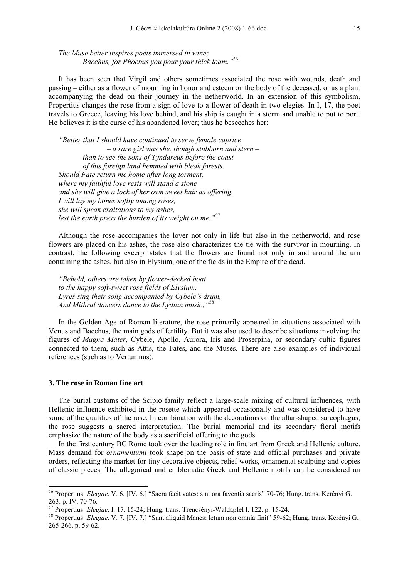*The Muse better inspires poets immersed in wine; Bacchus, for Phoebus you pour your thick loam."*<sup>56</sup>

It has been seen that Virgil and others sometimes associated the rose with wounds, death and passing – either as a flower of mourning in honor and esteem on the body of the deceased, or as a plant accompanying the dead on their journey in the netherworld. In an extension of this symbolism, Propertius changes the rose from a sign of love to a flower of death in two elegies. In I, 17, the poet travels to Greece, leaving his love behind, and his ship is caught in a storm and unable to put to port. He believes it is the curse of his abandoned lover; thus he beseeches her:

*"Better that I should have continued to serve female caprice – a rare girl was she, though stubborn and stern – than to see the sons of Tyndareus before the coast of this foreign land hemmed with bleak forests. Should Fate return me home after long torment, where my faithful love rests will stand a stone and she will give a lock of her own sweet hair as offering, I will lay my bones softly among roses, she will speak exaltations to my ashes, lest the earth press the burden of its weight on me."*<sup>57</sup>

Although the rose accompanies the lover not only in life but also in the netherworld, and rose flowers are placed on his ashes, the rose also characterizes the tie with the survivor in mourning. In contrast, the following excerpt states that the flowers are found not only in and around the urn containing the ashes, but also in Elysium, one of the fields in the Empire of the dead.

*"Behold, others are taken by flower-decked boat to the happy soft-sweet rose fields of Elysium. Lyres sing their song accompanied by Cybele's drum, And Mithral dancers dance to the Lydian music;"*<sup>58</sup>

In the Golden Age of Roman literature, the rose primarily appeared in situations associated with Venus and Bacchus, the main gods of fertility. But it was also used to describe situations involving the figures of *Magna Mater*, Cybele, Apollo, Aurora, Iris and Proserpina, or secondary cultic figures connected to them, such as Attis, the Fates, and the Muses. There are also examples of individual references (such as to Vertumnus).

#### **3. The rose in Roman fine art**

-

The burial customs of the Scipio family reflect a large-scale mixing of cultural influences, with Hellenic influence exhibited in the rosette which appeared occasionally and was considered to have some of the qualities of the rose. In combination with the decorations on the altar-shaped sarcophagus, the rose suggests a sacred interpretation. The burial memorial and its secondary floral motifs emphasize the nature of the body as a sacrificial offering to the gods.

In the first century BC Rome took over the leading role in fine art from Greek and Hellenic culture. Mass demand for *ornamentumi* took shape on the basis of state and official purchases and private orders, reflecting the market for tiny decorative objects, relief works, ornamental sculpting and copies of classic pieces. The allegorical and emblematic Greek and Hellenic motifs can be considered an

<sup>56</sup> Propertius: *Elegiae*. V. 6. [IV. 6.] "Sacra facit vates: sint ora faventia sacris" 70-76; Hung. trans. Kerényi G. 263. p. IV. 70-76.<br><sup>57</sup> Propertius: *Elegiae*. I. 17. 15-24; Hung. trans. Trencsényi-Waldapfel I. 122. p. 15-24.

<sup>&</sup>lt;sup>58</sup> Propertius: *Elegiae*. V. 7. [IV. 7.] "Sunt aliquid Manes: letum non omnia finit" 59-62; Hung. trans. Kerényi G. 265-266. p. 59-62.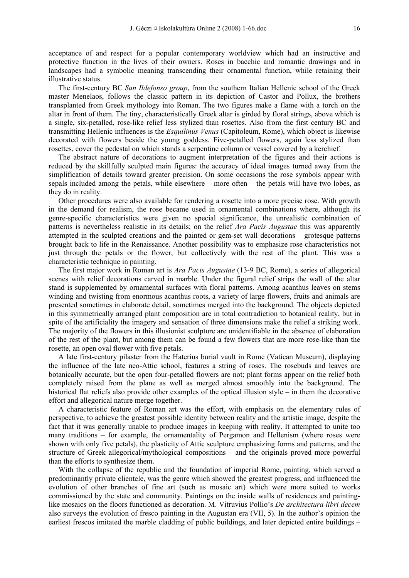acceptance of and respect for a popular contemporary worldview which had an instructive and protective function in the lives of their owners. Roses in bacchic and romantic drawings and in landscapes had a symbolic meaning transcending their ornamental function, while retaining their illustrative status.

The first-century BC *San Ildefonso group*, from the southern Italian Hellenic school of the Greek master Menelaos, follows the classic pattern in its depiction of Castor and Pollux, the brothers transplanted from Greek mythology into Roman. The two figures make a flame with a torch on the altar in front of them. The tiny, characteristically Greek altar is girded by floral strings, above which is a single, six-petalled, rose-like relief less stylized than rosettes. Also from the first century BC and transmitting Hellenic influences is the *Esquilinus Venus* (Capitoleum, Rome), which object is likewise decorated with flowers beside the young goddess. Five-petalled flowers, again less stylized than rosettes, cover the pedestal on which stands a serpentine column or vessel covered by a kerchief.

The abstract nature of decorations to augment interpretation of the figures and their actions is reduced by the skillfully sculpted main figures: the accuracy of ideal images turned away from the simplification of details toward greater precision. On some occasions the rose symbols appear with sepals included among the petals, while elsewhere – more often – the petals will have two lobes, as they do in reality.

Other procedures were also available for rendering a rosette into a more precise rose. With growth in the demand for realism, the rose became used in ornamental combinations where, although its genre-specific characteristics were given no special significance, the unrealistic combination of patterns is nevertheless realistic in its details; on the relief *Ara Pacis Augustae* this was apparently attempted in the sculpted creations and the painted or gem-set wall decorations – grotesque patterns brought back to life in the Renaissance. Another possibility was to emphasize rose characteristics not just through the petals or the flower, but collectively with the rest of the plant. This was a characteristic technique in painting.

The first major work in Roman art is *Ara Pacis Augustae* (13-9 BC, Rome), a series of allegorical scenes with relief decorations carved in marble. Under the figural relief strips the wall of the altar stand is supplemented by ornamental surfaces with floral patterns. Among acanthus leaves on stems winding and twisting from enormous acanthus roots, a variety of large flowers, fruits and animals are presented sometimes in elaborate detail, sometimes merged into the background. The objects depicted in this symmetrically arranged plant composition are in total contradiction to botanical reality, but in spite of the artificiality the imagery and sensation of three dimensions make the relief a striking work. The majority of the flowers in this illusionist sculpture are unidentifiable in the absence of elaboration of the rest of the plant, but among them can be found a few flowers that are more rose-like than the rosette, an open oval flower with five petals.

A late first-century pilaster from the Haterius burial vault in Rome (Vatican Museum), displaying the influence of the late neo-Attic school, features a string of roses. The rosebuds and leaves are botanically accurate, but the open four-petalled flowers are not; plant forms appear on the relief both completely raised from the plane as well as merged almost smoothly into the background. The historical flat reliefs also provide other examples of the optical illusion style – in them the decorative effort and allegorical nature merge together.

A characteristic feature of Roman art was the effort, with emphasis on the elementary rules of perspective, to achieve the greatest possible identity between reality and the artistic image, despite the fact that it was generally unable to produce images in keeping with reality. It attempted to unite too many traditions – for example, the ornamentality of Pergamon and Hellenism (where roses were shown with only five petals), the plasticity of Attic sculpture emphasizing forms and patterns, and the structure of Greek allegorical/mythological compositions – and the originals proved more powerful than the efforts to synthesize them.

With the collapse of the republic and the foundation of imperial Rome, painting, which served a predominantly private clientele, was the genre which showed the greatest progress, and influenced the evolution of other branches of fine art (such as mosaic art) which were more suited to works commissioned by the state and community. Paintings on the inside walls of residences and paintinglike mosaics on the floors functioned as decoration. M. Vitruvius Pollio's *De architectura libri decem* also surveys the evolution of fresco painting in the Augustan era (VII, 5). In the author's opinion the earliest frescos imitated the marble cladding of public buildings, and later depicted entire buildings –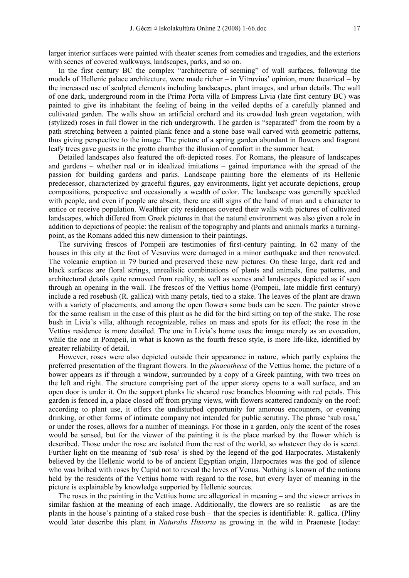larger interior surfaces were painted with theater scenes from comedies and tragedies, and the exteriors with scenes of covered walkways, landscapes, parks, and so on.

In the first century BC the complex "architecture of seeming" of wall surfaces, following the models of Hellenic palace architecture, were made richer – in Vitruvius' opinion, more theatrical – by the increased use of sculpted elements including landscapes, plant images, and urban details. The wall of one dark, underground room in the Prima Porta villa of Empress Livia (late first century BC) was painted to give its inhabitant the feeling of being in the veiled depths of a carefully planned and cultivated garden. The walls show an artificial orchard and its crowded lush green vegetation, with (stylized) roses in full flower in the rich undergrowth. The garden is "separated" from the room by a path stretching between a painted plank fence and a stone base wall carved with geometric patterns, thus giving perspective to the image. The picture of a spring garden abundant in flowers and fragrant leafy trees gave guests in the grotto chamber the illusion of comfort in the summer heat.

Detailed landscapes also featured the oft-depicted roses. For Romans, the pleasure of landscapes and gardens – whether real or in idealized imitations – gained importance with the spread of the passion for building gardens and parks. Landscape painting bore the elements of its Hellenic predecessor, characterized by graceful figures, gay environments, light yet accurate depictions, group compositions, perspective and occasionally a wealth of color. The landscape was generally speckled with people, and even if people are absent, there are still signs of the hand of man and a character to entice or receive population. Wealthier city residences covered their walls with pictures of cultivated landscapes, which differed from Greek pictures in that the natural environment was also given a role in addition to depictions of people: the realism of the topography and plants and animals marks a turningpoint, as the Romans added this new dimension to their paintings.

The surviving frescos of Pompeii are testimonies of first-century painting. In 62 many of the houses in this city at the foot of Vesuvius were damaged in a minor earthquake and then renovated. The volcanic eruption in 79 buried and preserved these new pictures. On these large, dark red and black surfaces are floral strings, unrealistic combinations of plants and animals, fine patterns, and architectural details quite removed from reality, as well as scenes and landscapes depicted as if seen through an opening in the wall. The frescos of the Vettius home (Pompeii, late middle first century) include a red rosebush (R. gallica) with many petals, tied to a stake. The leaves of the plant are drawn with a variety of placements, and among the open flowers some buds can be seen. The painter strove for the same realism in the case of this plant as he did for the bird sitting on top of the stake. The rose bush in Livia's villa, although recognizable, relies on mass and spots for its effect; the rose in the Vettius residence is more detailed. The one in Livia's home uses the image merely as an evocation, while the one in Pompeii, in what is known as the fourth fresco style, is more life-like, identified by greater reliability of detail.

However, roses were also depicted outside their appearance in nature, which partly explains the preferred presentation of the fragrant flowers. In the *pinacotheca* of the Vettius home, the picture of a bower appears as if through a window, surrounded by a copy of a Greek painting, with two trees on the left and right. The structure comprising part of the upper storey opens to a wall surface, and an open door is under it. On the support planks lie sheared rose branches blooming with red petals. This garden is fenced in, a place closed off from prying views, with flowers scattered randomly on the roof: according to plant use, it offers the undisturbed opportunity for amorous encounters, or evening drinking, or other forms of intimate company not intended for public scrutiny. The phrase 'sub rosa,' or under the roses, allows for a number of meanings. For those in a garden, only the scent of the roses would be sensed, but for the viewer of the painting it is the place marked by the flower which is described. Those under the rose are isolated from the rest of the world, so whatever they do is secret. Further light on the meaning of 'sub rosa' is shed by the legend of the god Harpocrates. Mistakenly believed by the Hellenic world to be of ancient Egyptian origin, Harpocrates was the god of silence who was bribed with roses by Cupid not to reveal the loves of Venus. Nothing is known of the notions held by the residents of the Vettius home with regard to the rose, but every layer of meaning in the picture is explainable by knowledge supported by Hellenic sources.

The roses in the painting in the Vettius home are allegorical in meaning – and the viewer arrives in similar fashion at the meaning of each image. Additionally, the flowers are so realistic – as are the plants in the house's painting of a staked rose bush – that the species is identifiable: R. gallica. (Pliny would later describe this plant in *Naturalis Historia* as growing in the wild in Praeneste [today: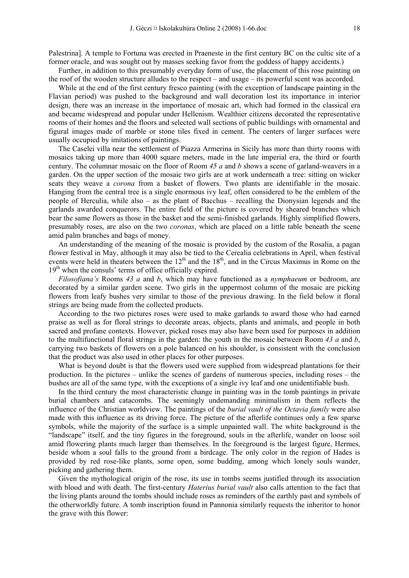Palestrina]. A temple to Fortuna was erected in Praeneste in the first century BC on the cultic site of a former oracle, and was sought out by masses seeking favor from the goddess of happy accidents.)

Further, in addition to this presumably everyday form of use, the placement of this rose painting on the roof of the wooden structure alludes to the respect – and usage – its powerful scent was accorded.

While at the end of the first century fresco painting (with the exception of landscape painting in the Flavian period) was pushed to the background and wall decoration lost its importance in interior design, there was an increase in the importance of mosaic art, which had formed in the classical era and became widespread and popular under Hellenism. Wealthier citizens decorated the representative rooms of their homes and the floors and selected wall sections of public buildings with ornamental and figural images made of marble or stone tiles fixed in cement. The centers of larger surfaces were usually occupied by imitations of paintings.

The Caselei villa near the settlement of Piazza Armerina in Sicily has more than thirty rooms with mosaics taking up more than 4000 square meters, made in the late imperial era, the third or fourth century. The columnar mosaic on the floor of Room *45 a* and *b* shows a scene of garland-weavers in a garden. On the upper section of the mosaic two girls are at work underneath a tree: sitting on wicker seats they weave a *corona* from a basket of flowers. Two plants are identifiable in the mosaic. Hanging from the central tree is a single enormous ivy leaf, often considered to be the emblem of the people of Herculia, while also – as the plant of Bacchus – recalling the Dionysian legends and the garlands awarded conquerors. The entire field of the picture is covered by sheared branches which bear the same flowers as those in the basket and the semi-finished garlands. Highly simplified flowers, presumably roses, are also on the two *coronas*, which are placed on a little table beneath the scene amid palm branches and bags of money.

An understanding of the meaning of the mosaic is provided by the custom of the Rosalia, a pagan flower festival in May, although it may also be tied to the Cerealia celebrations in April, when festival events were held in theaters between the 12<sup>th</sup> and the 18<sup>th</sup>, and in the Circus Maximus in Rome on the  $19<sup>th</sup>$  when the consuls' terms of office officially expired.

*Filosofiana's* Rooms *43 a* and *b*, which may have functioned as a *nymphaeum* or bedroom, are decorated by a similar garden scene. Two girls in the uppermost column of the mosaic are picking flowers from leafy bushes very similar to those of the previous drawing. In the field below it floral strings are being made from the collected products.

According to the two pictures roses were used to make garlands to award those who had earned praise as well as for floral strings to decorate areas, objects, plants and animals, and people in both sacred and profane contexts. However, picked roses may also have been used for purposes in addition to the multifunctional floral strings in the garden: the youth in the mosaic between Room *43 a* and *b*, carrying two baskets of flowers on a pole balanced on his shoulder, is consistent with the conclusion that the product was also used in other places for other purposes.

What is beyond doubt is that the flowers used were supplied from widespread plantations for their production. In the pictures – unlike the scenes of gardens of numerous species, including roses – the bushes are all of the same type, with the exceptions of a single ivy leaf and one unidentifiable bush.

In the third century the most characteristic change in painting was in the tomb paintings in private burial chambers and catacombs. The seemingly undemanding minimalism in them reflects the influence of the Christian worldview. The paintings of the *burial vault of the Octavia family* were also made with this influence as its driving force. The picture of the afterlife continues only a few sparse symbols, while the majority of the surface is a simple unpainted wall. The white background is the "landscape" itself, and the tiny figures in the foreground, souls in the afterlife, wander on loose soil amid flowering plants much larger than themselves. In the foreground is the largest figure, Hermes, beside whom a soul falls to the ground from a birdcage. The only color in the region of Hades is provided by red rose-like plants, some open, some budding, among which lonely souls wander, picking and gathering them.

Given the mythological origin of the rose, its use in tombs seems justified through its association with blood and with death. The first-century *Haterius burial vault* also calls attention to the fact that the living plants around the tombs should include roses as reminders of the earthly past and symbols of the otherworldly future. A tomb inscription found in Pannonia similarly requests the inheritor to honor the grave with this flower: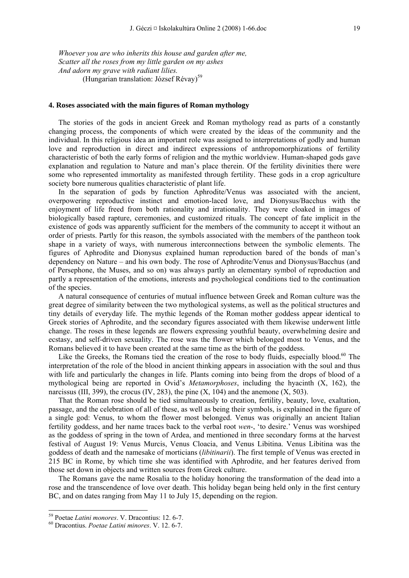*Whoever you are who inherits this house and garden after me, Scatter all the roses from my little garden on my ashes And adorn my grave with radiant lilies.*  (Hungarian translation: József Révav)<sup>59</sup>

#### **4. Roses associated with the main figures of Roman mythology**

The stories of the gods in ancient Greek and Roman mythology read as parts of a constantly changing process, the components of which were created by the ideas of the community and the individual. In this religious idea an important role was assigned to interpretations of godly and human love and reproduction in direct and indirect expressions of anthropomorphizations of fertility characteristic of both the early forms of religion and the mythic worldview. Human-shaped gods gave explanation and regulation to Nature and man's place therein. Of the fertility divinities there were some who represented immortality as manifested through fertility. These gods in a crop agriculture society bore numerous qualities characteristic of plant life.

In the separation of gods by function Aphrodite/Venus was associated with the ancient, overpowering reproductive instinct and emotion-laced love, and Dionysus/Bacchus with the enjoyment of life freed from both rationality and irrationality. They were cloaked in images of biologically based rapture, ceremonies, and customized rituals. The concept of fate implicit in the existence of gods was apparently sufficient for the members of the community to accept it without an order of priests. Partly for this reason, the symbols associated with the members of the pantheon took shape in a variety of ways, with numerous interconnections between the symbolic elements. The figures of Aphrodite and Dionysus explained human reproduction bared of the bonds of man's dependency on Nature – and his own body. The rose of Aphrodite/Venus and Dionysus/Bacchus (and of Persephone, the Muses, and so on) was always partly an elementary symbol of reproduction and partly a representation of the emotions, interests and psychological conditions tied to the continuation of the species.

A natural consequence of centuries of mutual influence between Greek and Roman culture was the great degree of similarity between the two mythological systems, as well as the political structures and tiny details of everyday life. The mythic legends of the Roman mother goddess appear identical to Greek stories of Aphrodite, and the secondary figures associated with them likewise underwent little change. The roses in these legends are flowers expressing youthful beauty, overwhelming desire and ecstasy, and self-driven sexuality. The rose was the flower which belonged most to Venus, and the Romans believed it to have been created at the same time as the birth of the goddess.

Like the Greeks, the Romans tied the creation of the rose to body fluids, especially blood.<sup>60</sup> The interpretation of the role of the blood in ancient thinking appears in association with the soul and thus with life and particularly the changes in life. Plants coming into being from the drops of blood of a mythological being are reported in Ovid's *Metamorphoses*, including the hyacinth (X, 162), the narcissus (III, 399), the crocus (IV, 283), the pine  $(X, 104)$  and the anemone  $(X, 503)$ .

That the Roman rose should be tied simultaneously to creation, fertility, beauty, love, exaltation, passage, and the celebration of all of these, as well as being their symbols, is explained in the figure of a single god: Venus, to whom the flower most belonged. Venus was originally an ancient Italian fertility goddess, and her name traces back to the verbal root *wen*-, 'to desire.' Venus was worshiped as the goddess of spring in the town of Ardea, and mentioned in three secondary forms at the harvest festival of August 19: Venus Murcis, Venus Cloacia, and Venus Libitina. Venus Libitina was the goddess of death and the namesake of morticians (*libitinarii*). The first temple of Venus was erected in 215 BC in Rome, by which time she was identified with Aphrodite, and her features derived from those set down in objects and written sources from Greek culture.

The Romans gave the name Rosalia to the holiday honoring the transformation of the dead into a rose and the transcendence of love over death. This holiday began being held only in the first century BC, and on dates ranging from May 11 to July 15, depending on the region.

<sup>59</sup> Poetae *Latini monores*. V. Dracontius: 12. 6-7. 60 Dracontius. *Poetae Latini minores*. V. 12. 6-7.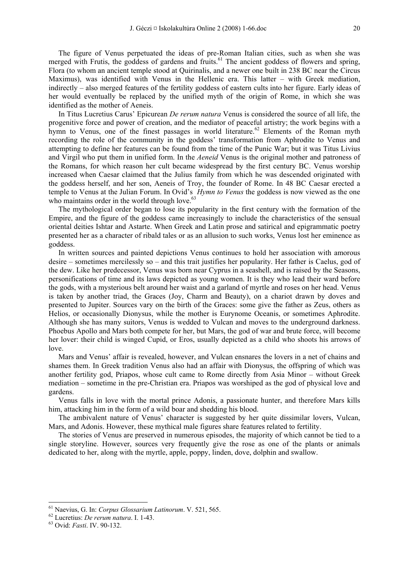The figure of Venus perpetuated the ideas of pre-Roman Italian cities, such as when she was merged with Frutis, the goddess of gardens and fruits.<sup>61</sup> The ancient goddess of flowers and spring, Flora (to whom an ancient temple stood at Quirinalis, and a newer one built in 238 BC near the Circus Maximus), was identified with Venus in the Hellenic era. This latter – with Greek mediation, indirectly – also merged features of the fertility goddess of eastern cults into her figure. Early ideas of her would eventually be replaced by the unified myth of the origin of Rome, in which she was identified as the mother of Aeneis.

In Titus Lucretius Carus' Epicurean *De rerum natura* Venus is considered the source of all life, the progenitive force and power of creation, and the mediator of peaceful artistry; the work begins with a hymn to Venus, one of the finest passages in world literature.<sup>62</sup> Elements of the Roman myth recording the role of the community in the goddess' transformation from Aphrodite to Venus and attempting to define her features can be found from the time of the Punic War; but it was Titus Livius and Virgil who put them in unified form. In the *Aeneid* Venus is the original mother and patroness of the Romans, for which reason her cult became widespread by the first century BC. Venus worship increased when Caesar claimed that the Julius family from which he was descended originated with the goddess herself, and her son, Aeneis of Troy, the founder of Rome. In 48 BC Caesar erected a temple to Venus at the Julian Forum. In Ovid's *Hymn to Venus* the goddess is now viewed as the one who maintains order in the world through love.<sup>63</sup>

The mythological order began to lose its popularity in the first century with the formation of the Empire, and the figure of the goddess came increasingly to include the characteristics of the sensual oriental deities Ishtar and Astarte. When Greek and Latin prose and satirical and epigrammatic poetry presented her as a character of ribald tales or as an allusion to such works, Venus lost her eminence as goddess.

In written sources and painted depictions Venus continues to hold her association with amorous desire – sometimes mercilessly so – and this trait justifies her popularity. Her father is Caelus, god of the dew. Like her predecessor, Venus was born near Cyprus in a seashell, and is raised by the Seasons, personifications of time and its laws depicted as young women. It is they who lead their ward before the gods, with a mysterious belt around her waist and a garland of myrtle and roses on her head. Venus is taken by another triad, the Graces (Joy, Charm and Beauty), on a chariot drawn by doves and presented to Jupiter. Sources vary on the birth of the Graces: some give the father as Zeus, others as Helios, or occasionally Dionysus, while the mother is Eurynome Oceanis, or sometimes Aphrodite. Although she has many suitors, Venus is wedded to Vulcan and moves to the underground darkness. Phoebus Apollo and Mars both compete for her, but Mars, the god of war and brute force, will become her lover: their child is winged Cupid, or Eros, usually depicted as a child who shoots his arrows of love.

Mars and Venus' affair is revealed, however, and Vulcan ensnares the lovers in a net of chains and shames them. In Greek tradition Venus also had an affair with Dionysus, the offspring of which was another fertility god, Priapos, whose cult came to Rome directly from Asia Minor – without Greek mediation – sometime in the pre-Christian era. Priapos was worshiped as the god of physical love and gardens.

Venus falls in love with the mortal prince Adonis, a passionate hunter, and therefore Mars kills him, attacking him in the form of a wild boar and shedding his blood.

The ambivalent nature of Venus' character is suggested by her quite dissimilar lovers, Vulcan, Mars, and Adonis. However, these mythical male figures share features related to fertility.

The stories of Venus are preserved in numerous episodes, the majority of which cannot be tied to a single storyline. However, sources very frequently give the rose as one of the plants or animals dedicated to her, along with the myrtle, apple, poppy, linden, dove, dolphin and swallow.

<sup>61</sup> Naevius, G. In: *Corpus Glossarium Latinorum*. V. 521, 565. 62 Lucretius: *De rerum natura*. I. 1-43. 63 Ovid: *Fasti*. IV. 90-132.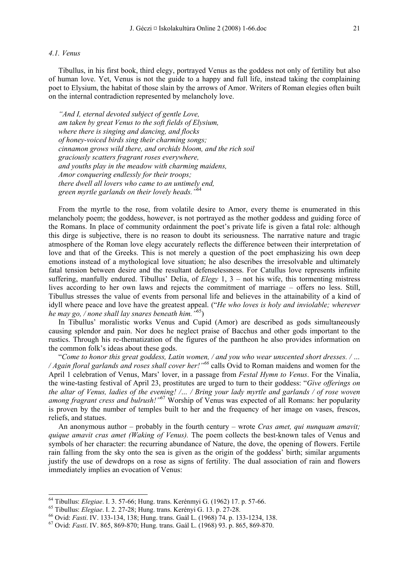#### *4.1. Venus*

Tibullus, in his first book, third elegy, portrayed Venus as the goddess not only of fertility but also of human love. Yet, Venus is not the guide to a happy and full life, instead taking the complaining poet to Elysium, the habitat of those slain by the arrows of Amor. Writers of Roman elegies often built on the internal contradiction represented by melancholy love.

*"And I, eternal devoted subject of gentle Love, am taken by great Venus to the soft fields of Elysium, where there is singing and dancing, and flocks of honey-voiced birds sing their charming songs; cinnamon grows wild there, and orchids bloom, and the rich soil graciously scatters fragrant roses everywhere, and youths play in the meadow with charming maidens, Amor conquering endlessly for their troops; there dwell all lovers who came to an untimely end, green myrtle garlands on their lovely heads."*<sup>64</sup>

From the myrtle to the rose, from volatile desire to Amor, every theme is enumerated in this melancholy poem; the goddess, however, is not portrayed as the mother goddess and guiding force of the Romans. In place of community ordainment the poet's private life is given a fatal role: although this dirge is subjective, there is no reason to doubt its seriousness. The narrative nature and tragic atmosphere of the Roman love elegy accurately reflects the difference between their interpretation of love and that of the Greeks. This is not merely a question of the poet emphasizing his own deep emotions instead of a mythological love situation; he also describes the irresolvable and ultimately fatal tension between desire and the resultant defenselessness. For Catullus love represents infinite suffering, manfully endured. Tibullus' Delia, of *Elegy* 1, 3 – not his wife, this tormenting mistress lives according to her own laws and rejects the commitment of marriage – offers no less. Still, Tibullus stresses the value of events from personal life and believes in the attainability of a kind of idyll where peace and love have the greatest appeal. ("*He who loves is holy and inviolable; wherever he may go, / none shall lay snares beneath him."*65)

In Tibullus' moralistic works Venus and Cupid (Amor) are described as gods simultaneously causing splendor and pain. Nor does he neglect praise of Bacchus and other gods important to the rustics. Through his re-thematization of the figures of the pantheon he also provides information on the common folk's ideas about these gods.

"*Come to honor this great goddess, Latin women, / and you who wear unscented short dresses. / … / Again floral garlands and roses shall cover her!"<sup>66</sup>* calls Ovid to Roman maidens and women for the April 1 celebration of Venus, Mars' lover, in a passage from *Festal Hymn to Venus*. For the Vinalia, the wine-tasting festival of April 23, prostitutes are urged to turn to their goddess: "*Give offerings on the altar of Venus, ladies of the evening! /… / Bring your lady myrtle and garlands / of rose woven among fragrant cress and bulrush!"*67 Worship of Venus was expected of all Romans: her popularity is proven by the number of temples built to her and the frequency of her image on vases, frescos, reliefs, and statues.

An anonymous author – probably in the fourth century – wrote *Cras amet, qui nunquam amavit; quique amavit cras amet (Waking of Venus).* The poem collects the best-known tales of Venus and symbols of her character: the recurring abundance of Nature, the dove, the opening of flowers. Fertile rain falling from the sky onto the sea is given as the origin of the goddess' birth; similar arguments justify the use of dewdrops on a rose as signs of fertility. The dual association of rain and flowers immediately implies an evocation of Venus:

<sup>&</sup>lt;sup>64</sup> Tibullus: *Elegiae*. I. 3. 57-66; Hung. trans. Kerénmyi G. (1962) 17. p. 57-66.

<sup>&</sup>lt;sup>65</sup> Tibullus: *Elegiae.* I. 2. 27-28; Hung. trans. Kerényi G. 13. p. 27-28.<br><sup>66</sup> Ovid: *Fasti.* IV. 133-134, 138; Hung. trans. Gaál L. (1968) 74. p. 133-1234, 138.<br><sup>67</sup> Ovid: *Fasti.* IV. 865, 869-870; Hung. trans. Gaál L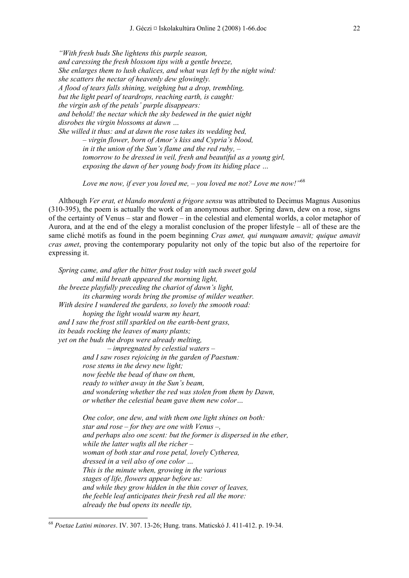*"With fresh buds She lightens this purple season, and caressing the fresh blossom tips with a gentle breeze, She enlarges them to lush chalices, and what was left by the night wind: she scatters the nectar of heavenly dew glowingly. A flood of tears falls shining, weighing but a drop, trembling, but the light pearl of teardrops, reaching earth, is caught: the virgin ash of the petals' purple disappears: and behold! the nectar which the sky bedewed in the quiet night disrobes the virgin blossoms at dawn … She willed it thus: and at dawn the rose takes its wedding bed, – virgin flower, born of Amor's kiss and Cypria's blood, in it the union of the Sun's flame and the red ruby, –* 

> *tomorrow to be dressed in veil, fresh and beautiful as a young girl, exposing the dawn of her young body from its hiding place …*

*Love me now, if ever you loved me, – you loved me not? Love me now!"*<sup>68</sup>

Although *Ver erat, et blando mordenti a frigore sensu* was attributed to Decimus Magnus Ausonius (310-395), the poem is actually the work of an anonymous author. Spring dawn, dew on a rose, signs of the certainty of Venus – star and flower – in the celestial and elemental worlds, a color metaphor of Aurora, and at the end of the elegy a moralist conclusion of the proper lifestyle – all of these are the same cliché motifs as found in the poem beginning *Cras amet, qui nunquam amavit; quique amavit cras amet*, proving the contemporary popularity not only of the topic but also of the repertoire for expressing it.

*Spring came, and after the bitter frost today with such sweet gold and mild breath appeared the morning light, the breeze playfully preceding the chariot of dawn's light, its charming words bring the promise of milder weather. With desire I wandered the gardens, so lovely the smooth road: hoping the light would warm my heart, and I saw the frost still sparkled on the earth-bent grass, its beads rocking the leaves of many plants; yet on the buds the drops were already melting, – impregnated by celestial waters – and I saw roses rejoicing in the garden of Paestum: rose stems in the dewy new light; now feeble the bead of thaw on them, ready to wither away in the Sun's beam, and wondering whether the red was stolen from them by Dawn, or whether the celestial beam gave them new color… One color, one dew, and with them one light shines on both: star and rose – for they are one with Venus –, and perhaps also one scent: but the former is dispersed in the ether, while the latter wafts all the richer – woman of both star and rose petal, lovely Cytherea, dressed in a veil also of one color …* 

*This is the minute when, growing in the various stages of life, flowers appear before us: and while they grow hidden in the thin cover of leaves, the feeble leaf anticipates their fresh red all the more: already the bud opens its needle tip,* 

<sup>68</sup> *Poetae Latini minores*. IV. 307. 13-26; Hung. trans. Maticskó J. 411-412. p. 19-34.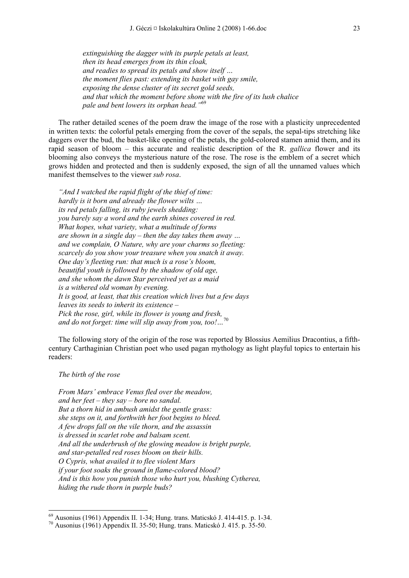*extinguishing the dagger with its purple petals at least, then its head emerges from its thin cloak, and readies to spread its petals and show itself … the moment flies past: extending its basket with gay smile, exposing the dense cluster of its secret gold seeds, and that which the moment before shone with the fire of its lush chalice pale and bent lowers its orphan head."*<sup>69</sup>

The rather detailed scenes of the poem draw the image of the rose with a plasticity unprecedented in written texts: the colorful petals emerging from the cover of the sepals, the sepal-tips stretching like daggers over the bud, the basket-like opening of the petals, the gold-colored stamen amid them, and its rapid season of bloom – this accurate and realistic description of the R. *gallica* flower and its blooming also conveys the mysterious nature of the rose. The rose is the emblem of a secret which grows hidden and protected and then is suddenly exposed, the sign of all the unnamed values which manifest themselves to the viewer *sub rosa*.

*"And I watched the rapid flight of the thief of time: hardly is it born and already the flower wilts … its red petals falling, its ruby jewels shedding: you barely say a word and the earth shines covered in red. What hopes, what variety, what a multitude of forms are shown in a single day – then the day takes them away … and we complain, O Nature, why are your charms so fleeting: scarcely do you show your treasure when you snatch it away. One day's fleeting run: that much is a rose's bloom, beautiful youth is followed by the shadow of old age, and she whom the dawn Star perceived yet as a maid is a withered old woman by evening. It is good, at least, that this creation which lives but a few days leaves its seeds to inherit its existence – Pick the rose, girl, while its flower is young and fresh, and do not forget: time will slip away from you, too!...* 

The following story of the origin of the rose was reported by Blossius Aemilius Dracontius, a fifthcentury Carthaginian Christian poet who used pagan mythology as light playful topics to entertain his readers:

## *The birth of the rose*

-

*From Mars' embrace Venus fled over the meadow, and her feet – they say – bore no sandal. But a thorn hid in ambush amidst the gentle grass: she steps on it, and forthwith her foot begins to bleed. A few drops fall on the vile thorn, and the assassin is dressed in scarlet robe and balsam scent. And all the underbrush of the glowing meadow is bright purple, and star-petalled red roses bloom on their hills. O Cypris, what availed it to flee violent Mars if your foot soaks the ground in flame-colored blood? And is this how you punish those who hurt you, blushing Cytherea, hiding the rude thorn in purple buds?* 

 $69$  Ausonius (1961) Appendix II. 1-34; Hung. trans. Maticskó J. 414-415. p. 1-34.

<sup>70</sup> Ausonius (1961) Appendix II. 35-50; Hung. trans. Maticskó J. 415. p. 35-50.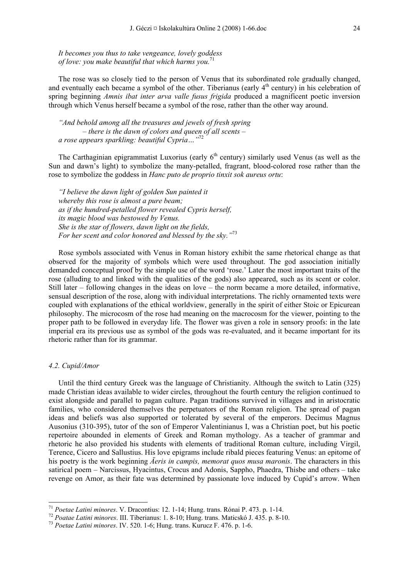*It becomes you thus to take vengeance, lovely goddess of love: you make beautiful that which harms you.*<sup>71</sup>

The rose was so closely tied to the person of Venus that its subordinated role gradually changed, and eventually each became a symbol of the other. Tiberianus (early  $4<sup>th</sup>$  century) in his celebration of spring beginning *Amnis ibat inter arva valle fusus frigida* produced a magnificent poetic inversion through which Venus herself became a symbol of the rose, rather than the other way around.

*"And behold among all the treasures and jewels of fresh spring – there is the dawn of colors and queen of all scents – a rose appears sparkling: beautiful Cypria…"*<sup>72</sup>

The Carthaginian epigrammatist Luxorius (early  $6<sup>th</sup>$  century) similarly used Venus (as well as the Sun and dawn's light) to symbolize the many-petalled, fragrant, blood-colored rose rather than the rose to symbolize the goddess in *Hanc puto de proprio tinxit sok aureus ortu*:

*"I believe the dawn light of golden Sun painted it whereby this rose is almost a pure beam; as if the hundred-petalled flower revealed Cypris herself, its magic blood was bestowed by Venus. She is the star of flowers, dawn light on the fields, For her scent and color honored and blessed by the sky."*<sup>73</sup>

Rose symbols associated with Venus in Roman history exhibit the same rhetorical change as that observed for the majority of symbols which were used throughout. The god association initially demanded conceptual proof by the simple use of the word 'rose.' Later the most important traits of the rose (alluding to and linked with the qualities of the gods) also appeared, such as its scent or color. Still later – following changes in the ideas on love – the norm became a more detailed, informative, sensual description of the rose, along with individual interpretations. The richly ornamented texts were coupled with explanations of the ethical worldview, generally in the spirit of either Stoic or Epicurean philosophy. The microcosm of the rose had meaning on the macrocosm for the viewer, pointing to the proper path to be followed in everyday life. The flower was given a role in sensory proofs: in the late imperial era its previous use as symbol of the gods was re-evaluated, and it became important for its rhetoric rather than for its grammar.

#### *4.2. Cupid/Amor*

-

Until the third century Greek was the language of Christianity. Although the switch to Latin (325) made Christian ideas available to wider circles, throughout the fourth century the religion continued to exist alongside and parallel to pagan culture. Pagan traditions survived in villages and in aristocratic families, who considered themselves the perpetuators of the Roman religion. The spread of pagan ideas and beliefs was also supported or tolerated by several of the emperors. Decimus Magnus Ausonius (310-395), tutor of the son of Emperor Valentinianus I, was a Christian poet, but his poetic repertoire abounded in elements of Greek and Roman mythology. As a teacher of grammar and rhetoric he also provided his students with elements of traditional Roman culture, including Virgil, Terence, Cicero and Sallustius. His love epigrams include ribald pieces featuring Venus: an epitome of his poetry is the work beginning *Äeris in campis, memorat quos musa maronis*. The characters in this satirical poem – Narcissus, Hyacintus, Crocus and Adonis, Sappho, Phaedra, Thisbe and others – take revenge on Amor, as their fate was determined by passionate love induced by Cupid's arrow. When

<sup>&</sup>lt;sup>71</sup> Poetae Latini minores. V. Dracontius: 12. 1-14; Hung. trans. Rónai P. 473. p. 1-14.<br><sup>72</sup> Poatae Latini minores. III. Tiberianus: 1. 8-10; Hung. trans. Maticskó J. 435. p. 8-10.<br><sup>73</sup> Poetae Latini minores. IV. 520. 1-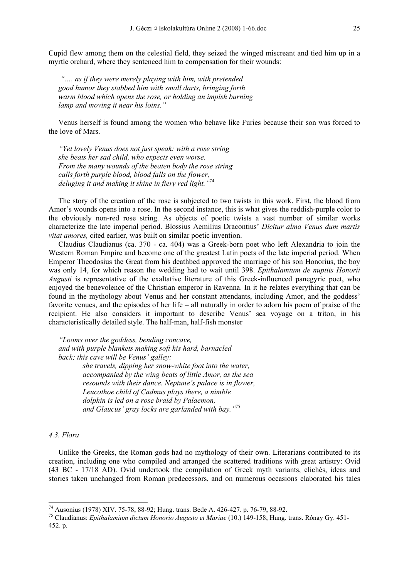Cupid flew among them on the celestial field, they seized the winged miscreant and tied him up in a myrtle orchard, where they sentenced him to compensation for their wounds:

*"…, as if they were merely playing with him, with pretended good humor they stabbed him with small darts, bringing forth warm blood which opens the rose, or holding an impish burning lamp and moving it near his loins."* 

Venus herself is found among the women who behave like Furies because their son was forced to the love of Mars.

*"Yet lovely Venus does not just speak: with a rose string she beats her sad child, who expects even worse. From the many wounds of the beaten body the rose string calls forth purple blood, blood falls on the flower, deluging it and making it shine in fiery red light."*<sup>74</sup>

The story of the creation of the rose is subjected to two twists in this work. First, the blood from Amor's wounds opens into a rose. In the second instance, this is what gives the reddish-purple color to the obviously non-red rose string. As objects of poetic twists a vast number of similar works characterize the late imperial period. Blossius Aemilius Dracontius' *Dicitur alma Venus dum martis vitat amores,* cited earlier, was built on similar poetic invention.

Claudius Claudianus (ca. 370 - ca. 404) was a Greek-born poet who left Alexandria to join the Western Roman Empire and become one of the greatest Latin poets of the late imperial period. When Emperor Theodosius the Great from his deathbed approved the marriage of his son Honorius, the boy was only 14, for which reason the wedding had to wait until 398. *Epithalamium de nuptiis Honorii Augusti* is representative of the exaltative literature of this Greek-influenced panegyric poet, who enjoyed the benevolence of the Christian emperor in Ravenna. In it he relates everything that can be found in the mythology about Venus and her constant attendants, including Amor, and the goddess' favorite venues, and the episodes of her life – all naturally in order to adorn his poem of praise of the recipient. He also considers it important to describe Venus' sea voyage on a triton, in his characteristically detailed style. The half-man, half-fish monster

*"Looms over the goddess, bending concave, and with purple blankets making soft his hard, barnacled back; this cave will be Venus' galley: she travels, dipping her snow-white foot into the water, accompanied by the wing beats of little Amor, as the sea resounds with their dance. Neptune's palace is in flower, Leucothoe child of Cadmus plays there, a nimble dolphin is led on a rose braid by Palaemon, and Glaucus' gray locks are garlanded with bay."*<sup>75</sup>

## *4.3. Flora*

-

Unlike the Greeks, the Roman gods had no mythology of their own. Literarians contributed to its creation, including one who compiled and arranged the scattered traditions with great artistry: Ovid (43 BC - 17/18 AD). Ovid undertook the compilation of Greek myth variants, clichés, ideas and stories taken unchanged from Roman predecessors, and on numerous occasions elaborated his tales

<sup>74</sup> Ausonius (1978) XIV. 75-78, 88-92; Hung. trans. Bede A. 426-427. p. 76-79, 88-92.

<sup>75</sup> Claudianus: *Epithalamium dictum Honorio Augusto et Mariae* (10.) 149-158; Hung. trans. Rónay Gy. 451- 452. p.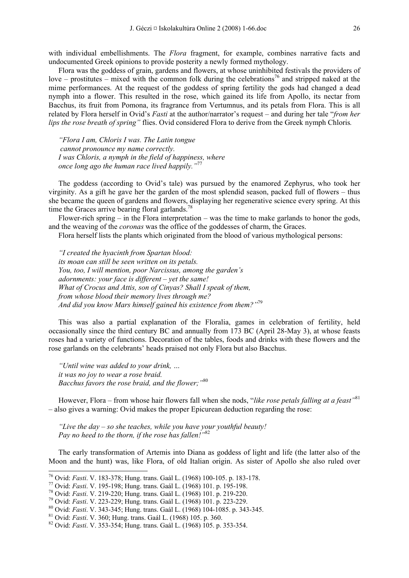with individual embellishments. The *Flora* fragment, for example, combines narrative facts and undocumented Greek opinions to provide posterity a newly formed mythology.

Flora was the goddess of grain, gardens and flowers, at whose uninhibited festivals the providers of love – prostitutes – mixed with the common folk during the celebrations<sup>76</sup> and stripped naked at the mime performances. At the request of the goddess of spring fertility the gods had changed a dead nymph into a flower. This resulted in the rose, which gained its life from Apollo, its nectar from Bacchus, its fruit from Pomona, its fragrance from Vertumnus, and its petals from Flora. This is all related by Flora herself in Ovid's *Fasti* at the author/narrator's request – and during her tale "*from her lips the rose breath of spring"* flies. Ovid considered Flora to derive from the Greek nymph Chloris*.* 

*"Flora I am, Chloris I was. The Latin tongue cannot pronounce my name correctly. I was Chloris, a nymph in the field of happiness, where once long ago the human race lived happily."*<sup>77</sup>

The goddess (according to Ovid's tale) was pursued by the enamored Zephyrus, who took her virginity. As a gift he gave her the garden of the most splendid season, packed full of flowers – thus she became the queen of gardens and flowers, displaying her regenerative science every spring. At this time the Graces arrive bearing floral garlands.<sup>78</sup>

Flower-rich spring – in the Flora interpretation – was the time to make garlands to honor the gods, and the weaving of the *coronas* was the office of the goddesses of charm, the Graces.

Flora herself lists the plants which originated from the blood of various mythological persons:

*"I created the hyacinth from Spartan blood: its moan can still be seen written on its petals. You, too, I will mention, poor Narcissus, among the garden's adornments: your face is different – yet the same! What of Crocus and Attis, son of Cinyas? Shall I speak of them, from whose blood their memory lives through me? And did you know Mars himself gained his existence from them?"*<sup>79</sup>

This was also a partial explanation of the Floralia, games in celebration of fertility, held occasionally since the third century BC and annually from 173 BC (April 28-May 3), at whose feasts roses had a variety of functions. Decoration of the tables, foods and drinks with these flowers and the rose garlands on the celebrants' heads praised not only Flora but also Bacchus.

*"Until wine was added to your drink, … it was no joy to wear a rose braid. Bacchus favors the rose braid, and the flower;"*<sup>80</sup>

However, Flora – from whose hair flowers fall when she nods, "*like rose petals falling at a feast"*<sup>81</sup> – also gives a warning: Ovid makes the proper Epicurean deduction regarding the rose:

*"Live the day – so she teaches, while you have your youthful beauty! Pay no heed to the thorn, if the rose has fallen!"*<sup>82</sup>

The early transformation of Artemis into Diana as goddess of light and life (the latter also of the Moon and the hunt) was, like Flora, of old Italian origin. As sister of Apollo she also ruled over

<sup>&</sup>lt;sup>76</sup> Ovid: Fasti. V. 183-378; Hung. trans. Gaál L. (1968) 100-105. p. 183-178.

<sup>&</sup>lt;sup>77</sup> Ovid: *Fasti.* V. 195-198; Hung. trans. Gaál L. (1968) 101. p. 195-198.<br><sup>78</sup> Ovid: *Fasti.* V. 219-220; Hung. trans. Gaál L. (1968) 101. p. 219-220.<br><sup>79</sup> Ovid: *Fasti.* V. 223-229; Hung. trans. Gaál L. (1968) 101. p.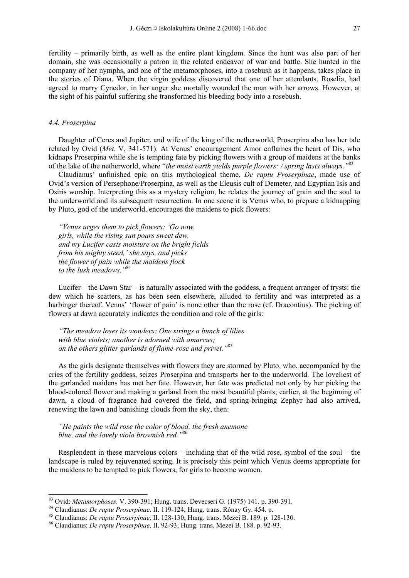fertility – primarily birth, as well as the entire plant kingdom. Since the hunt was also part of her domain, she was occasionally a patron in the related endeavor of war and battle. She hunted in the company of her nymphs, and one of the metamorphoses, into a rosebush as it happens, takes place in the stories of Diana. When the virgin goddess discovered that one of her attendants, Roselia, had agreed to marry Cynedor, in her anger she mortally wounded the man with her arrows. However, at the sight of his painful suffering she transformed his bleeding body into a rosebush.

#### *4.4. Proserpina*

Daughter of Ceres and Jupiter, and wife of the king of the netherworld, Proserpina also has her tale related by Ovid (*Met.* V, 341-571). At Venus' encouragement Amor enflames the heart of Dis, who kidnaps Proserpina while she is tempting fate by picking flowers with a group of maidens at the banks of the lake of the netherworld, where "*the moist earth yields purple flowers: / spring lasts always."*<sup>83</sup>

Claudianus' unfinished epic on this mythological theme, *De raptu Proserpinae*, made use of Ovid's version of Persephone/Proserpina, as well as the Eleusis cult of Demeter, and Egyptian Isis and Osiris worship. Interpreting this as a mystery religion, he relates the journey of grain and the soul to the underworld and its subsequent resurrection. In one scene it is Venus who, to prepare a kidnapping by Pluto, god of the underworld, encourages the maidens to pick flowers:

*"Venus urges them to pick flowers: 'Go now, girls, while the rising sun pours sweet dew, and my Lucifer casts moisture on the bright fields from his mighty steed,' she says, and picks the flower of pain while the maidens flock to the lush meadows."*<sup>84</sup>

Lucifer – the Dawn Star – is naturally associated with the goddess, a frequent arranger of trysts: the dew which he scatters, as has been seen elsewhere, alluded to fertility and was interpreted as a harbinger thereof. Venus' 'flower of pain' is none other than the rose (cf. Dracontius). The picking of flowers at dawn accurately indicates the condition and role of the girls:

*"The meadow loses its wonders: One strings a bunch of lilies with blue violets; another is adorned with amarcus; on the others glitter garlands of flame-rose and privet."*<sup>85</sup>

As the girls designate themselves with flowers they are stormed by Pluto, who, accompanied by the cries of the fertility goddess, seizes Proserpina and transports her to the underworld. The loveliest of the garlanded maidens has met her fate. However, her fate was predicted not only by her picking the blood-colored flower and making a garland from the most beautiful plants; earlier, at the beginning of dawn, a cloud of fragrance had covered the field, and spring-bringing Zephyr had also arrived, renewing the lawn and banishing clouds from the sky, then:

*"He paints the wild rose the color of blood, the fresh anemone blue, and the lovely viola brownish red."*<sup>86</sup>

Resplendent in these marvelous colors – including that of the wild rose, symbol of the soul – the landscape is ruled by rejuvenated spring. It is precisely this point which Venus deems appropriate for the maidens to be tempted to pick flowers, for girls to become women.

 $83$  Ovid: *Metamorphoses.* V. 390-391; Hung. trans. Devecseri G. (1975) 141. p. 390-391.

<sup>&</sup>lt;sup>84</sup> Claudianus: *De raptu Proserpinae*. II. 119-124; Hung. trans. Rónay Gy. 454. p.<br><sup>85</sup> Claudianus: *De raptu Proserpinae*. II. 128-130; Hung. trans. Mezei B. 189. p. 128-130.<br><sup>86</sup> Claudianus: *De raptu Proserpinae*. II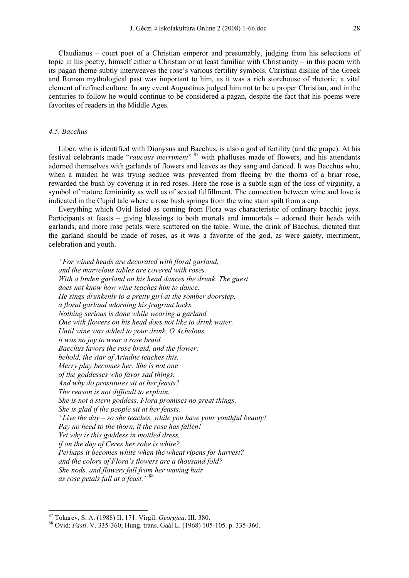Claudianus – court poet of a Christian emperor and presumably, judging from his selections of topic in his poetry, himself either a Christian or at least familiar with Christianity – in this poem with its pagan theme subtly interweaves the rose's various fertility symbols. Christian dislike of the Greek and Roman mythological past was important to him, as it was a rich storehouse of rhetoric, a vital element of refined culture. In any event Augustinus judged him not to be a proper Christian, and in the centuries to follow he would continue to be considered a pagan, despite the fact that his poems were favorites of readers in the Middle Ages.

## *4.5. Bacchus*

Liber, who is identified with Dionysus and Bacchus, is also a god of fertility (and the grape). At his festival celebrants made "raucous merriment" <sup>87</sup> with phalluses made of flowers, and his attendants adorned themselves with garlands of flowers and leaves as they sang and danced. It was Bacchus who, when a maiden he was trying seduce was prevented from fleeing by the thorns of a briar rose, rewarded the bush by covering it in red roses. Here the rose is a subtle sign of the loss of virginity, a symbol of mature femininity as well as of sexual fulfillment. The connection between wine and love is indicated in the Cupid tale where a rose bush springs from the wine stain spilt from a cup.

Everything which Ovid listed as coming from Flora was characteristic of ordinary bacchic joys. Participants at feasts – giving blessings to both mortals and immortals – adorned their heads with garlands, and more rose petals were scattered on the table. Wine, the drink of Bacchus, dictated that the garland should be made of roses, as it was a favorite of the god, as were gaiety, merriment, celebration and youth.

*"For wined heads are decorated with floral garland, and the marvelous tables are covered with roses. With a linden garland on his head dances the drunk. The guest does not know how wine teaches him to dance. He sings drunkenly to a pretty girl at the somber doorstep, a floral garland adorning his fragrant locks. Nothing serious is done while wearing a garland. One with flowers on his head does not like to drink water. Until wine was added to your drink, O Achelous, it was no joy to wear a rose braid. Bacchus favors the rose braid, and the flower; behold, the star of Ariadne teaches this. Merry play becomes her. She is not one of the goddesses who favor sad things. And why do prostitutes sit at her feasts? The reason is not difficult to explain. She is not a stern goddess. Flora promises no great things. She is glad if the people sit at her feasts. "Live the day – so she teaches, while you have your youthful beauty! Pay no heed to the thorn, if the rose has fallen! Yet why is this goddess in mottled dress, if on the day of Ceres her robe is white? Perhaps it becomes white when the wheat ripens for harvest? and the colors of Flora's flowers are a thousand fold? She nods, and flowers fall from her waving hair as rose petals fall at a feast."* <sup>88</sup>

<sup>&</sup>lt;sup>87</sup> Tokarev, S. A. (1988) II. 171. Virgil: *Georgica*. III. 380.<br><sup>88</sup> Ovid: *Fasti*. V. 335-360; Hung. trans. Gaál L. (1968) 105-105. p. 335-360.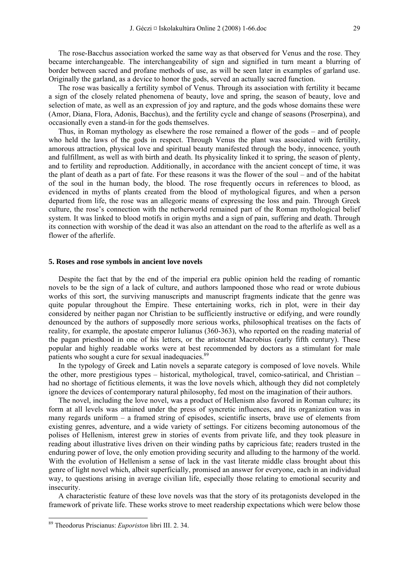The rose-Bacchus association worked the same way as that observed for Venus and the rose. They became interchangeable. The interchangeability of sign and signified in turn meant a blurring of border between sacred and profane methods of use, as will be seen later in examples of garland use. Originally the garland, as a device to honor the gods, served an actually sacred function.

The rose was basically a fertility symbol of Venus. Through its association with fertility it became a sign of the closely related phenomena of beauty, love and spring, the season of beauty, love and selection of mate, as well as an expression of joy and rapture, and the gods whose domains these were (Amor, Diana, Flora, Adonis, Bacchus), and the fertility cycle and change of seasons (Proserpina), and occasionally even a stand-in for the gods themselves.

Thus, in Roman mythology as elsewhere the rose remained a flower of the gods – and of people who held the laws of the gods in respect. Through Venus the plant was associated with fertility, amorous attraction, physical love and spiritual beauty manifested through the body, innocence, youth and fulfillment, as well as with birth and death. Its physicality linked it to spring, the season of plenty, and to fertility and reproduction. Additionally, in accordance with the ancient concept of time, it was the plant of death as a part of fate. For these reasons it was the flower of the soul – and of the habitat of the soul in the human body, the blood. The rose frequently occurs in references to blood, as evidenced in myths of plants created from the blood of mythological figures, and when a person departed from life, the rose was an allegoric means of expressing the loss and pain. Through Greek culture, the rose's connection with the netherworld remained part of the Roman mythological belief system. It was linked to blood motifs in origin myths and a sign of pain, suffering and death. Through its connection with worship of the dead it was also an attendant on the road to the afterlife as well as a flower of the afterlife.

#### **5. Roses and rose symbols in ancient love novels**

Despite the fact that by the end of the imperial era public opinion held the reading of romantic novels to be the sign of a lack of culture, and authors lampooned those who read or wrote dubious works of this sort, the surviving manuscripts and manuscript fragments indicate that the genre was quite popular throughout the Empire. These entertaining works, rich in plot, were in their day considered by neither pagan nor Christian to be sufficiently instructive or edifying, and were roundly denounced by the authors of supposedly more serious works, philosophical treatises on the facts of reality, for example, the apostate emperor Iulianus (360-363), who reported on the reading material of the pagan priesthood in one of his letters, or the aristocrat Macrobius (early fifth century). These popular and highly readable works were at best recommended by doctors as a stimulant for male patients who sought a cure for sexual inadequacies.<sup>89</sup>

In the typology of Greek and Latin novels a separate category is composed of love novels. While the other, more prestigious types – historical, mythological, travel, comico-satirical, and Christian – had no shortage of fictitious elements, it was the love novels which, although they did not completely ignore the devices of contemporary natural philosophy, fed most on the imagination of their authors.

The novel, including the love novel, was a product of Hellenism also favored in Roman culture; its form at all levels was attained under the press of syncretic influences, and its organization was in many regards uniform  $-$  a framed string of episodes, scientific inserts, brave use of elements from existing genres, adventure, and a wide variety of settings. For citizens becoming autonomous of the polises of Hellenism, interest grew in stories of events from private life, and they took pleasure in reading about illustrative lives driven on their winding paths by capricious fate; readers trusted in the enduring power of love, the only emotion providing security and alluding to the harmony of the world. With the evolution of Hellenism a sense of lack in the vast literate middle class brought about this genre of light novel which, albeit superficially, promised an answer for everyone, each in an individual way, to questions arising in average civilian life, especially those relating to emotional security and insecurity.

A characteristic feature of these love novels was that the story of its protagonists developed in the framework of private life. These works strove to meet readership expectations which were below those

<sup>89</sup> Theodorus Priscianus: *Euporiston* libri III. 2. 34.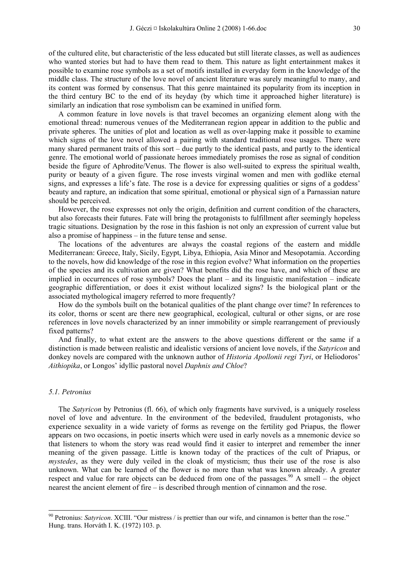of the cultured elite, but characteristic of the less educated but still literate classes, as well as audiences who wanted stories but had to have them read to them. This nature as light entertainment makes it possible to examine rose symbols as a set of motifs installed in everyday form in the knowledge of the middle class. The structure of the love novel of ancient literature was surely meaningful to many, and its content was formed by consensus. That this genre maintained its popularity from its inception in the third century BC to the end of its heyday (by which time it approached higher literature) is similarly an indication that rose symbolism can be examined in unified form.

A common feature in love novels is that travel becomes an organizing element along with the emotional thread: numerous venues of the Mediterranean region appear in addition to the public and private spheres. The unities of plot and location as well as over-lapping make it possible to examine which signs of the love novel allowed a pairing with standard traditional rose usages. There were many shared permanent traits of this sort – due partly to the identical pasts, and partly to the identical genre. The emotional world of passionate heroes immediately promises the rose as signal of condition beside the figure of Aphrodite/Venus. The flower is also well-suited to express the spiritual wealth, purity or beauty of a given figure. The rose invests virginal women and men with godlike eternal signs, and expresses a life's fate. The rose is a device for expressing qualities or signs of a goddess' beauty and rapture, an indication that some spiritual, emotional or physical sign of a Parnassian nature should be perceived.

However, the rose expresses not only the origin, definition and current condition of the characters, but also forecasts their futures. Fate will bring the protagonists to fulfillment after seemingly hopeless tragic situations. Designation by the rose in this fashion is not only an expression of current value but also a promise of happiness – in the future tense and sense.

The locations of the adventures are always the coastal regions of the eastern and middle Mediterranean: Greece, Italy, Sicily, Egypt, Libya, Ethiopia, Asia Minor and Mesopotamia. According to the novels, how did knowledge of the rose in this region evolve? What information on the properties of the species and its cultivation are given? What benefits did the rose have, and which of these are implied in occurrences of rose symbols? Does the plant – and its linguistic manifestation – indicate geographic differentiation, or does it exist without localized signs? Is the biological plant or the associated mythological imagery referred to more frequently?

How do the symbols built on the botanical qualities of the plant change over time? In references to its color, thorns or scent are there new geographical, ecological, cultural or other signs, or are rose references in love novels characterized by an inner immobility or simple rearrangement of previously fixed patterns?

And finally, to what extent are the answers to the above questions different or the same if a distinction is made between realistic and idealistic versions of ancient love novels, if the *Satyricon* and donkey novels are compared with the unknown author of *Historia Apollonii regi Tyri*, or Heliodoros' *Aithiopika*, or Longos' idyllic pastoral novel *Daphnis and Chloe*?

#### *5.1. Petronius*

-

The *Satyricon* by Petronius (fl. 66), of which only fragments have survived, is a uniquely roseless novel of love and adventure. In the environment of the bedeviled, fraudulent protagonists, who experience sexuality in a wide variety of forms as revenge on the fertility god Priapus, the flower appears on two occasions, in poetic inserts which were used in early novels as a mnemonic device so that listeners to whom the story was read would find it easier to interpret and remember the inner meaning of the given passage. Little is known today of the practices of the cult of Priapus, or *mystedes*, as they were duly veiled in the cloak of mysticism; thus their use of the rose is also unknown. What can be learned of the flower is no more than what was known already. A greater respect and value for rare objects can be deduced from one of the passages.<sup>90</sup> A smell – the object nearest the ancient element of fire – is described through mention of cinnamon and the rose.

<sup>90</sup> Petronius: *Satyricon*. XCIII. "Our mistress / is prettier than our wife, and cinnamon is better than the rose." Hung. trans. Horváth I. K. (1972) 103. p.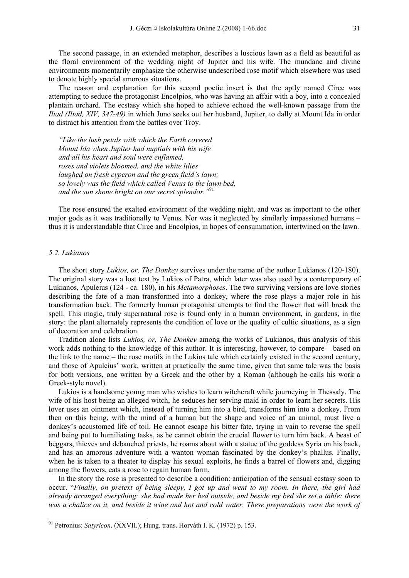The second passage, in an extended metaphor, describes a luscious lawn as a field as beautiful as the floral environment of the wedding night of Jupiter and his wife. The mundane and divine environments momentarily emphasize the otherwise undescribed rose motif which elsewhere was used to denote highly special amorous situations.

The reason and explanation for this second poetic insert is that the aptly named Circe was attempting to seduce the protagonist Encolpios, who was having an affair with a boy, into a concealed plantain orchard. The ecstasy which she hoped to achieve echoed the well-known passage from the *Iliad (Iliad, XIV, 347-49)* in which Juno seeks out her husband, Jupiter, to dally at Mount Ida in order to distract his attention from the battles over Troy.

*"Like the lush petals with which the Earth covered Mount Ida when Jupiter had nuptials with his wife and all his heart and soul were enflamed, roses and violets bloomed, and the white lilies laughed on fresh cyperon and the green field's lawn: so lovely was the field which called Venus to the lawn bed, and the sun shone bright on our secret splendor."*<sup>91</sup>

The rose ensured the exalted environment of the wedding night, and was as important to the other major gods as it was traditionally to Venus. Nor was it neglected by similarly impassioned humans – thus it is understandable that Circe and Encolpios, in hopes of consummation, intertwined on the lawn.

#### *5.2. Lukianos*

-

The short story *Lukios, or, The Donkey* survives under the name of the author Lukianos (120-180). The original story was a lost text by Lukios of Patra, which later was also used by a contemporary of Lukianos, Apuleius (124 - ca. 180), in his *Metamorphoses*. The two surviving versions are love stories describing the fate of a man transformed into a donkey, where the rose plays a major role in his transformation back. The formerly human protagonist attempts to find the flower that will break the spell. This magic, truly supernatural rose is found only in a human environment, in gardens, in the story: the plant alternately represents the condition of love or the quality of cultic situations, as a sign of decoration and celebration.

Tradition alone lists *Lukios, or, The Donkey* among the works of Lukianos, thus analysis of this work adds nothing to the knowledge of this author. It is interesting, however, to compare – based on the link to the name – the rose motifs in the Lukios tale which certainly existed in the second century, and those of Apuleius' work, written at practically the same time, given that same tale was the basis for both versions, one written by a Greek and the other by a Roman (although he calls his work a Greek-style novel).

Lukios is a handsome young man who wishes to learn witchcraft while journeying in Thessaly. The wife of his host being an alleged witch, he seduces her serving maid in order to learn her secrets. His lover uses an ointment which, instead of turning him into a bird, transforms him into a donkey. From then on this being, with the mind of a human but the shape and voice of an animal, must live a donkey's accustomed life of toil. He cannot escape his bitter fate, trying in vain to reverse the spell and being put to humiliating tasks, as he cannot obtain the crucial flower to turn him back. A beast of beggars, thieves and debauched priests, he roams about with a statue of the goddess Syria on his back, and has an amorous adventure with a wanton woman fascinated by the donkey's phallus. Finally, when he is taken to a theater to display his sexual exploits, he finds a barrel of flowers and, digging among the flowers, eats a rose to regain human form.

In the story the rose is presented to describe a condition: anticipation of the sensual ecstasy soon to occur. "*Finally, on pretext of being sleepy, I got up and went to my room. In there, the girl had already arranged everything: she had made her bed outside, and beside my bed she set a table: there was a chalice on it, and beside it wine and hot and cold water. These preparations were the work of* 

<sup>91</sup> Petronius: *Satyricon*. (XXVII.); Hung. trans. Horváth I. K. (1972) p. 153.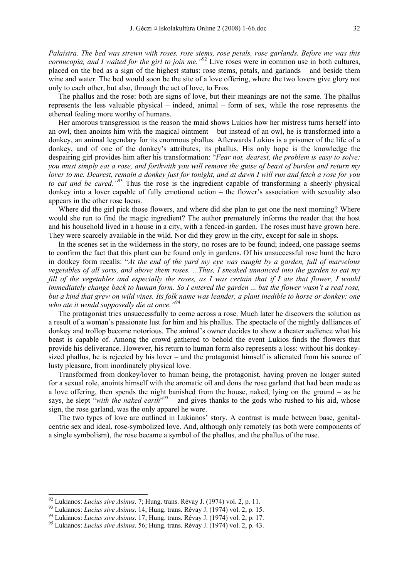*Palaistra. The bed was strewn with roses, rose stems, rose petals, rose garlands. Before me was this cornucopia, and I waited for the girl to join me.*<sup>"92</sup> Live roses were in common use in both cultures, placed on the bed as a sign of the highest status: rose stems, petals, and garlands – and beside them wine and water. The bed would soon be the site of a love offering, where the two lovers give glory not only to each other, but also, through the act of love, to Eros.

The phallus and the rose: both are signs of love, but their meanings are not the same. The phallus represents the less valuable physical – indeed, animal – form of sex, while the rose represents the ethereal feeling more worthy of humans.

Her amorous transgression is the reason the maid shows Lukios how her mistress turns herself into an owl, then anoints him with the magical ointment – but instead of an owl, he is transformed into a donkey, an animal legendary for its enormous phallus. Afterwards Lukios is a prisoner of the life of a donkey, and of one of the donkey's attributes, its phallus. His only hope is the knowledge the despairing girl provides him after his transformation: "*Fear not, dearest, the problem is easy to solve: you must simply eat a rose, and forthwith you will remove the guise of beast of burden and return my lover to me. Dearest, remain a donkey just for tonight, and at dawn I will run and fetch a rose for you to eat and be cured."*93 Thus the rose is the ingredient capable of transforming a sheerly physical donkey into a lover capable of fully emotional action – the flower's association with sexuality also appears in the other rose locus.

Where did the girl pick those flowers, and where did she plan to get one the next morning? Where would she run to find the magic ingredient? The author prematurely informs the reader that the host and his household lived in a house in a city, with a fenced-in garden. The roses must have grown here. They were scarcely available in the wild. Nor did they grow in the city, except for sale in shops.

In the scenes set in the wilderness in the story, no roses are to be found; indeed, one passage seems to confirm the fact that this plant can be found only in gardens. Of his unsuccessful rose hunt the hero in donkey form recalls: "*At the end of the yard my eye was caught by a garden, full of marvelous vegetables of all sorts, and above them roses. ...Thus, I sneaked unnoticed into the garden to eat my fill of the vegetables and especially the roses, as I was certain that if I ate that flower, I would immediately change back to human form. So I entered the garden ... but the flower wasn't a real rose, but a kind that grew on wild vines. Its folk name was leander, a plant inedible to horse or donkey: one who ate it would supposedly die at once."*<sup>94</sup>

The protagonist tries unsuccessfully to come across a rose. Much later he discovers the solution as a result of a woman's passionate lust for him and his phallus. The spectacle of the nightly dalliances of donkey and trollop become notorious. The animal's owner decides to show a theater audience what his beast is capable of. Among the crowd gathered to behold the event Lukios finds the flowers that provide his deliverance. However, his return to human form also represents a loss: without his donkeysized phallus, he is rejected by his lover – and the protagonist himself is alienated from his source of lusty pleasure, from inordinately physical love.

Transformed from donkey/lover to human being, the protagonist, having proven no longer suited for a sexual role, anoints himself with the aromatic oil and dons the rose garland that had been made as a love offering, then spends the night banished from the house, naked, lying on the ground – as he says, he slept "with the naked earth<sup>",95</sup> – and gives thanks to the gods who rushed to his aid, whose sign, the rose garland, was the only apparel he wore.

The two types of love are outlined in Lukianos' story. A contrast is made between base, genitalcentric sex and ideal, rose-symbolized love. And, although only remotely (as both were components of a single symbolism), the rose became a symbol of the phallus, and the phallus of the rose.

<sup>&</sup>lt;sup>92</sup> Lukianos: *Lucius sive Asinus.* 7; Hung. trans. Révay J. (1974) vol. 2, p. 11.<br><sup>93</sup> Lukianos: *Lucius sive Asinus*. 14; Hung. trans. Révay J. (1974) vol. 2, p. 15.<br><sup>94</sup> Lukianos: *Lucius sive Asinus*. 17; Hung. trans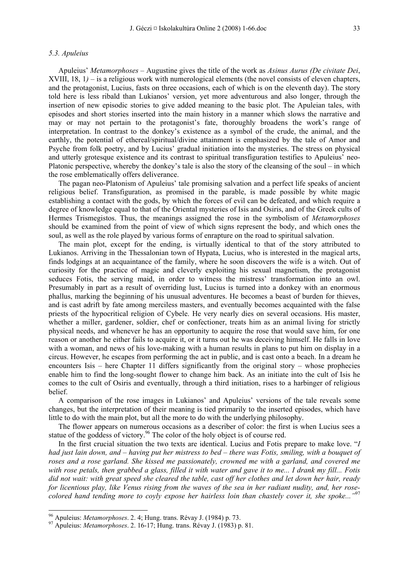#### *5.3. Apuleius*

Apuleius' *Metamorphoses* – Augustine gives the title of the work as *Asinus Aurus (De civitate Dei*, XVIII, 18, 1*)* – is a religious work with numerological elements (the novel consists of eleven chapters, and the protagonist, Lucius, fasts on three occasions, each of which is on the eleventh day). The story told here is less ribald than Lukianos' version, yet more adventurous and also longer, through the insertion of new episodic stories to give added meaning to the basic plot. The Apuleian tales, with episodes and short stories inserted into the main history in a manner which slows the narrative and may or may not pertain to the protagonist's fate, thoroughly broadens the work's range of interpretation. In contrast to the donkey's existence as a symbol of the crude, the animal, and the earthly, the potential of ethereal/spiritual/divine attainment is emphasized by the tale of Amor and Psyche from folk poetry, and by Lucius' gradual initiation into the mysteries. The stress on physical and utterly grotesque existence and its contrast to spiritual transfiguration testifies to Apuleius' neo-Platonic perspective, whereby the donkey's tale is also the story of the cleansing of the soul – in which the rose emblematically offers deliverance.

The pagan neo-Platonism of Apuleius' tale promising salvation and a perfect life speaks of ancient religious belief. Transfiguration, as promised in the parable, is made possible by white magic establishing a contact with the gods, by which the forces of evil can be defeated, and which require a degree of knowledge equal to that of the Oriental mysteries of Isis and Osiris, and of the Greek cults of Hermes Trismegistos. Thus, the meanings assigned the rose in the symbolism of *Metamorphoses* should be examined from the point of view of which signs represent the body, and which ones the soul, as well as the role played by various forms of enrapture on the road to spiritual salvation.

The main plot, except for the ending, is virtually identical to that of the story attributed to Lukianos. Arriving in the Thessalonian town of Hypata, Lucius, who is interested in the magical arts, finds lodgings at an acquaintance of the family, where he soon discovers the wife is a witch. Out of curiosity for the practice of magic and cleverly exploiting his sexual magnetism, the protagonist seduces Fotis, the serving maid, in order to witness the mistress' transformation into an owl. Presumably in part as a result of overriding lust, Lucius is turned into a donkey with an enormous phallus, marking the beginning of his unusual adventures. He becomes a beast of burden for thieves, and is cast adrift by fate among merciless masters, and eventually becomes acquainted with the false priests of the hypocritical religion of Cybele. He very nearly dies on several occasions. His master, whether a miller, gardener, soldier, chef or confectioner, treats him as an animal living for strictly physical needs, and whenever he has an opportunity to acquire the rose that would save him, for one reason or another he either fails to acquire it, or it turns out he was deceiving himself. He falls in love with a woman, and news of his love-making with a human results in plans to put him on display in a circus. However, he escapes from performing the act in public, and is cast onto a beach. In a dream he encounters Isis – here Chapter 11 differs significantly from the original story – whose prophecies enable him to find the long-sought flower to change him back. As an initiate into the cult of Isis he comes to the cult of Osiris and eventually, through a third initiation, rises to a harbinger of religious belief.

A comparison of the rose images in Lukianos' and Apuleius' versions of the tale reveals some changes, but the interpretation of their meaning is tied primarily to the inserted episodes, which have little to do with the main plot, but all the more to do with the underlying philosophy.

The flower appears on numerous occasions as a describer of color: the first is when Lucius sees a statue of the goddess of victory.<sup>96</sup> The color of the holy object is of course red.

In the first crucial situation the two texts are identical. Lucius and Fotis prepare to make love. "*I had just lain down, and – having put her mistress to bed – there was Fotis, smiling, with a bouquet of roses and a rose garland. She kissed me passionately, crowned me with a garland, and covered me with rose petals, then grabbed a glass, filled it with water and gave it to me... I drank my fill... Fotis did not wait: with great speed she cleared the table, cast off her clothes and let down her hair, ready for licentious play, like Venus rising from the waves of the sea in her radiant nudity, and, her rosecolored hand tending more to coyly expose her hairless loin than chastely cover it, she spoke..."*<sup>97</sup>

<sup>96</sup> Apuleius: *Metamorphoses*. 2. 4; Hung. trans. Révay J. (1984) p. 73. 97 Apuleius: *Metamorphoses*. 2. 16-17; Hung. trans. Révay J. (1983) p. 81.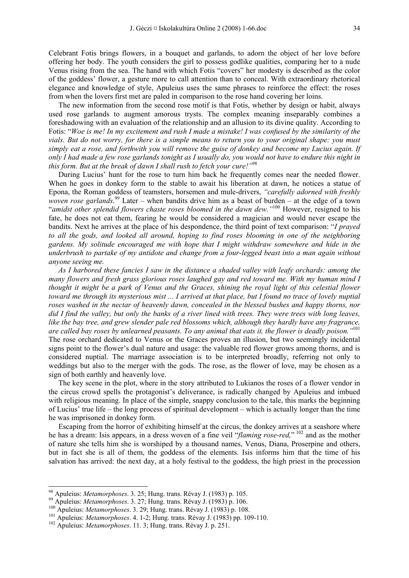Celebrant Fotis brings flowers, in a bouquet and garlands, to adorn the object of her love before offering her body. The youth considers the girl to possess godlike qualities, comparing her to a nude Venus rising from the sea. The hand with which Fotis "covers" her modesty is described as the color of the goddess' flower, a gesture more to call attention than to conceal. With extraordinary rhetorical elegance and knowledge of style, Apuleius uses the same phrases to reinforce the effect: the roses from when the lovers first met are paled in comparison to the rose hand covering her loins.

The new information from the second rose motif is that Fotis, whether by design or habit, always used rose garlands to augment amorous trysts. The complex meaning inseparably combines a foreshadowing with an evaluation of the relationship and an allusion to its divine quality. According to Fotis: "*Woe is me! In my excitement and rush I made a mistake! I was confused by the similarity of the vials. But do not worry, for there is a simple means to return you to your original shape: you must simply eat a rose, and forthwith you will remove the guise of donkey and become my Lucius again. If only I had made a few rose garlands tonight as I usually do, you would not have to endure this night in this form. But at the break of dawn I shall rush to fetch your cure!"*98

During Lucius' hunt for the rose to turn him back he frequently comes near the needed flower. When he goes in donkey form to the stable to await his liberation at dawn, he notices a statue of Epona, the Roman goddess of teamsters, horsemen and mule-drivers, *"carefully adorned with freshly woven rose garlands*. 99 Later – when bandits drive him as a beast of burden – at the edge of a town "*amidst other splendid flowers chaste roses bloomed in the dawn dew."*100 However, resigned to his fate, he does not eat them, fearing he would be considered a magician and would never escape the bandits. Next he arrives at the place of his despondence, the third point of text comparison: "*I prayed to all the gods, and looked all around, hoping to find roses blooming in one of the neighboring gardens. My solitude encouraged me with hope that I might withdraw somewhere and hide in the underbrush to partake of my antidote and change from a four-legged beast into a man again without anyone seeing me.* 

*As I harbored these fancies I saw in the distance a shaded valley with leafy orchards: among the many flowers and fresh grass glorious roses laughed gay and red toward me. With my human mind I thought it might be a park of Venus and the Graces, shining the royal light of this celestial flower toward me through its mysterious mist ... I arrived at that place, but I found no trace of lovely nuptial roses washed in the nectar of heavenly dawn, concealed in the blessed bushes and happy thorns, nor did I find the valley, but only the banks of a river lined with trees. They were trees with long leaves, like the bay tree, and grew slender pale red blossoms which, although they hardly have any fragrance, are called bay roses by unlearned peasants. To any animal that eats it, the flower is deadly poison."*<sup>101</sup> The rose orchard dedicated to Venus or the Graces proves an illusion, but two seemingly incidental

signs point to the flower's dual nature and usage: the valuable red flower grows among thorns, and is considered nuptial. The marriage association is to be interpreted broadly, referring not only to weddings but also to the merger with the gods. The rose, as the flower of love, may be chosen as a sign of both earthly and heavenly love.

The key scene in the plot, where in the story attributed to Lukianos the roses of a flower vendor in the circus crowd spells the protagonist's deliverance, is radically changed by Apuleius and imbued with religious meaning. In place of the simple, snappy conclusion to the tale, this marks the beginning of Lucius' true life – the long process of spiritual development – which is actually longer than the time he was imprisoned in donkey form.

Escaping from the horror of exhibiting himself at the circus, the donkey arrives at a seashore where he has a dream: Isis appears, in a dress woven of a fine veil "*flaming rose-red*," <sup>102</sup> and as the mother of nature she tells him she is worshiped by a thousand names, Venus, Diana, Proserpine and others, but in fact she is all of them, the goddess of the elements. Isis informs him that the time of his salvation has arrived: the next day, at a holy festival to the goddess, the high priest in the procession

<sup>&</sup>lt;sup>98</sup> Apuleius: *Metamorphoses.* 3. 25; Hung. trans. Révay J. (1983) p. 105.<br><sup>99</sup> Apuleius: *Metamorphoses.* 3. 27; Hung. trans. Révay J. (1983) p. 106.<br><sup>100</sup> Apuleius: *Metamorphoses.* 3. 29; Hung. trans. Révay J. (1983)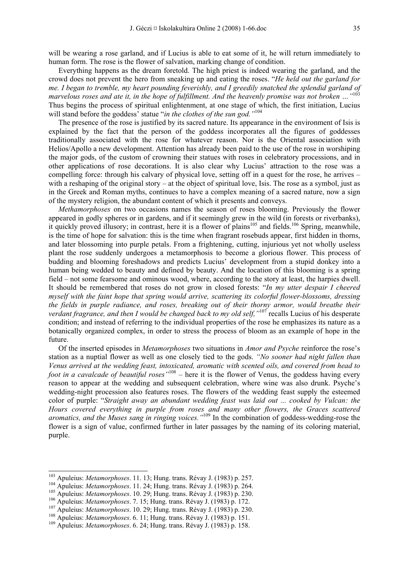will be wearing a rose garland, and if Lucius is able to eat some of it, he will return immediately to human form. The rose is the flower of salvation, marking change of condition.

Everything happens as the dream foretold. The high priest is indeed wearing the garland, and the crowd does not prevent the hero from sneaking up and eating the roses. "*He held out the garland for me. I began to tremble, my heart pounding feverishly, and I greedily snatched the splendid garland of marvelous roses and ate it, in the hope of fulfillment. And the heavenly promise was not broken …"*<sup>103</sup> Thus begins the process of spiritual enlightenment, at one stage of which, the first initiation, Lucius will stand before the goddess' statue "*in the clothes of the sun god.*"<sup>104</sup>

The presence of the rose is justified by its sacred nature. Its appearance in the environment of Isis is explained by the fact that the person of the goddess incorporates all the figures of goddesses traditionally associated with the rose for whatever reason. Nor is the Oriental association with Helios/Apollo a new development. Attention has already been paid to the use of the rose in worshiping the major gods, of the custom of crowning their statues with roses in celebratory processions, and in other applications of rose decorations. It is also clear why Lucius' attraction to the rose was a compelling force: through his calvary of physical love, setting off in a quest for the rose, he arrives – with a reshaping of the original story – at the object of spiritual love, Isis. The rose as a symbol, just as in the Greek and Roman myths, continues to have a complex meaning of a sacred nature, now a sign of the mystery religion, the abundant content of which it presents and conveys.

*Methamorphoses* on two occasions names the season of roses blooming. Previously the flower appeared in godly spheres or in gardens, and if it seemingly grew in the wild (in forests or riverbanks), it quickly proved illusory; in contrast, here it is a flower of plains<sup>105</sup> and fields.<sup>106</sup> Spring, meanwhile, is the time of hope for salvation: this is the time when fragrant rosebuds appear, first hidden in thorns, and later blossoming into purple petals. From a frightening, cutting, injurious yet not wholly useless plant the rose suddenly undergoes a metamorphosis to become a glorious flower. This process of budding and blooming foreshadows and predicts Lucius' development from a stupid donkey into a human being wedded to beauty and defined by beauty. And the location of this blooming is a spring field – not some fearsome and ominous wood, where, according to the story at least, the harpies dwell. It should be remembered that roses do not grow in closed forests: "*In my utter despair I cheered myself with the faint hope that spring would arrive, scattering its colorful flower-blossoms, dressing the fields in purple radiance, and roses, breaking out of their thorny armor, would breathe their verdant fragrance, and then I would be changed back to my old self,"*107 recalls Lucius of his desperate condition; and instead of referring to the individual properties of the rose he emphasizes its nature as a botanically organized complex, in order to stress the process of bloom as an example of hope in the future.

Of the inserted episodes in *Metamorphoses* two situations in *Amor and Psyche* reinforce the rose's station as a nuptial flower as well as one closely tied to the gods. *"No sooner had night fallen than Venus arrived at the wedding feast, intoxicated, aromatic with scented oils, and covered from head to foot in a cavalcade of beautiful roses"*108 – here it is the flower of Venus, the goddess having every reason to appear at the wedding and subsequent celebration, where wine was also drunk. Psyche's wedding-night procession also features roses. The flowers of the wedding feast supply the esteemed color of purple: "*Straight away an abundant wedding feast was laid out ... cooked by Vulcan: the Hours covered everything in purple from roses and many other flowers, the Graces scattered aromatics, and the Muses sang in ringing voices."*109 In the combination of goddess-wedding-rose the flower is a sign of value, confirmed further in later passages by the naming of its coloring material, purple.

<sup>&</sup>lt;sup>103</sup> Apuleius: Metamorphoses. 11. 13; Hung. trans. Révay J. (1983) p. 257.

<sup>&</sup>lt;sup>104</sup> Apuleius: *Metamorphoses.* 11. 24; Hung. trans. Révay J. (1983) p. 264.<br><sup>105</sup> Apuleius: *Metamorphoses.* 10. 29; Hung. trans. Révay J. (1983) p. 230.<br><sup>106</sup> Apuleius: *Metamorphoses.* 7. 15; Hung. trans. Révay J. (19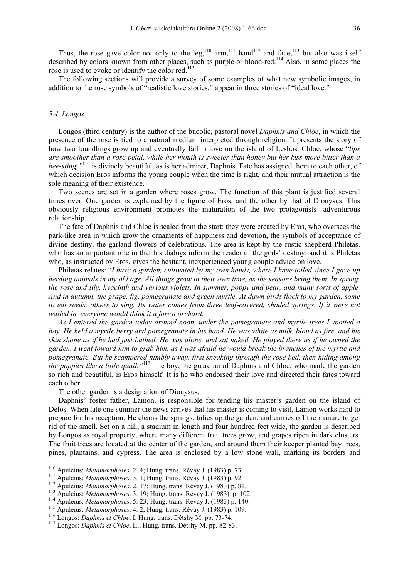Thus, the rose gave color not only to the leg,<sup>110</sup> arm,<sup>111</sup> hand<sup>112</sup> and face,<sup>113</sup> but also was itself described by colors known from other places, such as purple or blood-red.<sup>114</sup> Also, in some places the rose is used to evoke or identify the color red.<sup>115</sup>

The following sections will provide a survey of some examples of what new symbolic images, in addition to the rose symbols of "realistic love stories," appear in three stories of "ideal love."

#### *5.4. Longos*

Longos (third century) is the author of the bucolic, pastoral novel *Daphnis and Chloe*, in which the presence of the rose is tied to a natural medium interpreted through religion. It presents the story of how two foundlings grow up and eventually fall in love on the island of Lesbos. Chloe, whose "*lips are smoother than a rose petal, while her mouth is sweeter than honey but her kiss more bitter than a bee-sting,"*116 is divinely beautiful, as is her admirer, Daphnis. Fate has assigned them to each other, of which decision Eros informs the young couple when the time is right, and their mutual attraction is the sole meaning of their existence.

Two scenes are set in a garden where roses grow. The function of this plant is justified several times over. One garden is explained by the figure of Eros, and the other by that of Dionysus. This obviously religious environment promotes the maturation of the two protagonists' adventurous relationship.

The fate of Daphnis and Chloe is sealed from the start: they were created by Eros, who oversees the park-like area in which grow the ornaments of happiness and devotion, the symbols of acceptance of divine destiny, the garland flowers of celebrations. The area is kept by the rustic shepherd Philetas, who has an important role in that his dialogs inform the reader of the gods' destiny, and it is Philetas who, as instructed by Eros, gives the hesitant, inexperienced young couple advice on love.

Philetas relates: "*I have a garden, cultivated by my own hands, where I have toiled since I gave up herding animals in my old age. All things grow in their own time, as the seasons bring them. In spring, the rose and lily, hyacinth and various violets. In summer, poppy and pear, and many sorts of apple. And in autumn, the grape, fig, pomegranate and green myrtle. At dawn birds flock to my garden, some to eat seeds, others to sing. Its water comes from three leaf-covered, shaded springs. If it were not walled in, everyone would think it a forest orchard.* 

*As I entered the garden today around noon, under the pomegranate and myrtle trees I spotted a boy. He held a myrtle berry and pomegranate in his hand. He was white as milk, blond as fire, and his skin shone as if he had just bathed. He was alone, and sat naked. He played there as if he owned the garden. I went toward him to grab him, as I was afraid he would break the branches of the myrtle and pomegranate. But he scampered nimbly away, first sneaking through the rose bed, then hiding among the poppies like a little quail."*117 The boy, the guardian of Daphnis and Chloe, who made the garden so rich and beautiful, is Eros himself. It is he who endorsed their love and directed their fates toward each other.

The other garden is a designation of Dionysus.

Daphnis' foster father, Lamon, is responsible for tending his master's garden on the island of Delos. When late one summer the news arrives that his master is coming to visit, Lamon works hard to prepare for his reception. He cleans the springs, tidies up the garden, and carries off the manure to get rid of the smell. Set on a hill, a stadium in length and four hundred feet wide, the garden is described by Longos as royal property, where many different fruit trees grow, and grapes ripen in dark clusters. The fruit trees are located at the center of the garden, and around them their keeper planted bay trees, pines, plantains, and cypress. The area is enclosed by a low stone wall, marking its borders and

<sup>&</sup>lt;sup>110</sup> Apuleius: *Metamorphoses.* 2. 4; Hung. trans. Révay J. (1983) p. 73.

<sup>&</sup>lt;sup>111</sup> Apuleius: *Metamorphoses*. 3. 1; Hung. trans. Révay J. (1983) p. 92.<br><sup>112</sup> Apuleius: *Metamorphoses*. 2. 17; Hung. trans. Révay J. (1983) p. 81.<br><sup>113</sup> Apuleius: *Metamorphoses*. 3. 19; Hung. trans. Révay J. (1983) p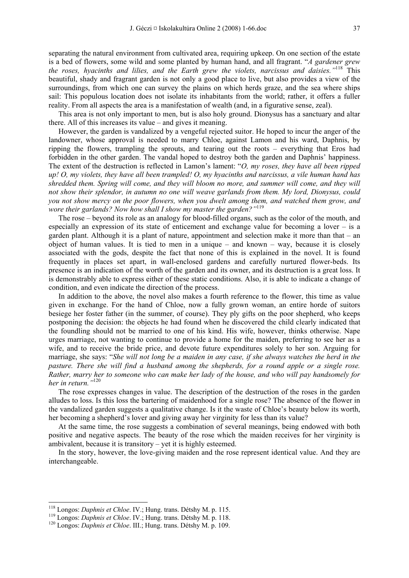separating the natural environment from cultivated area, requiring upkeep. On one section of the estate is a bed of flowers, some wild and some planted by human hand, and all fragrant. "*A gardener grew the roses, hyacinths and lilies, and the Earth grew the violets, narcissus and daisies."*118 This beautiful, shady and fragrant garden is not only a good place to live, but also provides a view of the surroundings, from which one can survey the plains on which herds graze, and the sea where ships sail: This populous location does not isolate its inhabitants from the world; rather, it offers a fuller reality. From all aspects the area is a manifestation of wealth (and, in a figurative sense, zeal).

This area is not only important to men, but is also holy ground. Dionysus has a sanctuary and altar there. All of this increases its value – and gives it meaning.

However, the garden is vandalized by a vengeful rejected suitor. He hoped to incur the anger of the landowner, whose approval is needed to marry Chloe, against Lamon and his ward, Daphnis, by ripping the flowers, trampling the sprouts, and tearing out the roots – everything that Eros had forbidden in the other garden. The vandal hoped to destroy both the garden and Daphnis' happiness. The extent of the destruction is reflected in Lamon's lament: "*O, my roses, they have all been ripped up! O, my violets, they have all been trampled! O, my hyacinths and narcissus, a vile human hand has shredded them. Spring will come, and they will bloom no more, and summer will come, and they will not show their splendor, in autumn no one will weave garlands from them. My lord, Dionysus, could you not show mercy on the poor flowers, when you dwelt among them, and watched them grow, and wore their garlands? Now how shall I show my master the garden?"*119

The rose – beyond its role as an analogy for blood-filled organs, such as the color of the mouth, and especially an expression of its state of enticement and exchange value for becoming a lover  $-$  is a garden plant. Although it is a plant of nature, appointment and selection make it more than that – an object of human values. It is tied to men in a unique – and known – way, because it is closely associated with the gods, despite the fact that none of this is explained in the novel. It is found frequently in places set apart, in wall-enclosed gardens and carefully nurtured flower-beds. Its presence is an indication of the worth of the garden and its owner, and its destruction is a great loss. It is demonstrably able to express either of these static conditions. Also, it is able to indicate a change of condition, and even indicate the direction of the process.

In addition to the above, the novel also makes a fourth reference to the flower, this time as value given in exchange. For the hand of Chloe, now a fully grown woman, an entire horde of suitors besiege her foster father (in the summer, of course). They ply gifts on the poor shepherd, who keeps postponing the decision: the objects he had found when he discovered the child clearly indicated that the foundling should not be married to one of his kind. His wife, however, thinks otherwise. Nape urges marriage, not wanting to continue to provide a home for the maiden, preferring to see her as a wife, and to receive the bride price, and devote future expenditures solely to her son. Arguing for marriage, she says: "*She will not long be a maiden in any case, if she always watches the herd in the pasture. There she will find a husband among the shepherds, for a round apple or a single rose. Rather, marry her to someone who can make her lady of the house, and who will pay handsomely for her in return."*<sup>120</sup>

The rose expresses changes in value. The description of the destruction of the roses in the garden alludes to loss. Is this loss the bartering of maidenhood for a single rose? The absence of the flower in the vandalized garden suggests a qualitative change. Is it the waste of Chloe's beauty below its worth, her becoming a shepherd's lover and giving away her virginity for less than its value?

At the same time, the rose suggests a combination of several meanings, being endowed with both positive and negative aspects. The beauty of the rose which the maiden receives for her virginity is ambivalent, because it is transitory – yet it is highly esteemed.

In the story, however, the love-giving maiden and the rose represent identical value. And they are interchangeable.

<sup>&</sup>lt;sup>118</sup> Longos: *Daphnis et Chloe*. IV.; Hung. trans. Détshy M. p. 115.

<sup>&</sup>lt;sup>119</sup> Longos: *Daphnis et Chloe*. IV.; Hung. trans. Détshy M. p. 118.<br><sup>120</sup> Longos: *Daphnis et Chloe*. III.; Hung. trans. Détshy M. p. 109.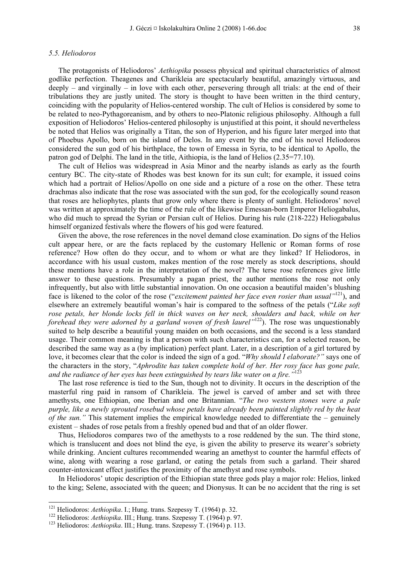#### *5.5. Heliodoros*

The protagonists of Heliodoros' *Aethiopika* possess physical and spiritual characteristics of almost godlike perfection. Theagenes and Charikleia are spectacularly beautiful, amazingly virtuous, and deeply – and virginally – in love with each other, persevering through all trials: at the end of their tribulations they are justly united. The story is thought to have been written in the third century, coinciding with the popularity of Helios-centered worship. The cult of Helios is considered by some to be related to neo-Pythagoreanism, and by others to neo-Platonic religious philosophy. Although a full exposition of Heliodoros' Helios-centered philosophy is unjustified at this point, it should nevertheless be noted that Helios was originally a Titan, the son of Hyperion, and his figure later merged into that of Phoebus Apollo, born on the island of Delos. In any event by the end of his novel Heliodoros considered the sun god of his birthplace, the town of Emessa in Syria, to be identical to Apollo, the patron god of Delphi. The land in the title, Aithiopia, is the land of Helios (2.35=77.10).

The cult of Helios was widespread in Asia Minor and the nearby islands as early as the fourth century BC. The city-state of Rhodes was best known for its sun cult; for example, it issued coins which had a portrait of Helios/Apollo on one side and a picture of a rose on the other. These tetra drachmas also indicate that the rose was associated with the sun god, for the ecologically sound reason that roses are heliophytes, plants that grow only where there is plenty of sunlight. Heliodoros' novel was written at approximately the time of the rule of the likewise Emessan-born Emperor Heliogabalus, who did much to spread the Syrian or Persian cult of Helios. During his rule (218-222) Heliogabalus himself organized festivals where the flowers of his god were featured.

Given the above, the rose references in the novel demand close examination. Do signs of the Helios cult appear here, or are the facts replaced by the customary Hellenic or Roman forms of rose reference? How often do they occur, and to whom or what are they linked? If Heliodoros, in accordance with his usual custom, makes mention of the rose merely as stock descriptions, should these mentions have a role in the interpretation of the novel? The terse rose references give little answer to these questions. Presumably a pagan priest, the author mentions the rose not only infrequently, but also with little substantial innovation. On one occasion a beautiful maiden's blushing face is likened to the color of the rose ("*excitement painted her face even rosier than usual"*121), and elsewhere an extremely beautiful woman's hair is compared to the softness of the petals ("*Like soft rose petals, her blonde locks fell in thick waves on her neck, shoulders and back, while on her forehead they were adorned by a garland woven of fresh laurel*<sup>1122</sup>). The rose was unquestionably suited to help describe a beautiful young maiden on both occasions, and the second is a less standard usage. Their common meaning is that a person with such characteristics can, for a selected reason, be described the same way as a (by implication) perfect plant. Later, in a description of a girl tortured by love, it becomes clear that the color is indeed the sign of a god. "*Why should I elaborate?"* says one of the characters in the story, "*Aphrodite has taken complete hold of her. Her rosy face has gone pale, and the radiance of her eyes has been extinguished by tears like water on a fire."*<sup>123</sup>

The last rose reference is tied to the Sun, though not to divinity. It occurs in the description of the masterful ring paid in ransom of Charikleia. The jewel is carved of amber and set with three amethysts, one Ethiopian, one Iberian and one Britannian. "*The two western stones were a pale purple, like a newly sprouted rosebud whose petals have already been painted slightly red by the heat of the sun.*" This statement implies the empirical knowledge needed to differentiate the – genuinely existent – shades of rose petals from a freshly opened bud and that of an older flower.

Thus, Heliodoros compares two of the amethysts to a rose reddened by the sun. The third stone, which is translucent and does not blind the eye, is given the ability to preserve its wearer's sobriety while drinking. Ancient cultures recommended wearing an amethyst to counter the harmful effects of wine, along with wearing a rose garland, or eating the petals from such a garland. Their shared counter-intoxicant effect justifies the proximity of the amethyst and rose symbols.

In Heliodoros' utopic description of the Ethiopian state three gods play a major role: Helios, linked to the king; Selene, associated with the queen; and Dionysus. It can be no accident that the ring is set

<sup>&</sup>lt;sup>121</sup> Heliodoros: Aethiopika. I.; Hung. trans. Szepessy T. (1964) p. 32.

<sup>&</sup>lt;sup>122</sup> Heliodoros: Aethiopika. III.; Hung. trans. Szepessy T. (1964) p. 97.<br><sup>123</sup> Heliodoros: Aethiopika. III.; Hung. trans. Szepessy T. (1964) p. 113.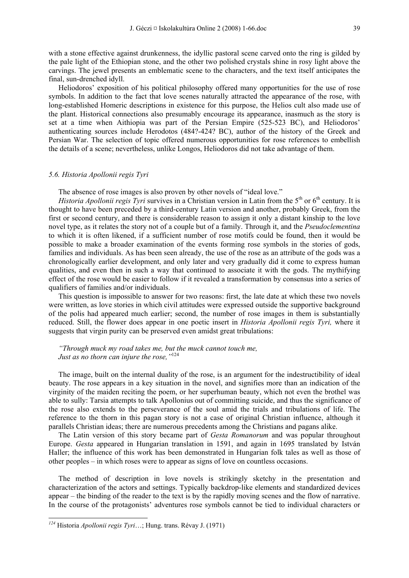with a stone effective against drunkenness, the idyllic pastoral scene carved onto the ring is gilded by the pale light of the Ethiopian stone, and the other two polished crystals shine in rosy light above the carvings. The jewel presents an emblematic scene to the characters, and the text itself anticipates the final, sun-drenched idyll.

Heliodoros' exposition of his political philosophy offered many opportunities for the use of rose symbols. In addition to the fact that love scenes naturally attracted the appearance of the rose, with long-established Homeric descriptions in existence for this purpose, the Helios cult also made use of the plant. Historical connections also presumably encourage its appearance, inasmuch as the story is set at a time when Aithiopia was part of the Persian Empire (525-523 BC), and Heliodoros' authenticating sources include Herodotos (484?-424? BC), author of the history of the Greek and Persian War. The selection of topic offered numerous opportunities for rose references to embellish the details of a scene; nevertheless, unlike Longos, Heliodoros did not take advantage of them.

#### *5.6. Historia Apollonii regis Tyri*

The absence of rose images is also proven by other novels of "ideal love."

*Historia Apollonii regis Tyri* survives in a Christian version in Latin from the 5<sup>th</sup> or 6<sup>th</sup> century. It is thought to have been preceded by a third-century Latin version and another, probably Greek, from the first or second century, and there is considerable reason to assign it only a distant kinship to the love novel type, as it relates the story not of a couple but of a family. Through it, and the *Pseudoclementina* to which it is often likened, if a sufficient number of rose motifs could be found, then it would be possible to make a broader examination of the events forming rose symbols in the stories of gods, families and individuals. As has been seen already, the use of the rose as an attribute of the gods was a chronologically earlier development, and only later and very gradually did it come to express human qualities, and even then in such a way that continued to associate it with the gods. The mythifying effect of the rose would be easier to follow if it revealed a transformation by consensus into a series of qualifiers of families and/or individuals.

This question is impossible to answer for two reasons: first, the late date at which these two novels were written, as love stories in which civil attitudes were expressed outside the supportive background of the polis had appeared much earlier; second, the number of rose images in them is substantially reduced. Still, the flower does appear in one poetic insert in *Historia Apollonii regis Tyri,* where it suggests that virgin purity can be preserved even amidst great tribulations:

*"Through muck my road takes me, but the muck cannot touch me, Just as no thorn can injure the rose,"*<sup>124</sup>

The image, built on the internal duality of the rose, is an argument for the indestructibility of ideal beauty. The rose appears in a key situation in the novel, and signifies more than an indication of the virginity of the maiden reciting the poem, or her superhuman beauty, which not even the brothel was able to sully: Tarsia attempts to talk Apollonius out of committing suicide, and thus the significance of the rose also extends to the perseverance of the soul amid the trials and tribulations of life. The reference to the thorn in this pagan story is not a case of original Christian influence, although it parallels Christian ideas; there are numerous precedents among the Christians and pagans alike.

The Latin version of this story became part of *Gesta Romanorum* and was popular throughout Europe. *Gesta* appeared in Hungarian translation in 1591, and again in 1695 translated by István Haller; the influence of this work has been demonstrated in Hungarian folk tales as well as those of other peoples – in which roses were to appear as signs of love on countless occasions.

The method of description in love novels is strikingly sketchy in the presentation and characterization of the actors and settings. Typically backdrop-like elements and standardized devices appear – the binding of the reader to the text is by the rapidly moving scenes and the flow of narrative. In the course of the protagonists' adventures rose symbols cannot be tied to individual characters or

*<sup>124</sup>* Historia *Apollonii regis Tyri*…; Hung. trans. Révay J. (1971)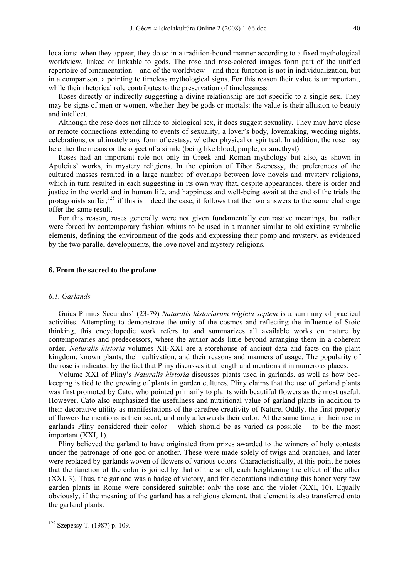locations: when they appear, they do so in a tradition-bound manner according to a fixed mythological worldview, linked or linkable to gods. The rose and rose-colored images form part of the unified repertoire of ornamentation – and of the worldview – and their function is not in individualization, but in a comparison, a pointing to timeless mythological signs. For this reason their value is unimportant, while their rhetorical role contributes to the preservation of timelessness.

Roses directly or indirectly suggesting a divine relationship are not specific to a single sex. They may be signs of men or women, whether they be gods or mortals: the value is their allusion to beauty and intellect.

Although the rose does not allude to biological sex, it does suggest sexuality. They may have close or remote connections extending to events of sexuality, a lover's body, lovemaking, wedding nights, celebrations, or ultimately any form of ecstasy, whether physical or spiritual. In addition, the rose may be either the means or the object of a simile (being like blood, purple, or amethyst).

Roses had an important role not only in Greek and Roman mythology but also, as shown in Apuleius' works, in mystery religions. In the opinion of Tibor Szepessy, the preferences of the cultured masses resulted in a large number of overlaps between love novels and mystery religions, which in turn resulted in each suggesting in its own way that, despite appearances, there is order and justice in the world and in human life, and happiness and well-being await at the end of the trials the protagonists suffer;<sup>125</sup> if this is indeed the case, it follows that the two answers to the same challenge offer the same result.

For this reason, roses generally were not given fundamentally contrastive meanings, but rather were forced by contemporary fashion whims to be used in a manner similar to old existing symbolic elements, defining the environment of the gods and expressing their pomp and mystery, as evidenced by the two parallel developments, the love novel and mystery religions.

#### **6. From the sacred to the profane**

## *6.1. Garlands*

Gaius Plinius Secundus' (23-79) *Naturalis historiarum triginta septem* is a summary of practical activities. Attempting to demonstrate the unity of the cosmos and reflecting the influence of Stoic thinking, this encyclopedic work refers to and summarizes all available works on nature by contemporaries and predecessors, where the author adds little beyond arranging them in a coherent order. *Naturalis historia* volumes XII-XXI are a storehouse of ancient data and facts on the plant kingdom: known plants, their cultivation, and their reasons and manners of usage. The popularity of the rose is indicated by the fact that Pliny discusses it at length and mentions it in numerous places.

Volume XXI of Pliny's *Naturalis historia* discusses plants used in garlands, as well as how beekeeping is tied to the growing of plants in garden cultures. Pliny claims that the use of garland plants was first promoted by Cato, who pointed primarily to plants with beautiful flowers as the most useful. However, Cato also emphasized the usefulness and nutritional value of garland plants in addition to their decorative utility as manifestations of the carefree creativity of Nature. Oddly, the first property of flowers he mentions is their scent, and only afterwards their color. At the same time, in their use in garlands Pliny considered their color – which should be as varied as possible – to be the most important (XXI, 1).

Pliny believed the garland to have originated from prizes awarded to the winners of holy contests under the patronage of one god or another. These were made solely of twigs and branches, and later were replaced by garlands woven of flowers of various colors. Characteristically, at this point he notes that the function of the color is joined by that of the smell, each heightening the effect of the other (XXI, 3). Thus, the garland was a badge of victory, and for decorations indicating this honor very few garden plants in Rome were considered suitable: only the rose and the violet (XXI, 10). Equally obviously, if the meaning of the garland has a religious element, that element is also transferred onto the garland plants.

 $125$  Szepessy T. (1987) p. 109.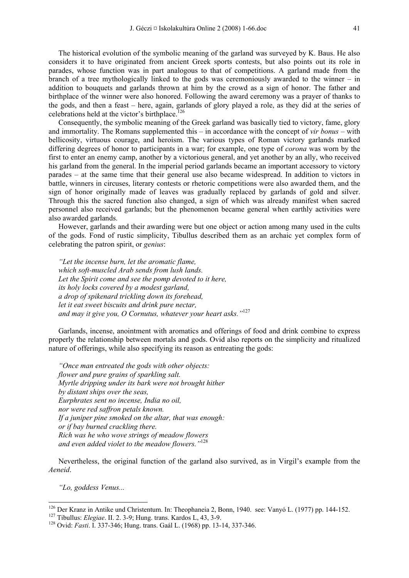The historical evolution of the symbolic meaning of the garland was surveyed by K. Baus. He also considers it to have originated from ancient Greek sports contests, but also points out its role in parades, whose function was in part analogous to that of competitions. A garland made from the branch of a tree mythologically linked to the gods was ceremoniously awarded to the winner – in addition to bouquets and garlands thrown at him by the crowd as a sign of honor. The father and birthplace of the winner were also honored. Following the award ceremony was a prayer of thanks to the gods, and then a feast – here, again, garlands of glory played a role, as they did at the series of celebrations held at the victor's birthplace.<sup>126</sup>

Consequently, the symbolic meaning of the Greek garland was basically tied to victory, fame, glory and immortality. The Romans supplemented this – in accordance with the concept of *vir bonus* – with bellicosity, virtuous courage, and heroism. The various types of Roman victory garlands marked differing degrees of honor to participants in a war; for example, one type of *corona* was worn by the first to enter an enemy camp, another by a victorious general, and yet another by an ally, who received his garland from the general. In the imperial period garlands became an important accessory to victory parades – at the same time that their general use also became widespread. In addition to victors in battle, winners in circuses, literary contests or rhetoric competitions were also awarded them, and the sign of honor originally made of leaves was gradually replaced by garlands of gold and silver. Through this the sacred function also changed, a sign of which was already manifest when sacred personnel also received garlands; but the phenomenon became general when earthly activities were also awarded garlands.

However, garlands and their awarding were but one object or action among many used in the cults of the gods. Fond of rustic simplicity, Tibullus described them as an archaic yet complex form of celebrating the patron spirit, or *genius*:

*"Let the incense burn, let the aromatic flame, which soft-muscled Arab sends from lush lands. Let the Spirit come and see the pomp devoted to it here, its holy locks covered by a modest garland, a drop of spikenard trickling down its forehead, let it eat sweet biscuits and drink pure nectar, and may it give you, O Cornutus, whatever your heart asks."*<sup>127</sup>

Garlands, incense, anointment with aromatics and offerings of food and drink combine to express properly the relationship between mortals and gods. Ovid also reports on the simplicity and ritualized nature of offerings, while also specifying its reason as entreating the gods:

*"Once man entreated the gods with other objects: flower and pure grains of sparkling salt. Myrtle dripping under its bark were not brought hither by distant ships over the seas, Eurphrates sent no incense, India no oil, nor were red saffron petals known. If a juniper pine smoked on the altar, that was enough: or if bay burned crackling there. Rich was he who wove strings of meadow flowers and even added violet to the meadow flowers."*<sup>128</sup>

Nevertheless, the original function of the garland also survived, as in Virgil's example from the *Aeneid*.

*"Lo, goddess Venus...* 

<sup>&</sup>lt;sup>126</sup> Der Kranz in Antike und Christentum. In: Theophaneia 2, Bonn, 1940. see: Vanyó L. (1977) pp. 144-152.<br><sup>127</sup> Tibullus: *Elegiae*. II. 2. 3-9; Hung. trans. Kardos L, 43, 3-9.<br><sup>128</sup> Ovid: *Fasti*. I. 337-346; Hung. tra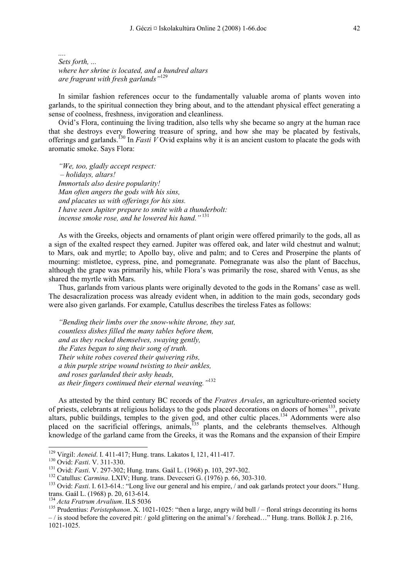*.... Sets forth, ... where her shrine is located, and a hundred altars are fragrant with fresh garlands"*<sup>129</sup>

In similar fashion references occur to the fundamentally valuable aroma of plants woven into garlands, to the spiritual connection they bring about, and to the attendant physical effect generating a sense of coolness, freshness, invigoration and cleanliness.

Ovid's Flora, continuing the living tradition, also tells why she became so angry at the human race that she destroys every flowering treasure of spring, and how she may be placated by festivals, offerings and garlands.130 In *Fasti V* Ovid explains why it is an ancient custom to placate the gods with aromatic smoke. Says Flora:

*"We, too, gladly accept respect: – holidays, altars! Immortals also desire popularity! Man often angers the gods with his sins, and placates us with offerings for his sins. I have seen Jupiter prepare to smite with a thunderbolt: incense smoke rose, and he lowered his hand."*<sup>131</sup>

As with the Greeks, objects and ornaments of plant origin were offered primarily to the gods, all as a sign of the exalted respect they earned. Jupiter was offered oak, and later wild chestnut and walnut; to Mars, oak and myrtle; to Apollo bay, olive and palm; and to Ceres and Proserpine the plants of mourning: mistletoe, cypress, pine, and pomegranate. Pomegranate was also the plant of Bacchus, although the grape was primarily his, while Flora's was primarily the rose, shared with Venus, as she shared the myrtle with Mars.

Thus, garlands from various plants were originally devoted to the gods in the Romans' case as well. The desacralization process was already evident when, in addition to the main gods, secondary gods were also given garlands. For example, Catullus describes the tireless Fates as follows:

*"Bending their limbs over the snow-white throne, they sat, countless dishes filled the many tables before them, and as they rocked themselves, swaying gently, the Fates began to sing their song of truth. Their white robes covered their quivering ribs, a thin purple stripe wound twisting to their ankles, and roses garlanded their ashy heads, as their fingers continued their eternal weaving."*<sup>132</sup>

As attested by the third century BC records of the *Fratres Arvales*, an agriculture-oriented society of priests, celebrants at religious holidays to the gods placed decorations on doors of homes<sup>133</sup>, private altars, public buildings, temples to the given god, and other cultic places.<sup>134</sup> Adornments were also placed on the sacrificial offerings, animals,<sup>135</sup> plants, and the celebrants themselves. Although knowledge of the garland came from the Greeks, it was the Romans and the expansion of their Empire

<sup>&</sup>lt;sup>129</sup> Virgil: Aeneid. I. 411-417; Hung. trans. Lakatos I, 121, 411-417.

<sup>&</sup>lt;sup>130</sup> Ovid: *Fasti.* V. 311-330.<br><sup>131</sup> Ovid: *Fasti.* V. 297-302; Hung. trans. Gaál L. (1968) p. 103, 297-302.<br><sup>132</sup> Catullus: *Carmina*. LXIV; Hung. trans. Devecseri G. (1976) p. 66, 303-310.<br><sup>133</sup> Ovid: *Fasti.* I. 613trans. Gaál L. (1968) p. 20, 613-614.<br><sup>134</sup> Acta Fratrum Arvalium. ILS 5036

<sup>&</sup>lt;sup>135</sup> Prudentius: *Peristephanon*. X. 1021-1025: "then a large, angry wild bull / – floral strings decorating its horns  $-$  is stood before the covered pit: / gold glittering on the animal's / forehead..." Hung. trans. Bollók J. p. 216, 1021-1025.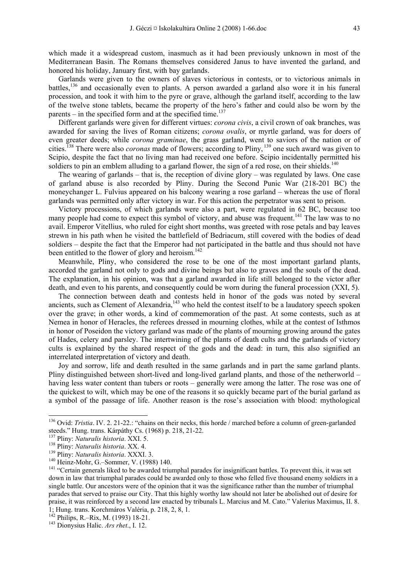which made it a widespread custom, inasmuch as it had been previously unknown in most of the Mediterranean Basin. The Romans themselves considered Janus to have invented the garland, and honored his holiday, January first, with bay garlands.

Garlands were given to the owners of slaves victorious in contests, or to victorious animals in battles,136 and occasionally even to plants. A person awarded a garland also wore it in his funeral procession, and took it with him to the pyre or grave, although the garland itself, according to the law of the twelve stone tablets, became the property of the hero's father and could also be worn by the parents – in the specified form and at the specified time.<sup>137</sup>

Different garlands were given for different virtues: *corona civis*, a civil crown of oak branches, was awarded for saving the lives of Roman citizens; *corona ovalis*, or myrtle garland, was for doers of even greater deeds; while *corona graminae*, the grass garland, went to saviors of the nation or of cities.138 There were also *coronas* made of flowers; according to Pliny, 139 one such award was given to Scipio, despite the fact that no living man had received one before. Scipio incidentally permitted his soldiers to pin an emblem alluding to a garland flower, the sign of a red rose, on their shields.<sup>140</sup>

The wearing of garlands – that is, the reception of divine glory – was regulated by laws. One case of garland abuse is also recorded by Pliny. During the Second Punic War (218-201 BC) the moneychanger L. Fulvius appeared on his balcony wearing a rose garland – whereas the use of floral garlands was permitted only after victory in war. For this action the perpetrator was sent to prison.

Victory processions, of which garlands were also a part, were regulated in 62 BC, because too many people had come to expect this symbol of victory, and abuse was frequent.<sup>141</sup> The law was to no avail. Emperor Vitellius, who ruled for eight short months, was greeted with rose petals and bay leaves strewn in his path when he visited the battlefield of Bedriacum, still covered with the bodies of dead soldiers – despite the fact that the Emperor had not participated in the battle and thus should not have been entitled to the flower of glory and heroism.<sup>142</sup>

Meanwhile, Pliny, who considered the rose to be one of the most important garland plants, accorded the garland not only to gods and divine beings but also to graves and the souls of the dead. The explanation, in his opinion, was that a garland awarded in life still belonged to the victor after death, and even to his parents, and consequently could be worn during the funeral procession (XXI, 5).

The connection between death and contests held in honor of the gods was noted by several ancients, such as Clement of Alexandria, $143$  who held the contest itself to be a laudatory speech spoken over the grave; in other words, a kind of commemoration of the past. At some contests, such as at Nemea in honor of Heracles, the referees dressed in mourning clothes, while at the contest of Isthmos in honor of Poseidon the victory garland was made of the plants of mourning growing around the gates of Hades, celery and parsley. The intertwining of the plants of death cults and the garlands of victory cults is explained by the shared respect of the gods and the dead: in turn, this also signified an interrelated interpretation of victory and death.

Joy and sorrow, life and death resulted in the same garlands and in part the same garland plants. Pliny distinguished between short-lived and long-lived garland plants, and those of the netherworld – having less water content than tubers or roots – generally were among the latter. The rose was one of the quickest to wilt, which may be one of the reasons it so quickly became part of the burial garland as a symbol of the passage of life. Another reason is the rose's association with blood: mythological

<sup>&</sup>lt;sup>136</sup> Ovid: *Tristia*. IV. 2. 21-22.: "chains on their necks, this horde / marched before a column of green-garlanded steeds." Hung. trans. Kárpáthy Cs. (1968) p. 218, 21-22.<br><sup>137</sup> Pliny: *Naturalis historia*. XXI. 5.

<sup>&</sup>lt;sup>138</sup> Pliny: *Naturalis historia.* XX. 4.<br><sup>139</sup> Pliny: *Naturalis historia.* XXXI. 3.<br><sup>140</sup> Heinz-Mohr, G.–Sommer, V. (1988) 140.<br><sup>141</sup> "Certain generals liked to be awarded triumphal parades for insignificant battles. To down in law that triumphal parades could be awarded only to those who felled five thousand enemy soldiers in a single battle. Our ancestors were of the opinion that it was the significance rather than the number of triumphal parades that served to praise our City. That this highly worthy law should not later be abolished out of desire for praise, it was reinforced by a second law enacted by tribunals L. Marcius and M. Cato." Valerius Maximus, II. 8. 1; Hung. trans. Korchmáros Valéria, p. 218, 2, 8, 1.

<sup>&</sup>lt;sup>143</sup> Dionysius Halic. Ars rhet., I. 12.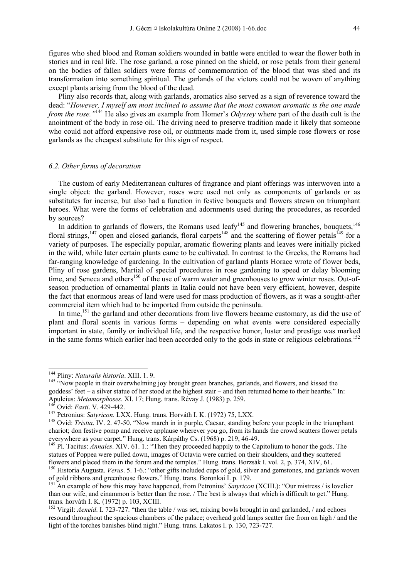figures who shed blood and Roman soldiers wounded in battle were entitled to wear the flower both in stories and in real life. The rose garland, a rose pinned on the shield, or rose petals from their general on the bodies of fallen soldiers were forms of commemoration of the blood that was shed and its transformation into something spiritual. The garlands of the victors could not be woven of anything except plants arising from the blood of the dead.

Pliny also records that, along with garlands, aromatics also served as a sign of reverence toward the dead: "*However, I myself am most inclined to assume that the most common aromatic is the one made from the rose."*144 He also gives an example from Homer's *Odyssey* where part of the death cult is the anointment of the body in rose oil. The driving need to preserve tradition made it likely that someone who could not afford expensive rose oil, or ointments made from it, used simple rose flowers or rose garlands as the cheapest substitute for this sign of respect.

## *6.2. Other forms of decoration*

The custom of early Mediterranean cultures of fragrance and plant offerings was interwoven into a single object: the garland. However, roses were used not only as components of garlands or as substitutes for incense, but also had a function in festive bouquets and flowers strewn on triumphant heroes. What were the forms of celebration and adornments used during the procedures, as recorded by sources?

In addition to garlands of flowers, the Romans used leafy<sup>145</sup> and flowering branches, bouquets,  $146$ floral strings,<sup>147</sup> open and closed garlands, floral carpets<sup>148</sup> and the scattering of flower petals<sup>149</sup> for a variety of purposes. The especially popular, aromatic flowering plants and leaves were initially picked in the wild, while later certain plants came to be cultivated. In contrast to the Greeks, the Romans had far-ranging knowledge of gardening. In the cultivation of garland plants Horace wrote of flower beds, Pliny of rose gardens, Martial of special procedures in rose gardening to speed or delay blooming time, and Seneca and others<sup>150</sup> of the use of warm water and greenhouses to grow winter roses. Out-ofseason production of ornamental plants in Italia could not have been very efficient, however, despite the fact that enormous areas of land were used for mass production of flowers, as it was a sought-after commercial item which had to be imported from outside the peninsula.

In time,<sup>151</sup> the garland and other decorations from live flowers became customary, as did the use of plant and floral scents in various forms – depending on what events were considered especially important in state, family or individual life, and the respective honor, luster and prestige was marked in the same forms which earlier had been accorded only to the gods in state or religious celebrations.<sup>152</sup>

<sup>&</sup>lt;sup>144</sup> Pliny: Naturalis historia. XIII. 1.9.

<sup>&</sup>lt;sup>145</sup> "Now people in their overwhelming joy brought green branches, garlands, and flowers, and kissed the goddess' feet – a silver statue of her stood at the highest stair – and then returned home to their hearths." In: Apuleius: *Metamorphoses.* XI. 17; Hung. trans. Révay J. (1983) p. 259.<br><sup>146</sup> Ovid: *Fasti.* V. 429-442.<br><sup>147</sup> Petronius: *Satyricon*. LXX. Hung. trans. Horváth I. K. (1972) 75, LXX.<br><sup>148</sup> Ovid: *Tristia*. IV. 2. 47-50. "N

chariot; don festive pomp and receive applause wherever you go, from its hands the crowd scatters flower petals everywhere as your carpet." Hung. trans. Kárpáthy Cs. (1968) p. 219, 46-49.

<sup>149</sup> Pl. Tacitus: *Annales*. XIV. 61. 1.: "Then they proceeded happily to the Capitolium to honor the gods. The statues of Poppea were pulled down, images of Octavia were carried on their shoulders, and they scattered

flowers and placed them in the forum and the temples." Hung. trans. Borzsák I. vol. 2, p. 374, XIV, 61.<br><sup>150</sup> Historia Augusta. *Verus*. 5. 1-6.: "other gifts included cups of gold, silver and gemstones, and garlands woven of gold ribbons and greenhouse flowers." Hung. trans. Boronkai I. p. 179.

<sup>151</sup> An example of how this may have happened, from Petronius' *Satyricon* (XCIII.): "Our mistress / is lovelier than our wife, and cinammon is better than the rose. / The best is always that which is difficult to get." Hung. trans. horváth I. K. (1972) p. 103, XCIII.

<sup>&</sup>lt;sup>152</sup> Virgil: *Aeneid*. I. 723-727. "then the table / was set, mixing bowls brought in and garlanded, / and echoes resound throughout the spacious chambers of the palace; overhead gold lamps scatter fire from on high / and the light of the torches banishes blind night." Hung. trans. Lakatos I. p. 130, 723-727.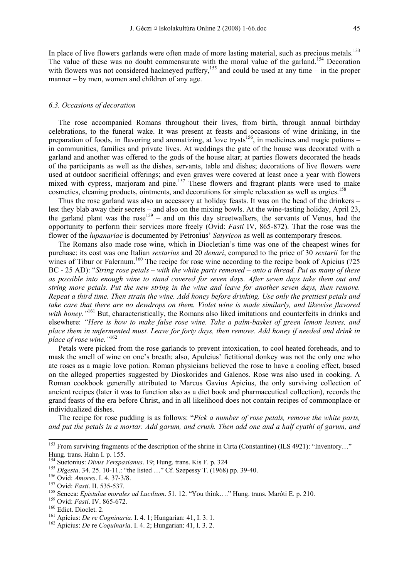In place of live flowers garlands were often made of more lasting material, such as precious metals.<sup>153</sup> The value of these was no doubt commensurate with the moral value of the garland.<sup>154</sup> Decoration with flowers was not considered hackneyed puffery,<sup>155</sup> and could be used at any time – in the proper manner – by men, women and children of any age.

#### *6.3. Occasions of decoration*

The rose accompanied Romans throughout their lives, from birth, through annual birthday celebrations, to the funeral wake. It was present at feasts and occasions of wine drinking, in the preparation of foods, in flavoring and aromatizing, at love trysts<sup>156</sup>, in medicines and magic potions – in communities, families and private lives. At weddings the gate of the house was decorated with a garland and another was offered to the gods of the house altar; at parties flowers decorated the heads of the participants as well as the dishes, servants, table and dishes; decorations of live flowers were used at outdoor sacrificial offerings; and even graves were covered at least once a year with flowers mixed with cypress, marjoram and pine.<sup>157</sup> These flowers and fragrant plants were used to make cosmetics, cleaning products, ointments, and decorations for simple relaxation as well as orgies.<sup>158</sup>

Thus the rose garland was also an accessory at holiday feasts. It was on the head of the drinkers – lest they blab away their secrets – and also on the mixing bowls. At the wine-tasting holiday, April 23, the garland plant was the rose<sup>159</sup> – and on this day streetwalkers, the servants of Venus, had the opportunity to perform their services more freely (Ovid: *Fasti* IV, 865-872). That the rose was the flower of the *lupanariae* is documented by Petronius' *Satyricon* as well as contemporary frescos.

The Romans also made rose wine, which in Diocletian's time was one of the cheapest wines for purchase: its cost was one Italian *sextarius* and 20 *denari*, compared to the price of 30 *sextarii* for the wines of Tibur or Falernum.<sup>160</sup> The recipe for rose wine according to the recipe book of Apicius (?25 BC - 25 AD): "*String rose petals – with the white parts removed – onto a thread. Put as many of these as possible into enough wine to stand covered for seven days. After seven days take them out and string more petals. Put the new string in the wine and leave for another seven days, then remove. Repeat a third time. Then strain the wine. Add honey before drinking. Use only the prettiest petals and take care that there are no dewdrops on them. Violet wine is made similarly, and likewise flavored*  with honey.<sup>"161</sup> But, characteristically, the Romans also liked imitations and counterfeits in drinks and elsewhere: *"Here is how to make false rose wine. Take a palm-basket of green lemon leaves, and place them in unfermented must. Leave for forty days, then remove. Add honey if needed and drink in place of rose wine."*<sup>162</sup>

Petals were picked from the rose garlands to prevent intoxication, to cool heated foreheads, and to mask the smell of wine on one's breath; also, Apuleius' fictitional donkey was not the only one who ate roses as a magic love potion. Roman physicians believed the rose to have a cooling effect, based on the alleged properties suggested by Dioskorides and Galenos. Rose was also used in cooking. A Roman cookbook generally attributed to Marcus Gavius Apicius, the only surviving collection of ancient recipes (later it was to function also as a diet book and pharmaceutical collection), records the grand feasts of the era before Christ, and in all likelihood does not contain recipes of commonplace or individualized dishes.

The recipe for rose pudding is as follows: "*Pick a number of rose petals, remove the white parts, and put the petals in a mortar. Add garum, and crush. Then add one and a half cyathi of garum, and* 

<sup>&</sup>lt;sup>153</sup> From surviving fragments of the description of the shrine in Cirta (Constantine) (ILS 4921): "Inventory..." Hung. trans. Hahn I. p. 155.<br><sup>154</sup> Suetonius: *Divus Verspasianus*. 19; Hung. trans. Kis F. p. 324

<sup>&</sup>lt;sup>155</sup> Digesta. 34. 25. 10-11.: "the listed ..." Cf. Szepessy T. (1968) pp. 39-40.<br><sup>156</sup> Ovid: *Amores*. I. 4. 37-3/8.<br><sup>157</sup> Ovid: *Fasti*. II. 535-537.<br><sup>158</sup> Seneca: *Epistulae morales ad Lucilium*. 51. 12. "You think....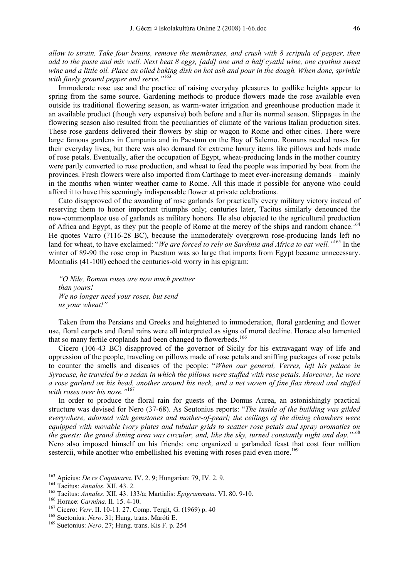*allow to strain. Take four brains, remove the membranes, and crush with 8 scripula of pepper, then add to the paste and mix well. Next beat 8 eggs, [add] one and a half cyathi wine, one cyathus sweet wine and a little oil. Place an oiled baking dish on hot ash and pour in the dough. When done, sprinkle with finely ground pepper and serve."*<sup>163</sup>

Immoderate rose use and the practice of raising everyday pleasures to godlike heights appear to spring from the same source. Gardening methods to produce flowers made the rose available even outside its traditional flowering season, as warm-water irrigation and greenhouse production made it an available product (though very expensive) both before and after its normal season. Slippages in the flowering season also resulted from the peculiarities of climate of the various Italian production sites. These rose gardens delivered their flowers by ship or wagon to Rome and other cities. There were large famous gardens in Campania and in Paestum on the Bay of Salerno. Romans needed roses for their everyday lives, but there was also demand for extreme luxury items like pillows and beds made of rose petals. Eventually, after the occupation of Egypt, wheat-producing lands in the mother country were partly converted to rose production, and wheat to feed the people was imported by boat from the provinces. Fresh flowers were also imported from Carthage to meet ever-increasing demands – mainly in the months when winter weather came to Rome. All this made it possible for anyone who could afford it to have this seemingly indispensable flower at private celebrations.

Cato disapproved of the awarding of rose garlands for practically every military victory instead of reserving them to honor important triumphs only; centuries later, Tacitus similarly denounced the now-commonplace use of garlands as military honors. He also objected to the agricultural production of Africa and Egypt, as they put the people of Rome at the mercy of the ships and random chance.<sup>164</sup> He quotes Varro (?116-28 BC), because the immoderately overgrown rose-producing lands left no land for wheat, to have exclaimed: "*We are forced to rely on Sardinia and Africa to eat well."*165 In the winter of 89-90 the rose crop in Paestum was so large that imports from Egypt became unnecessary. Montialis (41-100) echoed the centuries-old worry in his epigram:

*"O Nile, Roman roses are now much prettier than yours! We no longer need your roses, but send us your wheat!"* 

Taken from the Persians and Greeks and heightened to immoderation, floral gardening and flower use, floral carpets and floral rains were all interpreted as signs of moral decline. Horace also lamented that so many fertile croplands had been changed to flowerbeds.<sup>166</sup>

Cicero (106-43 BC) disapproved of the governor of Sicily for his extravagant way of life and oppression of the people, traveling on pillows made of rose petals and sniffing packages of rose petals to counter the smells and diseases of the people: "*When our general, Verres, left his palace in Syracuse, he traveled by a sedan in which the pillows were stuffed with rose petals. Moreover, he wore a rose garland on his head, another around his neck, and a net woven of fine flax thread and stuffed with roses over his nose."*<sup>167</sup>

In order to produce the floral rain for guests of the Domus Aurea, an astonishingly practical structure was devised for Nero (37-68). As Seutonius reports: "*The inside of the building was gilded everywhere, adorned with gemstones and mother-of-pearl; the ceilings of the dining chambers were equipped with movable ivory plates and tubular grids to scatter rose petals and spray aromatics on the guests: the grand dining area was circular, and, like the sky, turned constantly night and day."*<sup>168</sup> Nero also imposed himself on his friends: one organized a garlanded feast that cost four million sestercii, while another who embellished his evening with roses paid even more.<sup>169</sup>

<sup>&</sup>lt;sup>163</sup> Apicius: *De re Coquinaria*. IV. 2. 9; Hungarian: 79, IV. 2. 9.

<sup>&</sup>lt;sup>164</sup> Tacitus: *Annales.* XII. 43. 2.<br><sup>165</sup> Tacitus: *Annales.* XII. 43. 133/a; Martialis: *Epigrammata.* VI. 80. 9-10.<br><sup>166</sup> Torace: *Carmina.* II. 15. 4-10.<br><sup>167</sup> Cicero: *Verr.* II. 10-11. 27. Comp. Tergit, G. (1969) p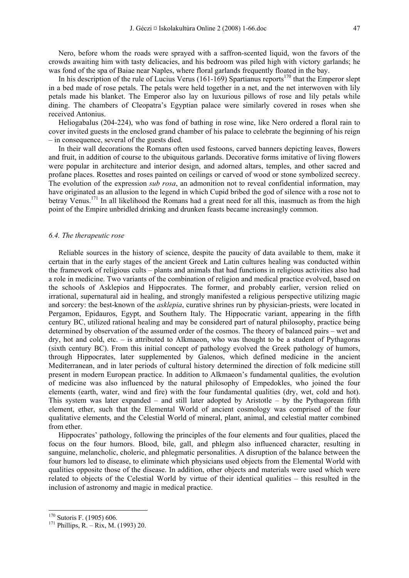Nero, before whom the roads were sprayed with a saffron-scented liquid, won the favors of the crowds awaiting him with tasty delicacies, and his bedroom was piled high with victory garlands; he was fond of the spa of Baiae near Naples, where floral garlands frequently floated in the bay.

In his description of the rule of Lucius Verus (161-169) Spartianus reports<sup>170</sup> that the Emperor slept in a bed made of rose petals. The petals were held together in a net, and the net interwoven with lily petals made his blanket. The Emperor also lay on luxurious pillows of rose and lily petals while dining. The chambers of Cleopatra's Egyptian palace were similarly covered in roses when she received Antonius.

Heliogabalus (204-224), who was fond of bathing in rose wine, like Nero ordered a floral rain to cover invited guests in the enclosed grand chamber of his palace to celebrate the beginning of his reign – in consequence, several of the guests died.

In their wall decorations the Romans often used festoons, carved banners depicting leaves, flowers and fruit, in addition of course to the ubiquitous garlands. Decorative forms imitative of living flowers were popular in architecture and interior design, and adorned altars, temples, and other sacred and profane places. Rosettes and roses painted on ceilings or carved of wood or stone symbolized secrecy. The evolution of the expression *sub rosa*, an admonition not to reveal confidential information, may have originated as an allusion to the legend in which Cupid bribed the god of silence with a rose not to betray Venus.<sup>171</sup> In all likelihood the Romans had a great need for all this, inasmuch as from the high point of the Empire unbridled drinking and drunken feasts became increasingly common.

#### *6.4. The therapeutic rose*

Reliable sources in the history of science, despite the paucity of data available to them, make it certain that in the early stages of the ancient Greek and Latin cultures healing was conducted within the framework of religious cults – plants and animals that had functions in religious activities also had a role in medicine. Two variants of the combination of religion and medical practice evolved, based on the schools of Asklepios and Hippocrates. The former, and probably earlier, version relied on irrational, supernatural aid in healing, and strongly manifested a religious perspective utilizing magic and sorcery: the best-known of the *asklepia*, curative shrines run by physician-priests, were located in Pergamon, Epidauros, Egypt, and Southern Italy. The Hippocratic variant, appearing in the fifth century BC, utilized rational healing and may be considered part of natural philosophy, practice being determined by observation of the assumed order of the cosmos. The theory of balanced pairs – wet and dry, hot and cold, etc. – is attributed to Alkmaeon, who was thought to be a student of Pythagoras (sixth century BC). From this initial concept of pathology evolved the Greek pathology of humors, through Hippocrates, later supplemented by Galenos, which defined medicine in the ancient Mediterranean, and in later periods of cultural history determined the direction of folk medicine still present in modern European practice. In addition to Alkmaeon's fundamental qualities, the evolution of medicine was also influenced by the natural philosophy of Empedokles, who joined the four elements (earth, water, wind and fire) with the four fundamental qualities (dry, wet, cold and hot). This system was later expanded – and still later adopted by Aristotle – by the Pythagorean fifth element, ether, such that the Elemental World of ancient cosmology was comprised of the four qualitative elements, and the Celestial World of mineral, plant, animal, and celestial matter combined from ether.

Hippocrates' pathology, following the principles of the four elements and four qualities, placed the focus on the four humors. Blood, bile, gall, and phlegm also influenced character, resulting in sanguine, melancholic, choleric, and phlegmatic personalities. A disruption of the balance between the four humors led to disease, to eliminate which physicians used objects from the Elemental World with qualities opposite those of the disease. In addition, other objects and materials were used which were related to objects of the Celestial World by virtue of their identical qualities – this resulted in the inclusion of astronomy and magic in medical practice.

<sup>&</sup>lt;sup>170</sup> Sutoris F. (1905) 606.

<sup>&</sup>lt;sup>171</sup> Phillips, R. – Rix, M. (1993) 20.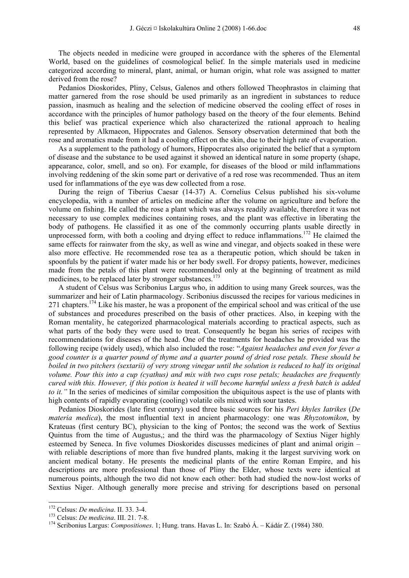The objects needed in medicine were grouped in accordance with the spheres of the Elemental World, based on the guidelines of cosmological belief. In the simple materials used in medicine categorized according to mineral, plant, animal, or human origin, what role was assigned to matter derived from the rose?

Pedanios Dioskorides, Pliny, Celsus, Galenos and others followed Theophrastos in claiming that matter garnered from the rose should be used primarily as an ingredient in substances to reduce passion, inasmuch as healing and the selection of medicine observed the cooling effect of roses in accordance with the principles of humor pathology based on the theory of the four elements. Behind this belief was practical experience which also characterized the rational approach to healing represented by Alkmaeon, Hippocrates and Galenos. Sensory observation determined that both the rose and aromatics made from it had a cooling effect on the skin, due to their high rate of evaporation.

As a supplement to the pathology of humors, Hippocrates also originated the belief that a symptom of disease and the substance to be used against it showed an identical nature in some property (shape, appearance, color, smell, and so on). For example, for diseases of the blood or mild inflammations involving reddening of the skin some part or derivative of a red rose was recommended. Thus an item used for inflammations of the eye was dew collected from a rose.

During the reign of Tiberius Caesar (14-37) A. Cornelius Celsus published his six-volume encyclopedia, with a number of articles on medicine after the volume on agriculture and before the volume on fishing. He called the rose a plant which was always readily available, therefore it was not necessary to use complex medicines containing roses, and the plant was effective in liberating the body of pathogens. He classified it as one of the commonly occurring plants usable directly in unprocessed form, with both a cooling and drying effect to reduce inflammations.<sup>172</sup> He claimed the same effects for rainwater from the sky, as well as wine and vinegar, and objects soaked in these were also more effective. He recommended rose tea as a therapeutic potion, which should be taken in spoonfuls by the patient if water made his or her body swell. For dropsy patients, however, medicines made from the petals of this plant were recommended only at the beginning of treatment as mild medicines, to be replaced later by stronger substances.<sup>173</sup>

A student of Celsus was Scribonius Largus who, in addition to using many Greek sources, was the summarizer and heir of Latin pharmacology. Scribonius discussed the recipes for various medicines in 271 chapters.<sup>174</sup> Like his master, he was a proponent of the empirical school and was critical of the use of substances and procedures prescribed on the basis of other practices. Also, in keeping with the Roman mentality, he categorized pharmacological materials according to practical aspects, such as what parts of the body they were used to treat. Consequently he began his series of recipes with recommendations for diseases of the head. One of the treatments for headaches he provided was the following recipe (widely used), which also included the rose: "*Against headaches and even for fever a good counter is a quarter pound of thyme and a quarter pound of dried rose petals. These should be boiled in two pitchers (sextarii) of very strong vinegar until the solution is reduced to half its original volume. Pour this into a cup (cyathus) and mix with two cups rose petals; headaches are frequently cured with this. However, if this potion is heated it will become harmful unless a fresh batch is added to it.*" In the series of medicines of similar composition the ubiquitous aspect is the use of plants with high contents of rapidly evaporating (cooling) volatile oils mixed with sour tastes.

Pedanios Dioskorides (late first century) used three basic sources for his *Peri khyles Iatrikes* (*De materia medica*), the most influential text in ancient pharmacology: one was *Rhyzotomikon*, by Krateuas (first century BC), physician to the king of Pontos; the second was the work of Sextius Quintus from the time of Augustus,; and the third was the pharmacology of Sextius Niger highly esteemed by Seneca. In five volumes Dioskorides discusses medicines of plant and animal origin – with reliable descriptions of more than five hundred plants, making it the largest surviving work on ancient medical botany. He presents the medicinal plants of the entire Roman Empire, and his descriptions are more professional than those of Pliny the Elder, whose texts were identical at numerous points, although the two did not know each other: both had studied the now-lost works of Sextius Niger. Although generally more precise and striving for descriptions based on personal

<sup>172</sup> Celsus: *De medicina*. II. 33. 3-4. 173 Celsus: *De medicina*. III. 21. 7-8. 174 Scribonius Largus: *Compositiones*. 1; Hung. trans. Havas L. In: Szabó Á. – Kádár Z. (1984) 380.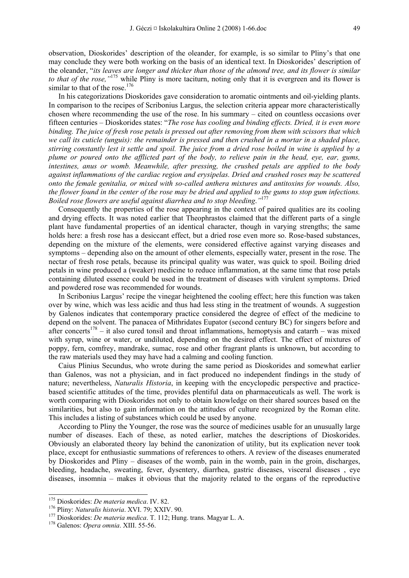observation, Dioskorides' description of the oleander, for example, is so similar to Pliny's that one may conclude they were both working on the basis of an identical text. In Dioskorides' description of the oleander, "*its leaves are longer and thicker than those of the almond tree, and its flower is similar to that of the rose*, "<sup>175</sup> while Pliny is more taciturn, noting only that it is evergreen and its flower is similar to that of the rose.<sup>176</sup>

In his categorizations Dioskorides gave consideration to aromatic ointments and oil-yielding plants. In comparison to the recipes of Scribonius Largus, the selection criteria appear more characteristically chosen where recommending the use of the rose. In his summary – cited on countless occasions over fifteen centuries – Dioskorides states: "*The rose has cooling and binding effects. Dried, it is even more binding. The juice of fresh rose petals is pressed out after removing from them with scissors that which we call its cuticle (unguis): the remainder is pressed and then crushed in a mortar in a shaded place, stirring constantly lest it settle and spoil. The juice from a dried rose boiled in wine is applied by a plume or poured onto the afflicted part of the body, to relieve pain in the head, eye, ear, gums, intestines, anus or womb. Meanwhile, after pressing, the crushed petals are applied to the body against inflammations of the cardiac region and erysipelas. Dried and crushed roses may be scattered onto the female genitalia, or mixed with so-called anthera mixtures and antitoxins for wounds. Also, the flower found in the center of the rose may be dried and applied to the gums to stop gum infections. Boiled rose flowers are useful against diarrhea and to stop bleeding*.*"*177

Consequently the properties of the rose appearing in the context of paired qualities are its cooling and drying effects. It was noted earlier that Theophrastos claimed that the different parts of a single plant have fundamental properties of an identical character, though in varying strengths; the same holds here: a fresh rose has a desiccant effect, but a dried rose even more so. Rose-based substances, depending on the mixture of the elements, were considered effective against varying diseases and symptoms – depending also on the amount of other elements, especially water, present in the rose. The nectar of fresh rose petals, because its principal quality was water, was quick to spoil. Boiling dried petals in wine produced a (weaker) medicine to reduce inflammation, at the same time that rose petals containing diluted essence could be used in the treatment of diseases with virulent symptoms. Dried and powdered rose was recommended for wounds.

In Scribonius Largus' recipe the vinegar heightened the cooling effect; here this function was taken over by wine, which was less acidic and thus had less sting in the treatment of wounds. A suggestion by Galenos indicates that contemporary practice considered the degree of effect of the medicine to depend on the solvent. The panacea of Mithridates Eupator (second century BC) for singers before and after concerts<sup>178</sup> – it also cured tonsil and throat inflammations, hemoptysis and catarrh – was mixed with syrup, wine or water, or undiluted, depending on the desired effect. The effect of mixtures of poppy, fern, comfrey, mandrake, sumac, rose and other fragrant plants is unknown, but according to the raw materials used they may have had a calming and cooling function.

Caius Plinius Secundus, who wrote during the same period as Dioskorides and somewhat earlier than Galenos, was not a physician, and in fact produced no independent findings in the study of nature; nevertheless, *Naturalis Historia*, in keeping with the encyclopedic perspective and practicebased scientific attitudes of the time, provides plentiful data on pharmaceuticals as well. The work is worth comparing with Dioskorides not only to obtain knowledge on their shared sources based on the similarities, but also to gain information on the attitudes of culture recognized by the Roman elite. This includes a listing of substances which could be used by anyone.

According to Pliny the Younger, the rose was the source of medicines usable for an unusually large number of diseases. Each of these, as noted earlier, matches the descriptions of Dioskorides. Obviously an elaborated theory lay behind the canonization of utility, but its explication never took place, except for enthusiastic summations of references to others. A review of the diseases enumerated by Dioskorides and Pliny – diseases of the womb, pain in the womb, pain in the groin, discharges, bleeding, headache, sweating, fever, dysentery, diarrhea, gastric diseases, visceral diseases , eye diseases, insomnia – makes it obvious that the majority related to the organs of the reproductive

<sup>&</sup>lt;sup>175</sup> Dioskorides: *De materia medica*. IV. 82.

<sup>&</sup>lt;sup>176</sup> Pliny: *Naturalis historia.* XVI. 79; XXIV. 90.<br><sup>177</sup> Dioskorides: *De materia medica*. T. 112; Hung. trans. Magyar L. A.<br><sup>178</sup> Galenos: *Opera omnia.* XIII. 55-56.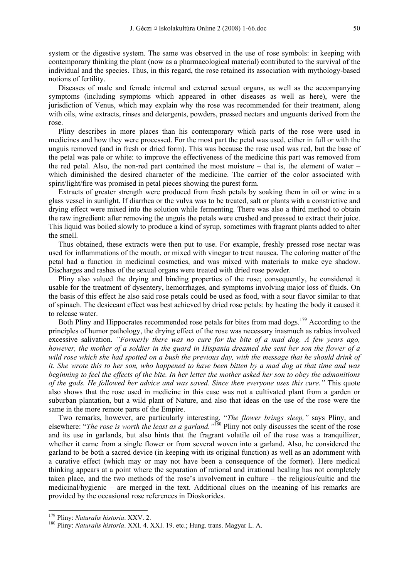system or the digestive system. The same was observed in the use of rose symbols: in keeping with contemporary thinking the plant (now as a pharmacological material) contributed to the survival of the individual and the species. Thus, in this regard, the rose retained its association with mythology-based notions of fertility.

Diseases of male and female internal and external sexual organs, as well as the accompanying symptoms (including symptoms which appeared in other diseases as well as here), were the jurisdiction of Venus, which may explain why the rose was recommended for their treatment, along with oils, wine extracts, rinses and detergents, powders, pressed nectars and unguents derived from the rose.

Pliny describes in more places than his contemporary which parts of the rose were used in medicines and how they were processed. For the most part the petal was used, either in full or with the unguis removed (and in fresh or dried form). This was because the rose used was red, but the base of the petal was pale or white: to improve the effectiveness of the medicine this part was removed from the red petal. Also, the non-red part contained the most moisture – that is, the element of water – which diminished the desired character of the medicine. The carrier of the color associated with spirit/light/fire was promised in petal pieces showing the purest form.

Extracts of greater strength were produced from fresh petals by soaking them in oil or wine in a glass vessel in sunlight. If diarrhea or the vulva was to be treated, salt or plants with a constrictive and drying effect were mixed into the solution while fermenting. There was also a third method to obtain the raw ingredient: after removing the unguis the petals were crushed and pressed to extract their juice. This liquid was boiled slowly to produce a kind of syrup, sometimes with fragrant plants added to alter the smell.

Thus obtained, these extracts were then put to use. For example, freshly pressed rose nectar was used for inflammations of the mouth, or mixed with vinegar to treat nausea. The coloring matter of the petal had a function in medicinal cosmetics, and was mixed with materials to make eye shadow. Discharges and rashes of the sexual organs were treated with dried rose powder.

Pliny also valued the drying and binding properties of the rose; consequently, he considered it usable for the treatment of dysentery, hemorrhages, and symptoms involving major loss of fluids. On the basis of this effect he also said rose petals could be used as food, with a sour flavor similar to that of spinach. The desiccant effect was best achieved by dried rose petals: by heating the body it caused it to release water.

Both Pliny and Hippocrates recommended rose petals for bites from mad dogs.<sup>179</sup> According to the principles of humor pathology, the drying effect of the rose was necessary inasmuch as rabies involved excessive salivation. *"Formerly there was no cure for the bite of a mad dog. A few years ago, however, the mother of a soldier in the guard in Hispania dreamed she sent her son the flower of a wild rose which she had spotted on a bush the previous day, with the message that he should drink of it. She wrote this to her son, who happened to have been bitten by a mad dog at that time and was beginning to feel the effects of the bite. In her letter the mother asked her son to obey the admonitions of the gods. He followed her advice and was saved. Since then everyone uses this cure."* This quote also shows that the rose used in medicine in this case was not a cultivated plant from a garden or suburban plantation, but a wild plant of Nature, and also that ideas on the use of the rose were the same in the more remote parts of the Empire.

Two remarks, however, are particularly interesting. "*The flower brings sleep,"* says Pliny, and elsewhere: "*The rose is worth the least as a garland."*180 Pliny not only discusses the scent of the rose and its use in garlands, but also hints that the fragrant volatile oil of the rose was a tranquilizer, whether it came from a single flower or from several woven into a garland. Also, he considered the garland to be both a sacred device (in keeping with its original function) as well as an adornment with a curative effect (which may or may not have been a consequence of the former). Here medical thinking appears at a point where the separation of rational and irrational healing has not completely taken place, and the two methods of the rose's involvement in culture – the religious/cultic and the medicinal/hygienic – are merged in the text. Additional clues on the meaning of his remarks are provided by the occasional rose references in Dioskorides.

<sup>&</sup>lt;sup>179</sup> Pliny: *Naturalis historia*. XXV. 2.<br><sup>180</sup> Pliny: *Naturalis historia*. XXI. 4. XXI. 19. etc.; Hung. trans. Magyar L. A.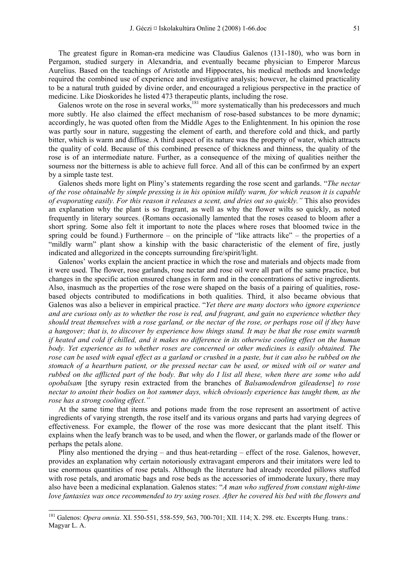The greatest figure in Roman-era medicine was Claudius Galenos (131-180), who was born in Pergamon, studied surgery in Alexandria, and eventually became physician to Emperor Marcus Aurelius. Based on the teachings of Aristotle and Hippocrates, his medical methods and knowledge required the combined use of experience and investigative analysis; however, he claimed practicality to be a natural truth guided by divine order, and encouraged a religious perspective in the practice of medicine. Like Dioskorides he listed 473 therapeutic plants, including the rose.

Galenos wrote on the rose in several works, $^{181}$  more systematically than his predecessors and much more subtly. He also claimed the effect mechanism of rose-based substances to be more dynamic; accordingly, he was quoted often from the Middle Ages to the Enlightenment. In his opinion the rose was partly sour in nature, suggesting the element of earth, and therefore cold and thick, and partly bitter, which is warm and diffuse. A third aspect of its nature was the property of water, which attracts the quality of cold. Because of this combined presence of thickness and thinness, the quality of the rose is of an intermediate nature. Further, as a consequence of the mixing of qualities neither the sourness nor the bitterness is able to achieve full force. And all of this can be confirmed by an expert by a simple taste test.

Galenos sheds more light on Pliny's statements regarding the rose scent and garlands. "*The nectar of the rose obtainable by simple pressing is in his opinion mildly warm, for which reason it is capable of evaporating easily. For this reason it releases a scent, and dries out so quickly."* This also provides an explanation why the plant is so fragrant, as well as why the flower wilts so quickly, as noted frequently in literary sources. (Romans occasionally lamented that the roses ceased to bloom after a short spring. Some also felt it important to note the places where roses that bloomed twice in the spring could be found.) Furthermore – on the principle of "like attracts like" – the properties of a "mildly warm" plant show a kinship with the basic characteristic of the element of fire, justly indicated and allegorized in the concepts surrounding fire/spirit/light.

Galenos' works explain the ancient practice in which the rose and materials and objects made from it were used. The flower, rose garlands, rose nectar and rose oil were all part of the same practice, but changes in the specific action ensured changes in form and in the concentrations of active ingredients. Also, inasmuch as the properties of the rose were shaped on the basis of a pairing of qualities, rosebased objects contributed to modifications in both qualities. Third, it also became obvious that Galenos was also a believer in empirical practice. "*Yet there are many doctors who ignore experience and are curious only as to whether the rose is red, and fragrant, and gain no experience whether they should treat themselves with a rose garland, or the nectar of the rose, or perhaps rose oil if they have a hangover; that is, to discover by experience how things stand. It may be that the rose emits warmth if heated and cold if chilled, and it makes no difference in its otherwise cooling effect on the human body. Yet experience as to whether roses are concerned or other medicines is easily obtained. The rose can be used with equal effect as a garland or crushed in a paste, but it can also be rubbed on the stomach of a heartburn patient, or the pressed nectar can be used, or mixed with oil or water and rubbed on the afflicted part of the body. But why do I list all these, when there are some who add opobalsam* [the syrupy resin extracted from the branches of *Balsamodendron gileadense*] *to rose nectar to anoint their bodies on hot summer days, which obviously experience has taught them, as the rose has a strong cooling effect."*

At the same time that items and potions made from the rose represent an assortment of active ingredients of varying strength, the rose itself and its various organs and parts had varying degrees of effectiveness. For example, the flower of the rose was more desiccant that the plant itself. This explains when the leafy branch was to be used, and when the flower, or garlands made of the flower or perhaps the petals alone.

Pliny also mentioned the drying – and thus heat-retarding – effect of the rose. Galenos, however, provides an explanation why certain notoriously extravagant emperors and their imitators were led to use enormous quantities of rose petals. Although the literature had already recorded pillows stuffed with rose petals, and aromatic bags and rose beds as the accessories of immoderate luxury, there may also have been a medicinal explanation. Galenos states: "*A man who suffered from constant night-time love fantasies was once recommended to try using roses. After he covered his bed with the flowers and* 

<sup>181</sup> Galenos: *Opera omnia*. XI. 550-551, 558-559, 563, 700-701; XII. 114; X. 298. etc. Excerpts Hung. trans.: Magyar L. A.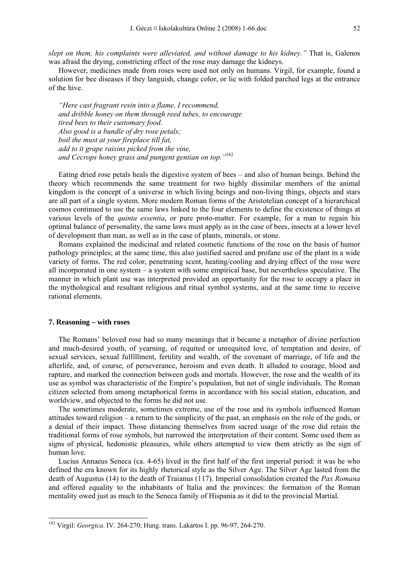*slept on them, his complaints were alleviated, and without damage to his kidney."* That is, Galenos was afraid the drying, constricting effect of the rose may damage the kidneys.

However, medicines made from roses were used not only on humans. Virgil, for example, found a solution for bee diseases if they languish, change color, or lie with folded parched legs at the entrance of the hive.

*"Here cast fragrant resin into a flame, I recommend, and dribble honey on them through reed tubes, to encourage tired bees to their customary food. Also good is a bundle of dry rose petals; boil the must at your fireplace till fat, add to it grape raisins picked from the vine, and Cecrops honey grass and pungent gentian on top."*<sup>182</sup>

Eating dried rose petals heals the digestive system of bees – and also of human beings. Behind the theory which recommends the same treatment for two highly dissimilar members of the animal kingdom is the concept of a universe in which living beings and non-living things, objects and stars are all part of a single system. More modern Roman forms of the Aristotelian concept of a hierarchical cosmos continued to use the same laws linked to the four elements to define the existence of things at various levels of the *quinta essentia*, or pure proto-matter. For example, for a man to regain his optimal balance of personality, the same laws must apply as in the case of bees, insects at a lower level of development than man, as well as in the case of plants, minerals, or stone.

Romans explained the medicinal and related cosmetic functions of the rose on the basis of humor pathology principles; at the same time, this also justified sacred and profane use of the plant in a wide variety of forms. The red color, penetrating scent, heating/cooling and drying effect of the rose were all incorporated in one system – a system with some empirical base, but nevertheless speculative. The manner in which plant use was interpreted provided an opportunity for the rose to occupy a place in the mythological and resultant religious and ritual symbol systems, and at the same time to receive rational elements.

#### **7. Reasoning – with roses**

-

The Romans' beloved rose had so many meanings that it became a metaphor of divine perfection and much-desired youth, of yearning, of requited or unrequited love, of temptation and desire, of sexual services, sexual fulfillment, fertility and wealth, of the covenant of marriage, of life and the afterlife, and, of course, of perseverance, heroism and even death. It alluded to courage, blood and rapture, and marked the connection between gods and mortals. However, the rose and the wealth of its use as symbol was characteristic of the Empire's population, but not of single individuals. The Roman citizen selected from among metaphorical forms in accordance with his social station, education, and worldview, and objected to the forms he did not use.

The sometimes moderate, sometimes extreme, use of the rose and its symbols influenced Roman attitudes toward religion – a return to the simplicity of the past, an emphasis on the role of the gods, or a denial of their impact. Those distancing themselves from sacred usage of the rose did retain the traditional forms of rose symbols, but narrowed the interpretation of their content. Some used them as signs of physical, hedonistic pleasures, while others attempted to view them strictly as the sign of human love.

Lucius Annaeus Seneca (ca. 4-65) lived in the first half of the first imperial period: it was he who defined the era known for its highly rhetorical style as the Silver Age. The Silver Age lasted from the death of Augustus (14) to the death of Traianus (117). Imperial consolidation created the *Pax Romana* and offered equality to the inhabitants of Italia and the provinces: the formation of the Roman mentality owed just as much to the Seneca family of Hispania as it did to the provincial Martial.

<sup>182</sup> Virgil: *Georgica*. IV. 264-270; Hung. trans. Lakartos I. pp. 96-97, 264-270.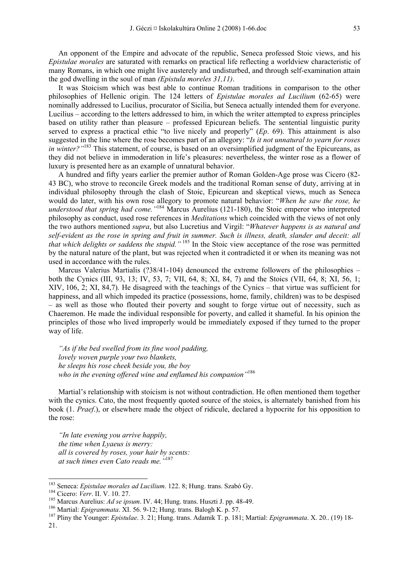An opponent of the Empire and advocate of the republic, Seneca professed Stoic views, and his *Epistulae morales* are saturated with remarks on practical life reflecting a worldview characteristic of many Romans, in which one might live austerely and undisturbed, and through self-examination attain the god dwelling in the soul of man *(Epistula moreles 31,11)*.

It was Stoicism which was best able to continue Roman traditions in comparison to the other philosophies of Hellenic origin. The 124 letters of *Epistulae morales ad Lucilium* (62-65) were nominally addressed to Lucilius, procurator of Sicilia, but Seneca actually intended them for everyone. Lucilius – according to the letters addressed to him, in which the writer attempted to express principles based on utility rather than pleasure – professed Epicurean beliefs. The sentential linguistic purity served to express a practical ethic "to live nicely and properly" (*Ep*. 69). This attainment is also suggested in the line where the rose becomes part of an allegory: "*Is it not unnatural to yearn for roses in winter?*"<sup>183</sup> This statement, of course, is based on an oversimplified judgment of the Epicureans, as they did not believe in immoderation in life's pleasures: nevertheless, the winter rose as a flower of luxury is presented here as an example of unnatural behavior.

A hundred and fifty years earlier the premier author of Roman Golden-Age prose was Cicero (82- 43 BC), who strove to reconcile Greek models and the traditional Roman sense of duty, arriving at in individual philosophy through the clash of Stoic, Epicurean and skeptical views, much as Seneca would do later, with his own rose allegory to promote natural behavior: "*When he saw the rose, he understood that spring had come."*184 Marcus Aurelius (121-180), the Stoic emperor who interpreted philosophy as conduct, used rose references in *Meditations* which coincided with the views of not only the two authors mentioned *supra*, but also Lucretius and Virgil: "*Whatever happens is as natural and self-evident as the rose in spring and fruit in summer. Such is illness, death, slander and deceit: all that which delights or saddens the stupid."* 185 In the Stoic view acceptance of the rose was permitted by the natural nature of the plant, but was rejected when it contradicted it or when its meaning was not used in accordance with the rules.

Marcus Valerius Martialis (?38/41-104) denounced the extreme followers of the philosophies both the Cynics (III, 93, 13; IV, 53, 7; VII, 64, 8; XI, 84, 7) and the Stoics (VII, 64, 8; XI, 56, 1; XIV, 106, 2; XI, 84,7). He disagreed with the teachings of the Cynics – that virtue was sufficient for happiness, and all which impeded its practice (possessions, home, family, children) was to be despised – as well as those who flouted their poverty and sought to forge virtue out of necessity, such as Chaeremon. He made the individual responsible for poverty, and called it shameful. In his opinion the principles of those who lived improperly would be immediately exposed if they turned to the proper way of life.

*"As if the bed swelled from its fine wool padding, lovely woven purple your two blankets, he sleeps his rose cheek beside you, the boy who in the evening offered wine and enflamed his companion"*<sup>186</sup>

Martial's relationship with stoicism is not without contradiction. He often mentioned them together with the cynics. Cato, the most frequently quoted source of the stoics, is alternately banished from his book (1. *Praef*.), or elsewhere made the object of ridicule, declared a hypocrite for his opposition to the rose:

*"In late evening you arrive happily, the time when Lyaeus is merry: all is covered by roses, your hair by scents: at such times even Cato reads me."*<sup>187</sup>

<sup>&</sup>lt;sup>183</sup> Seneca: Epistulae morales ad Lucilium. 122. 8; Hung. trans. Szabó Gy.

<sup>&</sup>lt;sup>184</sup> Cicero: *Verr.* II. V. 10. 27.<br><sup>185</sup> Marcus Aurelius: *Ad se ipsum.* IV. 44; Hung. trans. Huszti J. pp. 48-49.<br><sup>186</sup> Martial: *Epigrammata*. XI. 56. 9-12; Hung. trans. Balogh K. p. 57.<br><sup>187</sup> Pliny the Younger: *Epis* 21.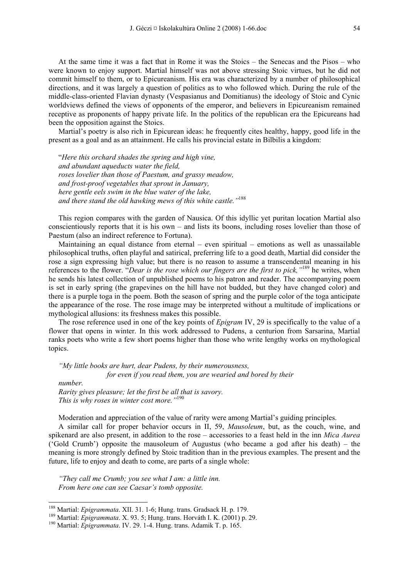At the same time it was a fact that in Rome it was the Stoics – the Senecas and the Pisos – who were known to enjoy support. Martial himself was not above stressing Stoic virtues, but he did not commit himself to them, or to Epicureanism. His era was characterized by a number of philosophical directions, and it was largely a question of politics as to who followed which. During the rule of the middle-class-oriented Flavian dynasty (Vespasianus and Domitianus) the ideology of Stoic and Cynic worldviews defined the views of opponents of the emperor, and believers in Epicureanism remained receptive as proponents of happy private life. In the politics of the republican era the Epicureans had been the opposition against the Stoics.

Martial's poetry is also rich in Epicurean ideas: he frequently cites healthy, happy, good life in the present as a goal and as an attainment. He calls his provincial estate in Bilbilis a kingdom:

"*Here this orchard shades the spring and high vine, and abundant aqueducts water the field, roses lovelier than those of Paestum, and grassy meadow, and frost-proof vegetables that sprout in January, here gentle eels swim in the blue water of the lake, and there stand the old hawking mews of this white castle."*<sup>188</sup>

This region compares with the garden of Nausica. Of this idyllic yet puritan location Martial also conscientiously reports that it is his own – and lists its boons, including roses lovelier than those of Paestum (also an indirect reference to Fortuna).

Maintaining an equal distance from eternal – even spiritual – emotions as well as unassailable philosophical truths, often playful and satirical, preferring life to a good death, Martial did consider the rose a sign expressing high value; but there is no reason to assume a transcendental meaning in his references to the flower. "*Dear is the rose which our fingers are the first to pick,"*189 he writes, when he sends his latest collection of unpublished poems to his patron and reader. The accompanying poem is set in early spring (the grapevines on the hill have not budded, but they have changed color) and there is a purple toga in the poem. Both the season of spring and the purple color of the toga anticipate the appearance of the rose. The rose image may be interpreted without a multitude of implications or mythological allusions: its freshness makes this possible.

The rose reference used in one of the key points of *Epigram* IV, 29 is specifically to the value of a flower that opens in winter. In this work addressed to Pudens, a centurion from Sarsarina, Martial ranks poets who write a few short poems higher than those who write lengthy works on mythological topics.

*"My little books are hurt, dear Pudens, by their numerousness, for even if you read them, you are wearied and bored by their number.* 

*Rarity gives pleasure; let the first be all that is savory. This is why roses in winter cost more."*<sup>190</sup>

Moderation and appreciation of the value of rarity were among Martial's guiding principles.

A similar call for proper behavior occurs in II, 59, *Mausoleum*, but, as the couch, wine, and spikenard are also present, in addition to the rose – accessories to a feast held in the inn *Mica Aurea* ('Gold Crumb') opposite the mausoleum of Augustus (who became a god after his death) – the meaning is more strongly defined by Stoic tradition than in the previous examples. The present and the future, life to enjoy and death to come, are parts of a single whole:

*"They call me Crumb; you see what I am: a little inn. From here one can see Caesar's tomb opposite.* 

<sup>&</sup>lt;sup>188</sup> Martial: Epigrammata. XII. 31. 1-6; Hung. trans. Gradsack H. p. 179.

<sup>&</sup>lt;sup>189</sup> Martial: *Epigrammata*. X. 93. 5; Hung. trans. Horváth I. K. (2001) p. 29.<br><sup>190</sup> Martial: *Epigrammata*. IV. 29. 1-4. Hung. trans. Adamik T. p. 165.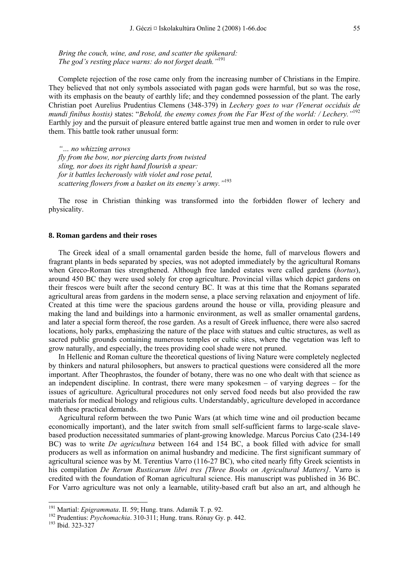*Bring the couch, wine, and rose, and scatter the spikenard: The god's resting place warns: do not forget death."*<sup>191</sup>

Complete rejection of the rose came only from the increasing number of Christians in the Empire. They believed that not only symbols associated with pagan gods were harmful, but so was the rose, with its emphasis on the beauty of earthly life; and they condemned possession of the plant. The early Christian poet Aurelius Prudentius Clemens (348-379) in *Lechery goes to war (Venerat occiduis de mundi finibus hostis)* states: "*Behold, the enemy comes from the Far West of the world: / Lechery."*<sup>192</sup> Earthly joy and the pursuit of pleasure entered battle against true men and women in order to rule over them. This battle took rather unusual form:

*"… no whizzing arrows fly from the bow, nor piercing darts from twisted sling, nor does its right hand flourish a spear: for it battles lecherously with violet and rose petal, scattering flowers from a basket on its enemy's army."*<sup>193</sup>

The rose in Christian thinking was transformed into the forbidden flower of lechery and physicality.

#### **8. Roman gardens and their roses**

The Greek ideal of a small ornamental garden beside the home, full of marvelous flowers and fragrant plants in beds separated by species, was not adopted immediately by the agricultural Romans when Greco-Roman ties strengthened. Although free landed estates were called gardens (*hortus*), around 450 BC they were used solely for crop agriculture. Provincial villas which depict gardens on their frescos were built after the second century BC. It was at this time that the Romans separated agricultural areas from gardens in the modern sense, a place serving relaxation and enjoyment of life. Created at this time were the spacious gardens around the house or villa, providing pleasure and making the land and buildings into a harmonic environment, as well as smaller ornamental gardens, and later a special form thereof, the rose garden. As a result of Greek influence, there were also sacred locations, holy parks, emphasizing the nature of the place with statues and cultic structures, as well as sacred public grounds containing numerous temples or cultic sites, where the vegetation was left to grow naturally, and especially, the trees providing cool shade were not pruned.

In Hellenic and Roman culture the theoretical questions of living Nature were completely neglected by thinkers and natural philosophers, but answers to practical questions were considered all the more important. After Theophrastos, the founder of botany, there was no one who dealt with that science as an independent discipline. In contrast, there were many spokesmen – of varying degrees – for the issues of agriculture. Agricultural procedures not only served food needs but also provided the raw materials for medical biology and religious cults. Understandably, agriculture developed in accordance with these practical demands.

Agricultural reform between the two Punic Wars (at which time wine and oil production became economically important), and the later switch from small self-sufficient farms to large-scale slavebased production necessitated summaries of plant-growing knowledge. Marcus Porcius Cato (234-149 BC) was to write *De agricultura* between 164 and 154 BC, a book filled with advice for small producers as well as information on animal husbandry and medicine. The first significant summary of agricultural science was by M. Terentius Varro (116-27 BC), who cited nearly fifty Greek scientists in his compilation *De Rerum Rusticarum libri tres [Three Books on Agricultural Matters]*. Varro is credited with the foundation of Roman agricultural science. His manuscript was published in 36 BC. For Varro agriculture was not only a learnable, utility-based craft but also an art, and although he

<sup>&</sup>lt;sup>191</sup> Martial: *Epigrammata*. II. 59; Hung. trans. Adamik T. p. 92.

<sup>&</sup>lt;sup>192</sup> Prudentius: *Psychomachia*. 310-311; Hung. trans. Rónay Gy. p. 442. <sup>193</sup> Ibid. 323-327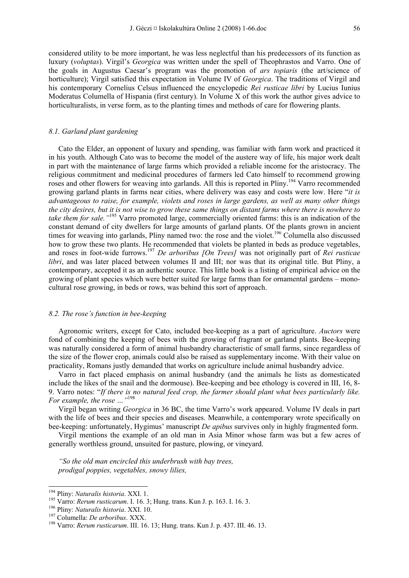considered utility to be more important, he was less neglectful than his predecessors of its function as luxury (*voluptas*). Virgil's *Georgica* was written under the spell of Theophrastos and Varro. One of the goals in Augustus Caesar's program was the promotion of *ars topiaris* (the art/science of horticulture); Virgil satisfied this expectation in Volume IV of *Georgica*. The traditions of Virgil and his contemporary Cornelius Celsus influenced the encyclopedic *Rei rusticae libri* by Lucius Iunius Moderatus Columella of Hispania (first century). In Volume X of this work the author gives advice to horticulturalists, in verse form, as to the planting times and methods of care for flowering plants.

## *8.1. Garland plant gardening*

Cato the Elder, an opponent of luxury and spending, was familiar with farm work and practiced it in his youth. Although Cato was to become the model of the austere way of life, his major work dealt in part with the maintenance of large farms which provided a reliable income for the aristocracy. The religious commitment and medicinal procedures of farmers led Cato himself to recommend growing roses and other flowers for weaving into garlands. All this is reported in Pliny.<sup>194</sup> Varro recommended growing garland plants in farms near cities, where delivery was easy and costs were low. Here "*it is advantageous to raise, for example, violets and roses in large gardens, as well as many other things the city desires, but it is not wise to grow these same things on distant farms where there is nowhere to take them for sale."*195 Varro promoted large, commercially oriented farms: this is an indication of the constant demand of city dwellers for large amounts of garland plants. Of the plants grown in ancient times for weaving into garlands, Pliny named two: the rose and the violet.<sup>196</sup> Columella also discussed how to grow these two plants. He recommended that violets be planted in beds as produce vegetables, and roses in foot-wide furrows.<sup>197</sup> *De arboribus [On Trees]* was not originally part of *Rei rusticae libri*, and was later placed between volumes II and III; nor was that its original title. But Pliny, a contemporary, accepted it as an authentic source. This little book is a listing of empirical advice on the growing of plant species which were better suited for large farms than for ornamental gardens – monocultural rose growing, in beds or rows, was behind this sort of approach.

## *8.2. The rose's function in bee-keeping*

Agronomic writers, except for Cato, included bee-keeping as a part of agriculture. *Auctors* were fond of combining the keeping of bees with the growing of fragrant or garland plants. Bee-keeping was naturally considered a form of animal husbandry characteristic of small farms, since regardless of the size of the flower crop, animals could also be raised as supplementary income. With their value on practicality, Romans justly demanded that works on agriculture include animal husbandry advice.

Varro in fact placed emphasis on animal husbandry (and the animals he lists as domesticated include the likes of the snail and the dormouse). Bee-keeping and bee ethology is covered in III, 16, 8- 9. Varro notes: "*If there is no natural feed crop, the farmer should plant what bees particularly like. For example, the rose …"*198

Virgil began writing *Georgica* in 36 BC, the time Varro's work appeared. Volume IV deals in part with the life of bees and their species and diseases. Meanwhile, a contemporary wrote specifically on bee-keeping: unfortunately, Hygimus' manuscript *De apibus* survives only in highly fragmented form.

Virgil mentions the example of an old man in Asia Minor whose farm was but a few acres of generally worthless ground, unsuited for pasture, plowing, or vineyard.

*"So the old man encircled this underbrush with bay trees, prodigal poppies, vegetables, snowy lilies,* 

<sup>&</sup>lt;sup>194</sup> Pliny: Naturalis historia. XXI. 1.

<sup>&</sup>lt;sup>195</sup> Varro: *Rerum rusticarum.* I. 16. 3; Hung. trans. Kun J. p. 163. I. 16. 3.<br><sup>196</sup> Pliny: *Naturalis historia.* XXI. 10.<br><sup>197</sup> Columella: *De arboribus.* XXX.<br><sup>198</sup> Varro: *Rerum rusticarum.* III. 16. 13; Hung. trans.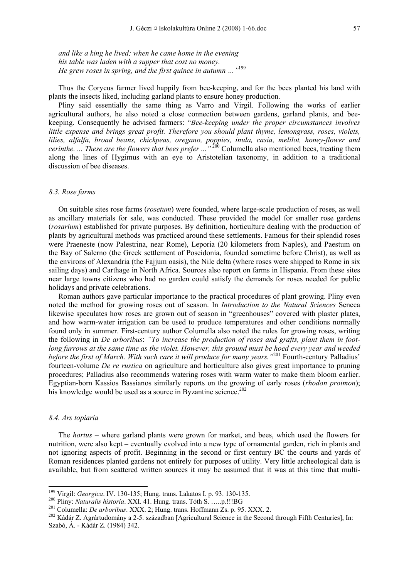*and like a king he lived; when he came home in the evening his table was laden with a supper that cost no money. He grew roses in spring, and the first quince in autumn …"*<sup>199</sup>

Thus the Corycus farmer lived happily from bee-keeping, and for the bees planted his land with plants the insects liked, including garland plants to ensure honey production.

Pliny said essentially the same thing as Varro and Virgil. Following the works of earlier agricultural authors, he also noted a close connection between gardens, garland plants, and beekeeping. Consequently he advised farmers: "*Bee-keeping under the proper circumstances involves little expense and brings great profit. Therefore you should plant thyme, lemongrass, roses, violets, lilies, alfalfa, broad beans, chickpeas, oregano, poppies, inula, casia, melilot, honey-flower and cerinthe. ... These are the flowers that bees prefer ...*<sup>" 200</sup> Columella also mentioned bees, treating them along the lines of Hygimus with an eye to Aristotelian taxonomy, in addition to a traditional discussion of bee diseases.

## *8.3. Rose farms*

On suitable sites rose farms (*rosetum*) were founded, where large-scale production of roses, as well as ancillary materials for sale, was conducted. These provided the model for smaller rose gardens (*rosarium*) established for private purposes. By definition, horticulture dealing with the production of plants by agricultural methods was practiced around these settlements. Famous for their splendid roses were Praeneste (now Palestrina, near Rome), Leporia (20 kilometers from Naples), and Paestum on the Bay of Salerno (the Greek settlement of Poseidonia, founded sometime before Christ), as well as the environs of Alexandria (the Fajjum oasis), the Nile delta (where roses were shipped to Rome in six sailing days) and Carthage in North Africa. Sources also report on farms in Hispania. From these sites near large towns citizens who had no garden could satisfy the demands for roses needed for public holidays and private celebrations.

Roman authors gave particular importance to the practical procedures of plant growing. Pliny even noted the method for growing roses out of season. In *Introduction to the Natural Sciences* Seneca likewise speculates how roses are grown out of season in "greenhouses" covered with plaster plates, and how warm-water irrigation can be used to produce temperatures and other conditions normally found only in summer. First-century author Columella also noted the rules for growing roses, writing the following in *De arboribus*: *"To increase the production of roses and grafts, plant them in footlong furrows at the same time as the violet. However, this ground must be hoed every year and weeded before the first of March. With such care it will produce for many years.*<sup>"201</sup> Fourth-century Palladius' fourteen-volume *De re rustica* on agriculture and horticulture also gives great importance to pruning procedures; Palladius also recommends watering roses with warm water to make them bloom earlier. Egyptian-born Kassios Bassianos similarly reports on the growing of early roses (*rhodon proimon*); his knowledge would be used as a source in Byzantine science.<sup>202</sup>

#### *8.4. Ars topiaria*

-

The *hortus* – where garland plants were grown for market, and bees, which used the flowers for nutrition, were also kept – eventually evolved into a new type of ornamental garden, rich in plants and not ignoring aspects of profit. Beginning in the second or first century BC the courts and yards of Roman residences planted gardens not entirely for purposes of utility. Very little archeological data is available, but from scattered written sources it may be assumed that it was at this time that multi-

<sup>&</sup>lt;sup>199</sup> Virgil: *Georgica*. IV. 130-135; Hung. trans. Lakatos I. p. 93. 130-135.<br><sup>200</sup> Pliny: *Naturalis historia*. XXI. 41. Hung. trans. Tóth S. .....p.!!!BG<br><sup>201</sup> Columella: *De arboribus*. XXX. 2; Hung. trans. Hoffmann Z Szabó, Á. - Kádár Z. (1984) 342.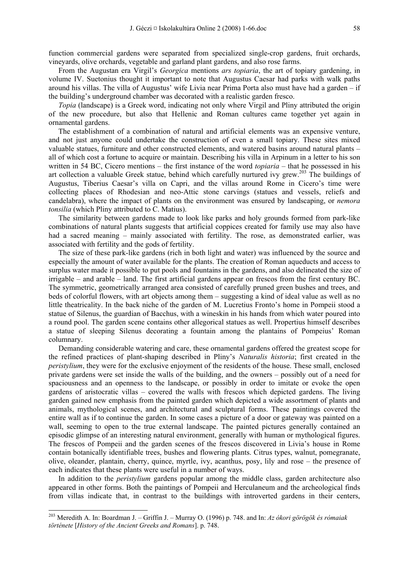function commercial gardens were separated from specialized single-crop gardens, fruit orchards, vineyards, olive orchards, vegetable and garland plant gardens, and also rose farms.

From the Augustan era Virgil's *Georgica* mentions *ars topiaria*, the art of topiary gardening, in volume IV. Suetonius thought it important to note that Augustus Caesar had parks with walk paths around his villas. The villa of Augustus' wife Livia near Prima Porta also must have had a garden – if the building's underground chamber was decorated with a realistic garden fresco.

*Topia* (landscape) is a Greek word, indicating not only where Virgil and Pliny attributed the origin of the new procedure, but also that Hellenic and Roman cultures came together yet again in ornamental gardens.

The establishment of a combination of natural and artificial elements was an expensive venture, and not just anyone could undertake the construction of even a small topiary. These sites mixed valuable statues, furniture and other constructed elements, and watered basins around natural plants – all of which cost a fortune to acquire or maintain. Describing his villa in Arpinum in a letter to his son written in 54 BC, Cicero mentions – the first instance of the word *topiaria* – that he possessed in his art collection a valuable Greek statue, behind which carefully nurtured ivy grew.<sup>203</sup> The buildings of Augustus, Tiberius Caesar's villa on Capri, and the villas around Rome in Cicero's time were collecting places of Rhodesian and neo-Attic stone carvings (statues and vessels, reliefs and candelabra), where the impact of plants on the environment was ensured by landscaping, or *nemora tonsilia* (which Pliny attributed to C. Matius).

The similarity between gardens made to look like parks and holy grounds formed from park-like combinations of natural plants suggests that artificial coppices created for family use may also have had a sacred meaning – mainly associated with fertility. The rose, as demonstrated earlier, was associated with fertility and the gods of fertility.

The size of these park-like gardens (rich in both light and water) was influenced by the source and especially the amount of water available for the plants. The creation of Roman aqueducts and access to surplus water made it possible to put pools and fountains in the gardens, and also delineated the size of irrigable – and arable – land. The first artificial gardens appear on frescos from the first century BC. The symmetric, geometrically arranged area consisted of carefully pruned green bushes and trees, and beds of colorful flowers, with art objects among them – suggesting a kind of ideal value as well as no little theatricality. In the back niche of the garden of M. Lucretius Fronto's home in Pompeii stood a statue of Silenus, the guardian of Bacchus, with a wineskin in his hands from which water poured into a round pool. The garden scene contains other allegorical statues as well. Propertius himself describes a statue of sleeping Silenus decorating a fountain among the plantains of Pompeius' Roman columnary.

Demanding considerable watering and care, these ornamental gardens offered the greatest scope for the refined practices of plant-shaping described in Pliny's *Naturalis historia*; first created in the *peristylium*, they were for the exclusive enjoyment of the residents of the house. These small, enclosed private gardens were set inside the walls of the building, and the owners – possibly out of a need for spaciousness and an openness to the landscape, or possibly in order to imitate or evoke the open gardens of aristocratic villas – covered the walls with frescos which depicted gardens. The living garden gained new emphasis from the painted garden which depicted a wide assortment of plants and animals, mythological scenes, and architectural and sculptural forms. These paintings covered the entire wall as if to continue the garden. In some cases a picture of a door or gateway was painted on a wall, seeming to open to the true external landscape. The painted pictures generally contained an episodic glimpse of an interesting natural environment, generally with human or mythological figures. The frescos of Pompeii and the garden scenes of the frescos discovered in Livia's house in Rome contain botanically identifiable trees, bushes and flowering plants. Citrus types, walnut, pomegranate, olive, oleander, plantain, cherry, quince, myrtle, ivy, acanthus, posy, lily and rose – the presence of each indicates that these plants were useful in a number of ways.

In addition to the *peristylium* gardens popular among the middle class, garden architecture also appeared in other forms. Both the paintings of Pompeii and Herculaneum and the archeological finds from villas indicate that, in contrast to the buildings with introverted gardens in their centers,

<sup>203</sup> Meredith A. In: Boardman J. – Griffin J. – Murray O. (1996) p. 748. and In: *Az ókori görögök és rómaiak története* [*History of the Ancient Greeks and Romans*]. p. 748.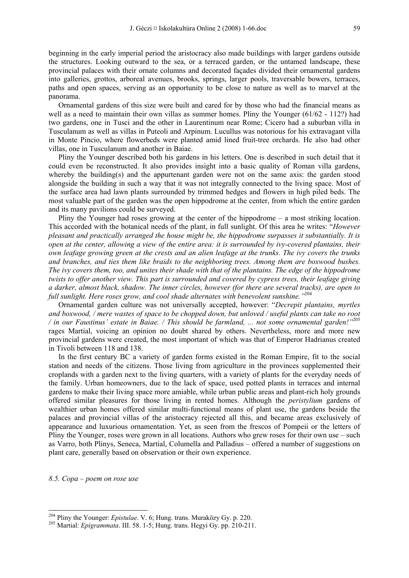beginning in the early imperial period the aristocracy also made buildings with larger gardens outside the structures. Looking outward to the sea, or a terraced garden, or the untamed landscape, these provincial palaces with their ornate columns and decorated façades divided their ornamental gardens into galleries, grottos, arboreal avenues, brooks, springs, larger pools, traversable bowers, terraces, paths and open spaces, serving as an opportunity to be close to nature as well as to marvel at the panorama.

Ornamental gardens of this size were built and cared for by those who had the financial means as well as a need to maintain their own villas as summer homes. Pliny the Younger (61/62 - 112?) had two gardens, one in Tusci and the other in Laurentinum near Rome; Cicero had a suburban villa in Tusculanum as well as villas in Puteoli and Arpinum. Lucullus was notorious for his extravagant villa in Monte Pincio, where flowerbeds were planted amid lined fruit-tree orchards. He also had other villas, one in Tusculanum and another in Baiae.

Pliny the Younger described both his gardens in his letters. One is described in such detail that it could even be reconstructed. It also provides insight into a basic quality of Roman villa gardens, whereby the building(s) and the appurtenant garden were not on the same axis: the garden stood alongside the building in such a way that it was not integrally connected to the living space. Most of the surface area had lawn plants surrounded by trimmed hedges and flowers in high piled beds. The most valuable part of the garden was the open hippodrome at the center, from which the entire garden and its many pavilions could be surveyed.

Pliny the Younger had roses growing at the center of the hippodrome – a most striking location. This accorded with the botanical needs of the plant, in full sunlight. Of this area he writes: "*However pleasant and practically arranged the house might be, the hippodrome surpasses it substantially. It is open at the center, allowing a view of the entire area: it is surrounded by ivy-covered plantains, their own leafage growing green at the crests and an alien leafage at the trunks. The ivy covers the trunks and branches, and ties them like braids to the neighboring trees. Among them are boxwood bushes. The ivy covers them, too, and unites their shade with that of the plantains. The edge of the hippodrome twists to offer another view. This part is surrounded and covered by cypress trees, their leafage giving a darker, almost black, shadow. The inner circles, however (for there are several tracks), are open to full sunlight. Here roses grow, and cool shade alternates with benevolent sunshine."*<sup>204</sup>

Ornamental garden culture was not universally accepted, however: "*Decrepit plantains, myrtles and boxwood, / mere wastes of space to be chopped down, but unloved / useful plants can take no root / in our Faustinus' estate in Baiae. / This should be farmland, ... not some ornamental garden!"*<sup>205</sup> rages Martial, voicing an opinion no doubt shared by others. Nevertheless, more and more new provincial gardens were created, the most important of which was that of Emperor Hadrianus created in Tivoli between 118 and 138.

In the first century BC a variety of garden forms existed in the Roman Empire, fit to the social station and needs of the citizens. Those living from agriculture in the provinces supplemented their croplands with a garden next to the living quarters, with a variety of plants for the everyday needs of the family. Urban homeowners, due to the lack of space, used potted plants in terraces and internal gardens to make their living space more amiable, while urban public areas and plant-rich holy grounds offered similar pleasures for those living in rented homes. Although the *peristylium* gardens of wealthier urban homes offered similar multi-functional means of plant use, the gardens beside the palaces and provincial villas of the aristocracy rejected all this, and became areas exclusively of appearance and luxurious ornamentation. Yet, as seen from the frescos of Pompeii or the letters of Pliny the Younger, roses were grown in all locations. Authors who grew roses for their own use – such as Varro, both Plinys, Seneca, Martial, Columella and Palladius – offered a number of suggestions on plant care, generally based on observation or their own experience.

*8.5. Copa – poem on rose use* 

<sup>&</sup>lt;sup>204</sup> Pliny the Younger: *Epistulae*. V. 6; Hung. trans. Muraközy Gy. p. 220.<br><sup>205</sup> Martial: *Epigrammata*. III. 58. 1-5; Hung. trans. Hegyi Gy. pp. 210-211.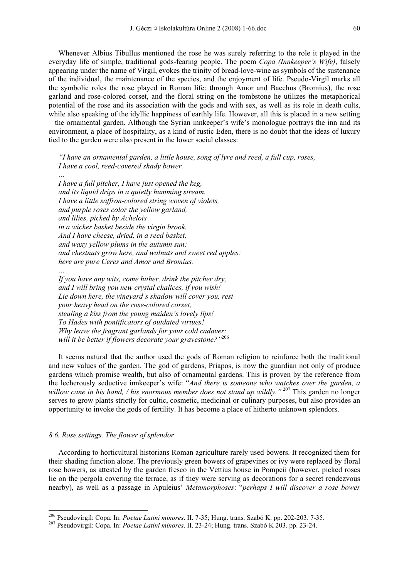Whenever Albius Tibullus mentioned the rose he was surely referring to the role it played in the everyday life of simple, traditional gods-fearing people. The poem *Copa (Innkeeper's Wife)*, falsely appearing under the name of Virgil, evokes the trinity of bread-love-wine as symbols of the sustenance of the individual, the maintenance of the species, and the enjoyment of life. Pseudo-Virgil marks all the symbolic roles the rose played in Roman life: through Amor and Bacchus (Bromius), the rose garland and rose-colored corset, and the floral string on the tombstone he utilizes the metaphorical potential of the rose and its association with the gods and with sex, as well as its role in death cults, while also speaking of the idyllic happiness of earthly life. However, all this is placed in a new setting – the ornamental garden. Although the Syrian innkeeper's wife's monologue portrays the inn and its environment, a place of hospitality, as a kind of rustic Eden, there is no doubt that the ideas of luxury tied to the garden were also present in the lower social classes:

*"I have an ornamental garden, a little house, song of lyre and reed, a full cup, roses, I have a cool, reed-covered shady bower.* 

*… I have a full pitcher, I have just opened the keg, and its liquid drips in a quietly humming stream. I have a little saffron-colored string woven of violets, and purple roses color the yellow garland, and lilies, picked by Achelois in a wicker basket beside the virgin brook. And I have cheese, dried, in a reed basket, and waxy yellow plums in the autumn sun; and chestnuts grow here, and walnuts and sweet red apples: here are pure Ceres and Amor and Bromius.* 

*If you have any wits, come hither, drink the pitcher dry, and I will bring you new crystal chalices, if you wish! Lie down here, the vineyard's shadow will cover you, rest your heavy head on the rose-colored corset, stealing a kiss from the young maiden's lovely lips! To Hades with pontificators of outdated virtues! Why leave the fragrant garlands for your cold cadaver; will it be better if flowers decorate your gravestone?"*<sup>206</sup>

It seems natural that the author used the gods of Roman religion to reinforce both the traditional and new values of the garden. The god of gardens, Priapos, is now the guardian not only of produce gardens which promise wealth, but also of ornamental gardens. This is proven by the reference from the lecherously seductive innkeeper's wife: "*And there is someone who watches over the garden, a*  willow cane in his hand, / his enormous member does not stand up wildly.<sup>"207</sup> This garden no longer serves to grow plants strictly for cultic, cosmetic, medicinal or culinary purposes, but also provides an opportunity to invoke the gods of fertility. It has become a place of hitherto unknown splendors.

#### *8.6. Rose settings. The flower of splendor*

*…* 

-

According to horticultural historians Roman agriculture rarely used bowers. It recognized them for their shading function alone. The previously green bowers of grapevines or ivy were replaced by floral rose bowers, as attested by the garden fresco in the Vettius house in Pompeii (however, picked roses lie on the pergola covering the terrace, as if they were serving as decorations for a secret rendezvous nearby), as well as a passage in Apuleius' *Metamorphoses*: "*perhaps I will discover a rose bower* 

<sup>&</sup>lt;sup>206</sup> Pseudovirgil: Copa. In: *Poetae Latini minores*. II. 7-35; Hung. trans. Szabó K. pp. 202-203. 7-35.<br><sup>207</sup> Pseudovirgil: Copa. In: *Poetae Latini minores*. II. 23-24; Hung. trans. Szabó K 203. pp. 23-24.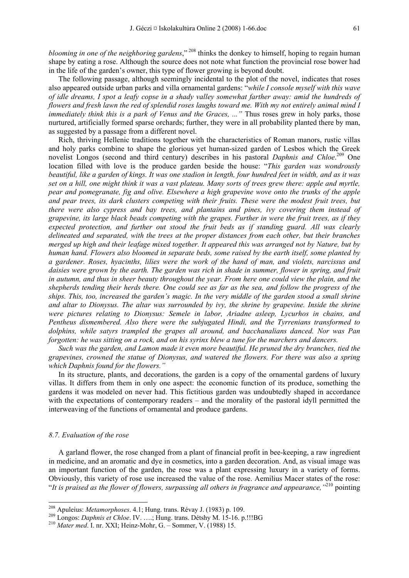*blooming in one of the neighboring gardens*," 208 thinks the donkey to himself, hoping to regain human shape by eating a rose. Although the source does not note what function the provincial rose bower had in the life of the garden's owner, this type of flower growing is beyond doubt.

The following passage, although seemingly incidental to the plot of the novel, indicates that roses also appeared outside urban parks and villa ornamental gardens: "*while I console myself with this wave of idle dreams, I spot a leafy copse in a shady valley somewhat farther away: amid the hundreds of flowers and fresh lawn the red of splendid roses laughs toward me. With my not entirely animal mind I immediately think this is a park of Venus and the Graces, ..."* Thus roses grew in holy parks, those nurtured, artificially formed sparse orchards; further, they were in all probability planted there by man, as suggested by a passage from a different novel.

Rich, thriving Hellenic traditions together with the characteristics of Roman manors, rustic villas and holy parks combine to shape the glorious yet human-sized garden of Lesbos which the Greek novelist Longos (second and third century) describes in his pastoral *Daphnis and Chloe*. 209 One location filled with love is the produce garden beside the house: "*This garden was wondrously beautiful, like a garden of kings. It was one stadion in length, four hundred feet in width, and as it was set on a hill, one might think it was a vast plateau. Many sorts of trees grew there: apple and myrtle, pear and pomegranate, fig and olive. Elsewhere a high grapevine wove onto the trunks of the apple and pear trees, its dark clusters competing with their fruits. These were the modest fruit trees, but there were also cypress and bay trees, and plantains and pines, ivy covering them instead of grapevine, its large black beads competing with the grapes. Further in were the fruit trees, as if they expected protection, and further out stood the fruit beds as if standing guard. All was clearly delineated and separated, with the trees at the proper distances from each other, but their branches merged up high and their leafage mixed together. It appeared this was arranged not by Nature, but by human hand. Flowers also bloomed in separate beds, some raised by the earth itself, some planted by a gardener. Roses, hyacinths, lilies were the work of the hand of man, and violets, narcissus and daisies were grown by the earth. The garden was rich in shade in summer, flower in spring, and fruit in autumn, and thus in sheer beauty throughout the year. From here one could view the plain, and the shepherds tending their herds there. One could see as far as the sea, and follow the progress of the ships. This, too, increased the garden's magic. In the very middle of the garden stood a small shrine and altar to Dionysus. The altar was surrounded by ivy, the shrine by grapevine. Inside the shrine were pictures relating to Dionysus: Semele in labor, Ariadne asleep, Lycurhos in chains, and Pentheus dismembered. Also there were the subjugated Hindi, and the Tyrrenians transformed to dolphins, while satyrs trampled the grapes all around, and bacchanalians danced. Nor was Pan forgotten: he was sitting on a rock, and on his syrinx blew a tune for the marchers and dancers.* 

*Such was the garden, and Lamon made it even more beautiful. He pruned the dry branches, tied the grapevines, crowned the statue of Dionysus, and watered the flowers. For there was also a spring which Daphnis found for the flowers."* 

In its structure, plants, and decorations, the garden is a copy of the ornamental gardens of luxury villas. It differs from them in only one aspect: the economic function of its produce, something the gardens it was modeled on never had. This fictitious garden was undoubtedly shaped in accordance with the expectations of contemporary readers – and the morality of the pastoral idyll permitted the interweaving of the functions of ornamental and produce gardens.

#### *8.7. Evaluation of the rose*

-

A garland flower, the rose changed from a plant of financial profit in bee-keeping, a raw ingredient in medicine, and an aromatic and dye in cosmetics, into a garden decoration. And, as visual image was an important function of the garden, the rose was a plant expressing luxury in a variety of forms. Obviously, this variety of rose use increased the value of the rose. Aemilius Macer states of the rose: "*It is praised as the flower of flowers, surpassing all others in fragrance and appearance,"*210 pointing

<sup>&</sup>lt;sup>208</sup> Apuleius: *Metamorphoses.* 4.1; Hung. trans. Révay J. (1983) p. 109.<br><sup>209</sup> Longos: *Daphnis et Chloe.* IV. ....; Hung. trans. Détshy M. 15-16. p.!!!BG<br><sup>210</sup> *Mater med.* I. nr. XXI: Heinz-Mohr, G. – Sommer, V. (1988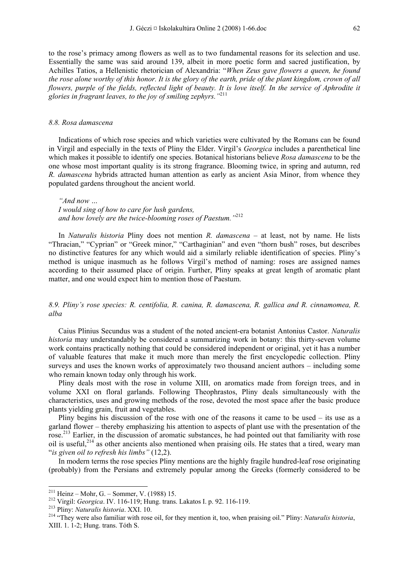to the rose's primacy among flowers as well as to two fundamental reasons for its selection and use. Essentially the same was said around 139, albeit in more poetic form and sacred justification, by Achilles Tatios, a Hellenistic rhetorician of Alexandria: "*When Zeus gave flowers a queen, he found the rose alone worthy of this honor. It is the glory of the earth, pride of the plant kingdom, crown of all flowers, purple of the fields, reflected light of beauty. It is love itself. In the service of Aphrodite it glories in fragrant leaves, to the joy of smiling zephyrs."*<sup>211</sup>

#### *8.8. Rosa damascena*

Indications of which rose species and which varieties were cultivated by the Romans can be found in Virgil and especially in the texts of Pliny the Elder. Virgil's *Georgica* includes a parenthetical line which makes it possible to identify one species. Botanical historians believe *Rosa damascena* to be the one whose most important quality is its strong fragrance. Blooming twice, in spring and autumn, red *R. damascena* hybrids attracted human attention as early as ancient Asia Minor, from whence they populated gardens throughout the ancient world.

*"And now … I would sing of how to care for lush gardens, and how lovely are the twice-blooming roses of Paestum."*<sup>212</sup>

In *Naturalis historia* Pliny does not mention *R. damascena* – at least, not by name. He lists "Thracian," "Cyprian" or "Greek minor," "Carthaginian" and even "thorn bush" roses, but describes no distinctive features for any which would aid a similarly reliable identification of species. Pliny's method is unique inasmuch as he follows Virgil's method of naming: roses are assigned names according to their assumed place of origin. Further, Pliny speaks at great length of aromatic plant matter, and one would expect him to mention those of Paestum.

## *8.9. Pliny's rose species: R. centifolia, R. canina, R. damascena, R. gallica and R. cinnamomea, R. alba*

Caius Plinius Secundus was a student of the noted ancient-era botanist Antonius Castor. *Naturalis historia* may understandably be considered a summarizing work in botany: this thirty-seven volume work contains practically nothing that could be considered independent or original, yet it has a number of valuable features that make it much more than merely the first encyclopedic collection. Pliny surveys and uses the known works of approximately two thousand ancient authors – including some who remain known today only through his work.

Pliny deals most with the rose in volume XIII, on aromatics made from foreign trees, and in volume XXI on floral garlands. Following Theophrastos, Pliny deals simultaneously with the characteristics, uses and growing methods of the rose, devoted the most space after the basic produce plants yielding grain, fruit and vegetables.

Pliny begins his discussion of the rose with one of the reasons it came to be used – its use as a garland flower – thereby emphasizing his attention to aspects of plant use with the presentation of the rose.<sup>213</sup> Earlier, in the discussion of aromatic substances, he had pointed out that familiarity with rose oil is useful,  $2^{14}$  as other ancients also mentioned when praising oils. He states that a tired, weary man "*is given oil to refresh his limbs"* (12,2).

In modern terms the rose species Pliny mentions are the highly fragile hundred-leaf rose originating (probably) from the Persians and extremely popular among the Greeks (formerly considered to be

<sup>&</sup>lt;sup>211</sup> Heinz – Mohr, G. – Sommer, V. (1988) 15.

<sup>&</sup>lt;sup>212</sup> Virgil: *Georgica*. IV. 116-119; Hung. trans. Lakatos I. p. 92. 116-119.<br><sup>213</sup> Pliny: *Naturalis historia*. XXI. 10.<br><sup>214</sup> "They were also familiar with rose oil, for they mention it, too, when praising oil." Pliny: XIII. 1. 1-2; Hung. trans. Tóth S.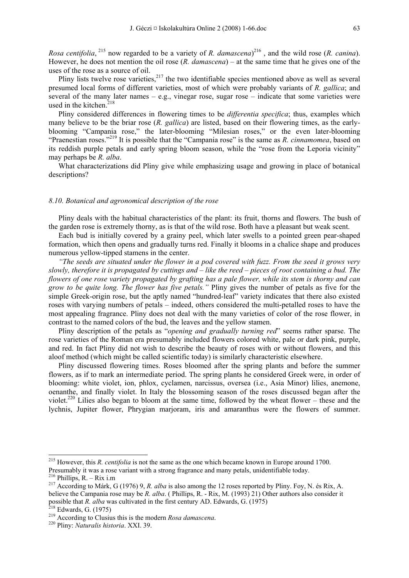*Rosa centifolia*, 215 now regarded to be a variety of *R. damascena*) 216 , and the wild rose (*R. canina*). However, he does not mention the oil rose (*R. damascena*) – at the same time that he gives one of the uses of the rose as a source of oil.

Pliny lists twelve rose varieties, $2^{17}$  the two identifiable species mentioned above as well as several presumed local forms of different varieties, most of which were probably variants of *R. gallica*; and several of the many later names – e.g., vinegar rose, sugar rose – indicate that some varieties were used in the kitchen. $218$ 

Pliny considered differences in flowering times to be *differentia specifica*; thus, examples which many believe to be the briar rose (*R. gallica*) are listed, based on their flowering times, as the earlyblooming "Campania rose," the later-blooming "Milesian roses," or the even later-blooming "Praenestian roses."219 It is possible that the "Campania rose" is the same as *R. cinnamomea*, based on its reddish purple petals and early spring bloom season, while the "rose from the Leporia vicinity" may perhaps be *R. alba*.

What characterizations did Pliny give while emphasizing usage and growing in place of botanical descriptions?

## *8.10. Botanical and agronomical description of the rose*

Pliny deals with the habitual characteristics of the plant: its fruit, thorns and flowers. The bush of the garden rose is extremely thorny, as is that of the wild rose. Both have a pleasant but weak scent.

Each bud is initially covered by a grainy peel, which later swells to a pointed green pear-shaped formation, which then opens and gradually turns red. Finally it blooms in a chalice shape and produces numerous yellow-tipped stamens in the center.

*"The seeds are situated under the flower in a pod covered with fuzz. From the seed it grows very slowly, therefore it is propagated by cuttings and – like the reed – pieces of root containing a bud. The flowers of one rose variety propagated by grafting has a pale flower, while its stem is thorny and can grow to be quite long. The flower has five petals."* Pliny gives the number of petals as five for the simple Greek-origin rose, but the aptly named "hundred-leaf" variety indicates that there also existed roses with varying numbers of petals – indeed, others considered the multi-petalled roses to have the most appealing fragrance. Pliny does not deal with the many varieties of color of the rose flower, in contrast to the named colors of the bud, the leaves and the yellow stamen.

Pliny description of the petals as "*opening and gradually turning red*" seems rather sparse. The rose varieties of the Roman era presumably included flowers colored white, pale or dark pink, purple, and red. In fact Pliny did not wish to describe the beauty of roses with or without flowers, and this aloof method (which might be called scientific today) is similarly characteristic elsewhere.

Pliny discussed flowering times. Roses bloomed after the spring plants and before the summer flowers, as if to mark an intermediate period. The spring plants he considered Greek were, in order of blooming: white violet, ion, phlox, cyclamen, narcissus, oversea (i.e., Asia Minor) lilies, anemone, oenanthe, and finally violet. In Italy the blossoming season of the roses discussed began after the violet.220 Lilies also began to bloom at the same time, followed by the wheat flower – these and the lychnis, Jupiter flower, Phrygian marjoram, iris and amaranthus were the flowers of summer.

<sup>215</sup> However, this *R. centifolia* is not the same as the one which became known in Europe around 1700. Presumably it was a rose variant with a strong fragrance and many petals, unidentifiable today.<br><sup>216</sup> Phillips, R. – Rix i.m<br><sup>217</sup> According to Márk, G (1976) 9, *R. alba* is also among the 12 roses reported by Pliny. Foy

believe the Campania rose may be *R. alba*. ( Phillips, R. - Rix, M. (1993) 21) Other authors also consider it possible that *R. alba* was cultivated in the first century AD. Edwards, G. (1975)<br><sup>218</sup> Edwards, G. (1975)<br><sup>219</sup> According to Clusius this is the modern *Rosa damascena*.<br><sup>220</sup> Pliny: *Naturalis historia*. XXI. 39.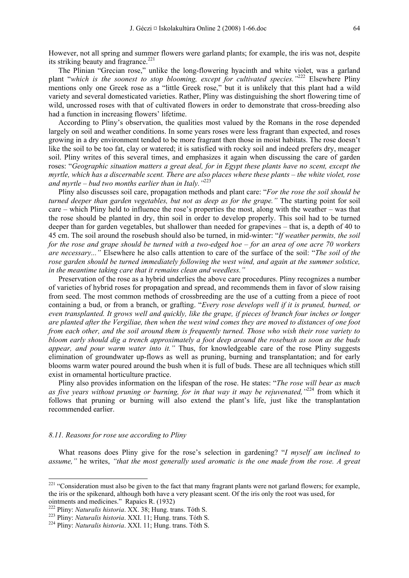However, not all spring and summer flowers were garland plants; for example, the iris was not, despite its striking beauty and fragrance.<sup>221</sup>

The Plinian "Grecian rose," unlike the long-flowering hyacinth and white violet, was a garland plant "*which is the soonest to stop blooming, except for cultivated species."*222 Elsewhere Pliny mentions only one Greek rose as a "little Greek rose," but it is unlikely that this plant had a wild variety and several domesticated varieties. Rather, Pliny was distinguishing the short flowering time of wild, uncrossed roses with that of cultivated flowers in order to demonstrate that cross-breeding also had a function in increasing flowers' lifetime.

According to Pliny's observation, the qualities most valued by the Romans in the rose depended largely on soil and weather conditions. In some years roses were less fragrant than expected, and roses growing in a dry environment tended to be more fragrant then those in moist habitats. The rose doesn't like the soil to be too fat, clay or watered; it is satisfied with rocky soil and indeed prefers dry, meager soil. Pliny writes of this several times, and emphasizes it again when discussing the care of garden roses: "*Geographic situation matters a great deal, for in Egypt these plants have no scent, except the myrtle, which has a discernable scent. There are also places where these plants – the white violet, rose*  and myrtle – bud two months earlier than in Italy.<sup>1223</sup>

Pliny also discusses soil care, propagation methods and plant care: "*For the rose the soil should be turned deeper than garden vegetables, but not as deep as for the grape."* The starting point for soil care – which Pliny held to influence the rose's properties the most, along with the weather – was that the rose should be planted in dry, thin soil in order to develop properly. This soil had to be turned deeper than for garden vegetables, but shallower than needed for grapevines – that is, a depth of 40 to 45 cm. The soil around the rosebush should also be turned, in mid-winter: "*If weather permits, the soil for the rose and grape should be turned with a two-edged hoe – for an area of one acre 70 workers are necessary..."* Elsewhere he also calls attention to care of the surface of the soil: "*The soil of the rose garden should be turned immediately following the west wind, and again at the summer solstice, in the meantime taking care that it remains clean and weedless."* 

Preservation of the rose as a hybrid underlies the above care procedures. Pliny recognizes a number of varieties of hybrid roses for propagation and spread, and recommends them in favor of slow raising from seed. The most common methods of crossbreeding are the use of a cutting from a piece of root containing a bud, or from a branch, or grafting. "*Every rose develops well if it is pruned, burned, or even transplanted. It grows well and quickly, like the grape, if pieces of branch four inches or longer are planted after the Vergiliae, then when the west wind comes they are moved to distances of one foot from each other, and the soil around them is frequently turned. Those who wish their rose variety to bloom early should dig a trench approximately a foot deep around the rosebush as soon as the buds appear, and pour warm water into it."* Thus, for knowledgeable care of the rose Pliny suggests elimination of groundwater up-flows as well as pruning, burning and transplantation; and for early blooms warm water poured around the bush when it is full of buds. These are all techniques which still exist in ornamental horticulture practice.

Pliny also provides information on the lifespan of the rose. He states: "*The rose will bear as much as five years without pruning or burning, for in that way it may be rejuvenated,"*224 from which it follows that pruning or burning will also extend the plant's life, just like the transplantation recommended earlier.

#### *8.11. Reasons for rose use according to Pliny*

-

What reasons does Pliny give for the rose's selection in gardening? "*I myself am inclined to assume,"* he writes, *"that the most generally used aromatic is the one made from the rose. A great* 

 $221$  "Consideration must also be given to the fact that many fragrant plants were not garland flowers; for example, the iris or the spikenard, although both have a very pleasant scent. Of the iris only the root was used, for ointments and medicines." Rapaics R. (1932)<br><sup>222</sup> Pliny: *Naturalis historia*. XX. 38; Hung. trans. Tóth S.

<sup>&</sup>lt;sup>223</sup> Pliny: *Naturalis historia*. XXI. 11; Hung. trans. Tóth S. <sup>224</sup> Pliny: *Naturalis historia*. XXI. 11; Hung. trans. Tóth S.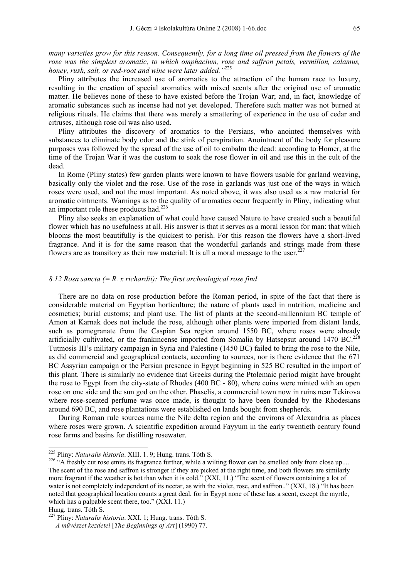*many varieties grow for this reason. Consequently, for a long time oil pressed from the flowers of the rose was the simplest aromatic, to which omphacium, rose and saffron petals, vermilion, calamus, honey, rush, salt, or red-root and wine were later added."*<sup>225</sup>

Pliny attributes the increased use of aromatics to the attraction of the human race to luxury, resulting in the creation of special aromatics with mixed scents after the original use of aromatic matter. He believes none of these to have existed before the Trojan War; and, in fact, knowledge of aromatic substances such as incense had not yet developed. Therefore such matter was not burned at religious rituals. He claims that there was merely a smattering of experience in the use of cedar and citruses, although rose oil was also used.

Pliny attributes the discovery of aromatics to the Persians, who anointed themselves with substances to eliminate body odor and the stink of perspiration. Anointment of the body for pleasure purposes was followed by the spread of the use of oil to embalm the dead: according to Homer, at the time of the Trojan War it was the custom to soak the rose flower in oil and use this in the cult of the dead.

In Rome (Pliny states) few garden plants were known to have flowers usable for garland weaving, basically only the violet and the rose. Use of the rose in garlands was just one of the ways in which roses were used, and not the most important. As noted above, it was also used as a raw material for aromatic ointments. Warnings as to the quality of aromatics occur frequently in Pliny, indicating what an important role these products had.<sup>226</sup>

Pliny also seeks an explanation of what could have caused Nature to have created such a beautiful flower which has no usefulness at all. His answer is that it serves as a moral lesson for man: that which blooms the most beautifully is the quickest to perish. For this reason the flowers have a short-lived fragrance. And it is for the same reason that the wonderful garlands and strings made from these flowers are as transitory as their raw material: It is all a moral message to the user.<sup>227</sup>

#### *8.12 Rosa sancta (= R. x richardii): The first archeological rose find*

There are no data on rose production before the Roman period, in spite of the fact that there is considerable material on Egyptian horticulture; the nature of plants used in nutrition, medicine and cosmetics; burial customs; and plant use. The list of plants at the second-millennium BC temple of Amon at Karnak does not include the rose, although other plants were imported from distant lands, such as pomegranate from the Caspian Sea region around 1550 BC, where roses were already artificially cultivated, or the frankincense imported from Somalia by Hatsepsut around 1470 BC.<sup>228</sup> Tutmosis III's military campaign in Syria and Palestine (1450 BC) failed to bring the rose to the Nile, as did commercial and geographical contacts, according to sources, nor is there evidence that the 671 BC Assyrian campaign or the Persian presence in Egypt beginning in 525 BC resulted in the import of this plant. There is similarly no evidence that Greeks during the Ptolemaic period might have brought the rose to Egypt from the city-state of Rhodes (400 BC - 80), where coins were minted with an open rose on one side and the sun god on the other. Phaselis, a commercial town now in ruins near Tekirova where rose-scented perfume was once made, is thought to have been founded by the Rhodesians around 690 BC, and rose plantations were established on lands bought from shepherds.

During Roman rule sources name the Nile delta region and the environs of Alexandria as places where roses were grown. A scientific expedition around Fayyum in the early twentieth century found rose farms and basins for distilling rosewater.

<sup>&</sup>lt;sup>225</sup> Pliny: Naturalis historia. XIII. 1. 9; Hung. trans. Tóth S.

<sup>&</sup>lt;sup>226</sup> "A freshly cut rose emits its fragrance further, while a wilting flower can be smelled only from close up.... The scent of the rose and saffron is stronger if they are picked at the right time, and both flowers are similarly more fragrant if the weather is hot than when it is cold." (XXI, 11.) "The scent of flowers containing a lot of water is not completely independent of its nectar, as with the violet, rose, and saffron.." (XXI, 18.) "It has been noted that geographical location counts a great deal, for in Egypt none of these has a scent, except the myrtle, which has a palpable scent there, too." (XXI. 11.)

Hung. trans. Tóth S.

<sup>227</sup> Pliny: *Naturalis historia*. XXI. 1; Hung. trans. Tóth S.

*A művészet kezdetei* [*The Beginnings of Art*] (1990) 77.